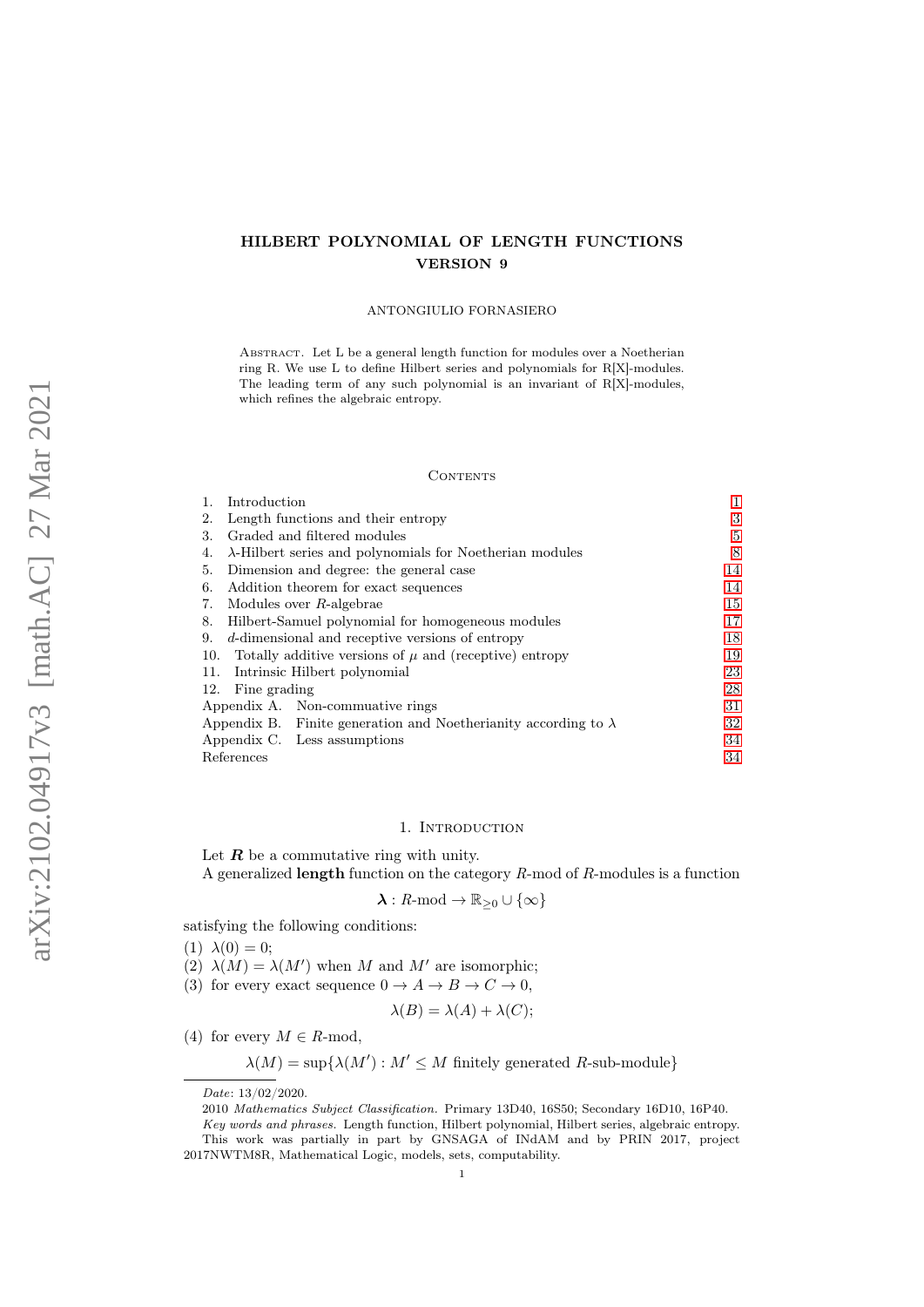# HILBERT POLYNOMIAL OF LENGTH FUNCTIONS VERSION 9

### ANTONGIULIO FORNASIERO

ABSTRACT. Let L be a general length function for modules over a Noetherian ring R. We use L to define Hilbert series and polynomials for R[X]-modules. The leading term of any such polynomial is an invariant of  $R[X]$ -modules, which refines the algebraic entropy.

### CONTENTS

|                                                                   | Introduction                         |                                                                        | 1  |
|-------------------------------------------------------------------|--------------------------------------|------------------------------------------------------------------------|----|
| 2.                                                                |                                      | Length functions and their entropy                                     | 3  |
| 3.                                                                |                                      | Graded and filtered modules                                            | 5  |
| 4.                                                                |                                      | $\lambda$ -Hilbert series and polynomials for Noetherian modules       | 8  |
| 5.                                                                |                                      | Dimension and degree: the general case                                 | 14 |
| 6.                                                                | Addition theorem for exact sequences |                                                                        |    |
| 7.                                                                |                                      | Modules over $R$ -algebrae                                             | 15 |
| Hilbert-Samuel polynomial for homogeneous modules<br>8.           |                                      |                                                                        | 17 |
| d-dimensional and receptive versions of entropy<br>9.             |                                      |                                                                        |    |
| Totally additive versions of $\mu$ and (receptive) entropy<br>10. |                                      |                                                                        |    |
| Intrinsic Hilbert polynomial<br>11.                               |                                      |                                                                        |    |
|                                                                   | 12. Fine grading                     |                                                                        | 28 |
|                                                                   |                                      | Appendix A. Non-commuttive rings                                       | 31 |
|                                                                   |                                      | Appendix B. Finite generation and Noetherianity according to $\lambda$ | 32 |
|                                                                   |                                      | Appendix C. Less assumptions                                           | 34 |
| References                                                        |                                      |                                                                        | 34 |

### 1. Introduction

<span id="page-0-0"></span>Let  $R$  be a commutative ring with unity.

A generalized length function on the category R-mod of R-modules is a function

$$
\lambda: R\text{-mod} \to \mathbb{R}_{\geq 0} \cup \{\infty\}
$$

satisfying the following conditions:

(1)  $\lambda(0) = 0$ ;

- (2)  $\lambda(M) = \lambda(M')$  when M and M' are isomorphic;
- (3) for every exact sequence  $0 \to A \to B \to C \to 0$ ,

$$
\lambda(B) = \lambda(A) + \lambda(C);
$$

(4) for every  $M \in R$ -mod,

 $\lambda(M) = \sup \{ \lambda(M') : M' \leq M \text{ finitely generated } R \text{-sub-module} \}$ 

Date: 13/02/2020.

<sup>2010</sup> Mathematics Subject Classification. Primary 13D40, 16S50; Secondary 16D10, 16P40.

Key words and phrases. Length function, Hilbert polynomial, Hilbert series, algebraic entropy. This work was partially in part by GNSAGA of INdAM and by PRIN 2017, project 2017NWTM8R, Mathematical Logic, models, sets, computability.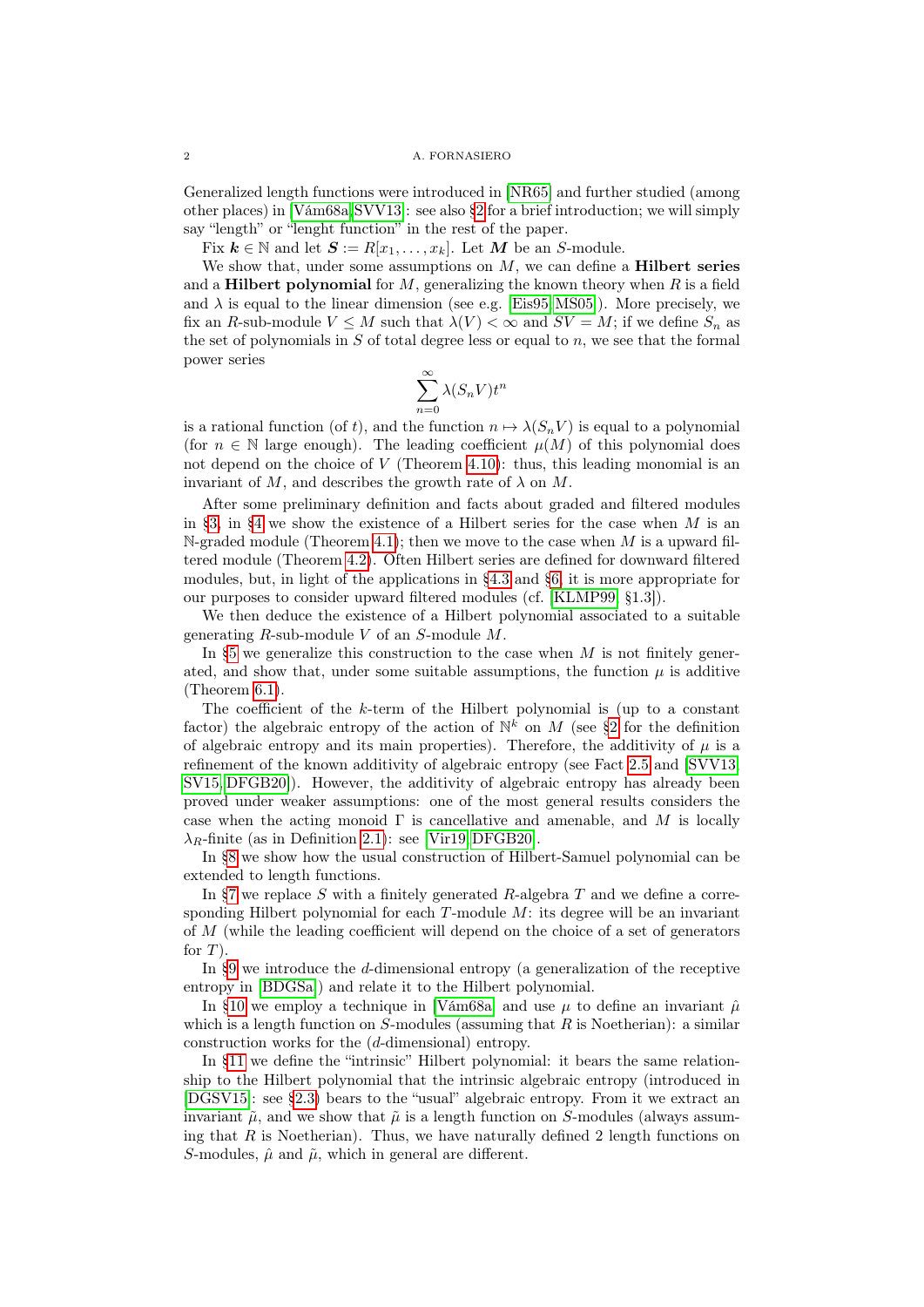Generalized length functions were introduced in [\[NR65\]](#page-34-0) and further studied (among other places) in [\[Vám68a,](#page-34-1)[SVV13\]](#page-34-2): see also [§2](#page-2-0) for a brief introduction; we will simply say "length" or "lenght function" in the rest of the paper.

Fix  $k \in \mathbb{N}$  and let  $S := R[x_1, \ldots, x_k]$ . Let M be an S-module.

We show that, under some assumptions on  $M$ , we can define a **Hilbert series** and a **Hilbert polynomial** for  $M$ , generalizing the known theory when  $R$  is a field and  $\lambda$  is equal to the linear dimension (see e.g. [\[Eis95,](#page-33-2) [MS05\]](#page-34-3)). More precisely, we fix an R-sub-module  $V \leq M$  such that  $\lambda(V) < \infty$  and  $SV = M$ ; if we define  $S_n$  as the set of polynomials in  $S$  of total degree less or equal to  $n$ , we see that the formal power series

$$
\sum_{n=0}^{\infty} \lambda(S_n V) t^n
$$

is a rational function (of t), and the function  $n \mapsto \lambda(S_n V)$  is equal to a polynomial (for  $n \in \mathbb{N}$  large enough). The leading coefficient  $\mu(M)$  of this polynomial does not depend on the choice of  $V$  (Theorem [4.10\)](#page-11-0): thus, this leading monomial is an invariant of M, and describes the growth rate of  $\lambda$  on M.

After some preliminary definition and facts about graded and filtered modules in [§3,](#page-4-0) in [§4](#page-7-0) we show the existence of a Hilbert series for the case when  $M$  is an N-graded module (Theorem [4.1\)](#page-7-1); then we move to the case when  $M$  is a upward filtered module (Theorem [4.2\)](#page-8-0). Often Hilbert series are defined for downward filtered modules, but, in light of the applications in [§4.3](#page-10-0) and [§6,](#page-13-1) it is more appropriate for our purposes to consider upward filtered modules (cf. [\[KLMP99,](#page-34-4) §1.3]).

We then deduce the existence of a Hilbert polynomial associated to a suitable generating  $R$ -sub-module  $V$  of an  $S$ -module  $M$ .

In  $\S5$  we generalize this construction to the case when M is not finitely generated, and show that, under some suitable assumptions, the function  $\mu$  is additive (Theorem [6.1\)](#page-13-2).

The coefficient of the k-term of the Hilbert polynomial is (up to a constant factor) the algebraic entropy of the action of  $\mathbb{N}^k$  on M (see [§2](#page-2-0) for the definition of algebraic entropy and its main properties). Therefore, the additivity of  $\mu$  is a refinement of the known additivity of algebraic entropy (see Fact [2.5](#page-3-0) and [\[SVV13,](#page-34-2) [SV15,](#page-34-5) [DFGB20\]](#page-33-3)). However, the additivity of algebraic entropy has already been proved under weaker assumptions: one of the most general results considers the case when the acting monoid  $\Gamma$  is cancellative and amenable, and M is locally  $\lambda_R$ -finite (as in Definition [2.1\)](#page-2-1): see [\[Vir19,](#page-34-6) [DFGB20\]](#page-33-3).

In [§8](#page-16-0) we show how the usual construction of Hilbert-Samuel polynomial can be extended to length functions.

In  $\S7$  we replace S with a finitely generated R-algebra T and we define a corresponding Hilbert polynomial for each  $T$ -module  $M$ : its degree will be an invariant of M (while the leading coefficient will depend on the choice of a set of generators for  $T$ ).

In [§9](#page-17-0) we introduce the d-dimensional entropy (a generalization of the receptive entropy in [\[BDGSa\]](#page-33-4)) and relate it to the Hilbert polynomial.

In [§10](#page-18-0) we employ a technique in [\[Vám68a\]](#page-34-1) and use  $\mu$  to define an invariant  $\hat{\mu}$ which is a length function on  $S$ -modules (assuming that R is Noetherian): a similar construction works for the (d-dimensional) entropy.

In [§11](#page-22-0) we define the "intrinsic" Hilbert polynomial: it bears the same relationship to the Hilbert polynomial that the intrinsic algebraic entropy (introduced in [\[DGSV15\]](#page-33-5): see [§2.3\)](#page-4-1) bears to the "usual" algebraic entropy. From it we extract an invariant  $\tilde{\mu}$ , and we show that  $\tilde{\mu}$  is a length function on S-modules (always assuming that R is Noetherian). Thus, we have naturally defined 2 length functions on S-modules,  $\hat{\mu}$  and  $\tilde{\mu}$ , which in general are different.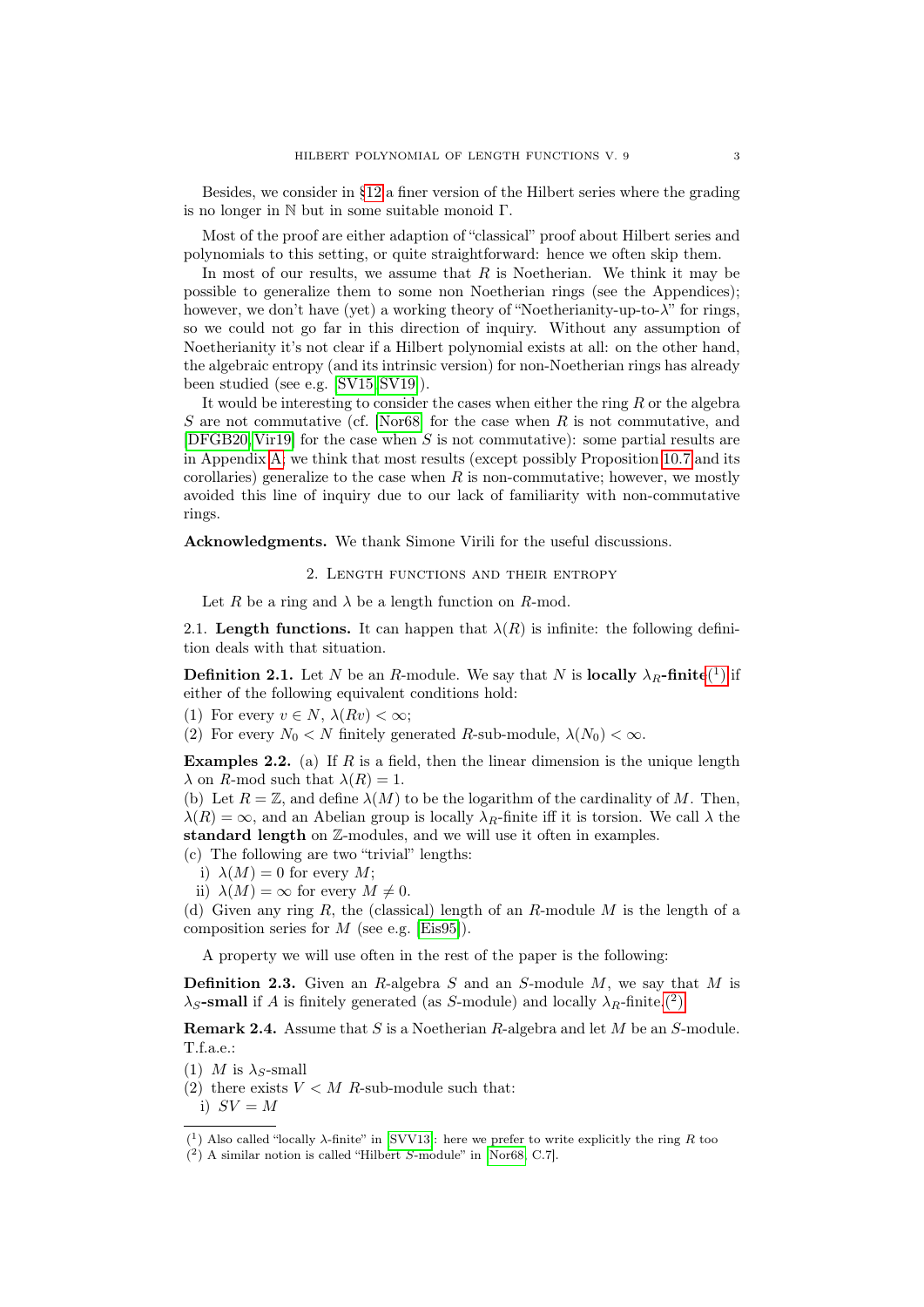Besides, we consider in [§12](#page-27-0) a finer version of the Hilbert series where the grading is no longer in N but in some suitable monoid Γ.

Most of the proof are either adaption of "classical" proof about Hilbert series and polynomials to this setting, or quite straightforward: hence we often skip them.

In most of our results, we assume that  $R$  is Noetherian. We think it may be possible to generalize them to some non Noetherian rings (see the Appendices); however, we don't have (yet) a working theory of "Noetherianity-up-to-λ" for rings, so we could not go far in this direction of inquiry. Without any assumption of Noetherianity it's not clear if a Hilbert polynomial exists at all: on the other hand, the algebraic entropy (and its intrinsic version) for non-Noetherian rings has already been studied (see e.g. [\[SV15,](#page-34-5) [SV19\]](#page-34-7)).

It would be interesting to consider the cases when either the ring  $R$  or the algebra S are not commutative (cf. [\[Nor68\]](#page-34-8) for the case when R is not commutative, and  $[DFGB20, Vir19]$  $[DFGB20, Vir19]$  $[DFGB20, Vir19]$  for the case when S is not commutative): some partial results are in Appendix [A;](#page-30-0) we think that most results (except possibly Proposition [10.7](#page-19-0) and its corollaries) generalize to the case when  $R$  is non-commutative; however, we mostly avoided this line of inquiry due to our lack of familiarity with non-commutative rings.

<span id="page-2-0"></span>Acknowledgments. We thank Simone Virili for the useful discussions.

2. Length functions and their entropy

Let R be a ring and  $\lambda$  be a length function on R-mod.

2.1. Length functions. It can happen that  $\lambda(R)$  is infinite: the following definition deals with that situation.

<span id="page-2-1"></span>**Definition 2.1.** Let N be an R-module. We say that N is **locally**  $\lambda_R$ -finite<sup>(1</sup>[\)](#page-2-2) if either of the following equivalent conditions hold:

(1) For every  $v \in N$ ,  $\lambda(Rv) < \infty$ ;

(2) For every  $N_0 < N$  finitely generated R-sub-module,  $\lambda(N_0) < \infty$ .

**Examples 2.2.** (a) If R is a field, then the linear dimension is the unique length  $\lambda$  on R-mod such that  $\lambda(R) = 1$ .

<span id="page-2-6"></span>(b) Let  $R = \mathbb{Z}$ , and define  $\lambda(M)$  to be the logarithm of the cardinality of M. Then,  $\lambda(R) = \infty$ , and an Abelian group is locally  $\lambda_R$ -finite iff it is torsion. We call  $\lambda$  the standard length on Z-modules, and we will use it often in examples.

(c) The following are two "trivial" lengths:

i)  $\lambda(M) = 0$  for every M;

ii)  $\lambda(M) = \infty$  for every  $M \neq 0$ .

<span id="page-2-5"></span>(d) Given any ring R, the (classical) length of an R-module M is the length of a composition series for  $M$  (see e.g. [\[Eis95\]](#page-33-2)).

A property we will use often in the rest of the paper is the following:

<span id="page-2-4"></span>**Definition 2.3.** Given an R-algebra S and an S-module  $M$ , we say that M is  $\lambda_S$ -small if A is finitely generated (as S-module) and locally  $\lambda_R$ -finite.<sup>(2</sup>)

**Remark 2.4.** Assume that S is a Noetherian R-algebra and let  $M$  be an S-module. T.f.a.e.:

- (1) M is  $\lambda_S$ -small
- (2) there exists  $V < M$  R-sub-module such that:

i)  $SV = M$ 

<span id="page-2-2"></span><sup>&</sup>lt;sup>(1</sup>) Also called "locally λ-finite" in [\[SVV13\]](#page-34-2): here we prefer to write explicitly the ring R too

<span id="page-2-3"></span><sup>(</sup> 2 ) A similar notion is called "Hilbert S-module" in [\[Nor68,](#page-34-8) C.7].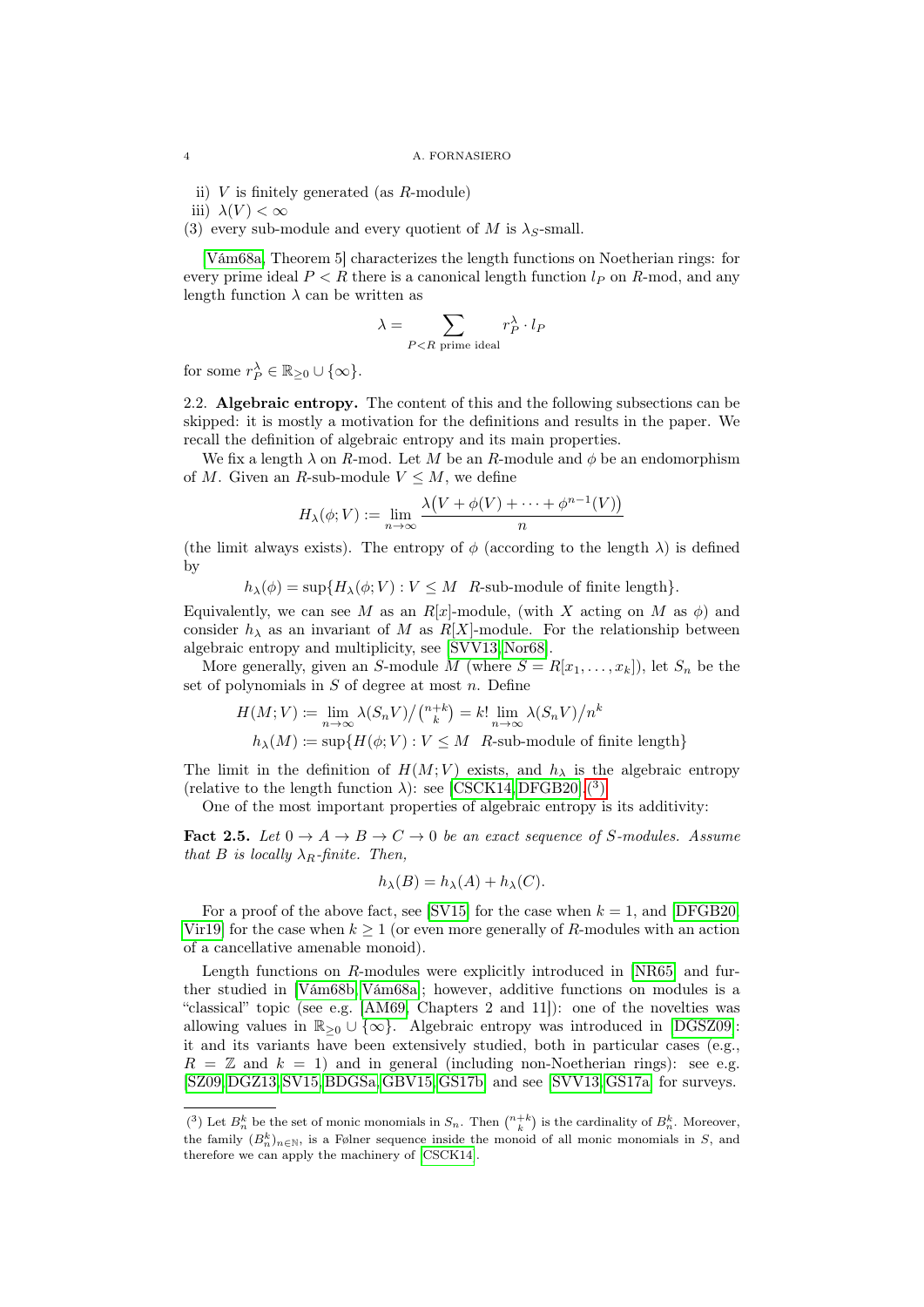ii)  $V$  is finitely generated (as  $R$ -module)

iii)  $\lambda(V) < \infty$ 

(3) every sub-module and every quotient of M is  $\lambda$ <sub>S</sub>-small.

[\[Vám68a,](#page-34-1) Theorem 5] characterizes the length functions on Noetherian rings: for every prime ideal  $P < R$  there is a canonical length function  $l_P$  on R-mod, and any length function  $\lambda$  can be written as

$$
\lambda = \sum_{P < R \text{ prime ideal}} r_P^{\lambda} \cdot l_P
$$

for some  $r_P^{\lambda} \in \mathbb{R}_{\geq 0} \cup \{\infty\}.$ 

<span id="page-3-2"></span>2.2. Algebraic entropy. The content of this and the following subsections can be skipped: it is mostly a motivation for the definitions and results in the paper. We recall the definition of algebraic entropy and its main properties.

We fix a length  $\lambda$  on R-mod. Let M be an R-module and  $\phi$  be an endomorphism of M. Given an R-sub-module  $V \leq M$ , we define

$$
H_{\lambda}(\phi; V) := \lim_{n \to \infty} \frac{\lambda(V + \phi(V) + \dots + \phi^{n-1}(V))}{n}
$$

(the limit always exists). The entropy of  $\phi$  (according to the length  $\lambda$ ) is defined by

 $h_{\lambda}(\phi) = \sup \{ H_{\lambda}(\phi; V) : V \leq M \}$  R-sub-module of finite length.

Equivalently, we can see M as an  $R[x]$ -module, (with X acting on M as  $\phi$ ) and consider  $h_{\lambda}$  as an invariant of M as  $R[X]$ -module. For the relationship between algebraic entropy and multiplicity, see [\[SVV13,](#page-34-2) [Nor68\]](#page-34-8).

More generally, given an S-module M (where  $S = R[x_1, \ldots, x_k]$ ), let  $S_n$  be the set of polynomials in  $S$  of degree at most  $n$ . Define

$$
H(M;V) := \lim_{n \to \infty} \lambda(S_n V) / \binom{n+k}{k} = k! \lim_{n \to \infty} \lambda(S_n V) / n^k
$$
  

$$
h_{\lambda}(M) := \sup \{ H(\phi; V) : V \leq M \text{ } R \text{-sub-module of finite length} \}
$$

The limit in the definition of  $H(M; V)$  exists, and  $h_{\lambda}$  is the algebraic entropy (relative to the length function  $\lambda$ ): see [\[CSCK14,](#page-33-6) [DFGB20\]](#page-33-3).<sup>(3</sup>)

One of the most important properties of algebraic entropy is its additivity:

<span id="page-3-0"></span>**Fact 2.5.** Let  $0 \to A \to B \to C \to 0$  be an exact sequence of S-modules. Assume that B is locally  $\lambda_R$ -finite. Then,

$$
h_{\lambda}(B) = h_{\lambda}(A) + h_{\lambda}(C).
$$

For a proof of the above fact, see [\[SV15\]](#page-34-5) for the case when  $k = 1$ , and [\[DFGB20,](#page-33-3) [Vir19\]](#page-34-6) for the case when  $k \geq 1$  (or even more generally of R-modules with an action of a cancellative amenable monoid).

Length functions on R-modules were explicitly introduced in [\[NR65\]](#page-34-0) and further studied in [\[Vám68b,](#page-34-9) [Vám68a\]](#page-34-1); however, additive functions on modules is a "classical" topic (see e.g. [\[AM69,](#page-33-7) Chapters 2 and 11]): one of the novelties was allowing values in  $\mathbb{R}_{\geq 0} \cup \{\infty\}$ . Algebraic entropy was introduced in [\[DGSZ09\]](#page-33-8): it and its variants have been extensively studied, both in particular cases (e.g.,  $R = \mathbb{Z}$  and  $k = 1$ ) and in general (including non-Noetherian rings): see e.g. [\[SZ09,](#page-34-10) [DGZ13,](#page-33-9) [SV15,](#page-34-5) [BDGSa,](#page-33-4)[GBV15,](#page-33-10)[GS17b\]](#page-34-11) and see [\[SVV13,](#page-34-2)[GS17a\]](#page-34-12) for surveys.

<span id="page-3-1"></span><sup>(&</sup>lt;sup>3</sup>) Let  $B_n^k$  be the set of monic monomials in  $S_n$ . Then  $\binom{n+k}{k}$  is the cardinality of  $B_n^k$ . Moreover, the family  $(B_n^k)_{n\in\mathbb{N}}$ , is a Følner sequence inside the monoid of all monic monomials in S, and therefore we can apply the machinery of [\[CSCK14\]](#page-33-6).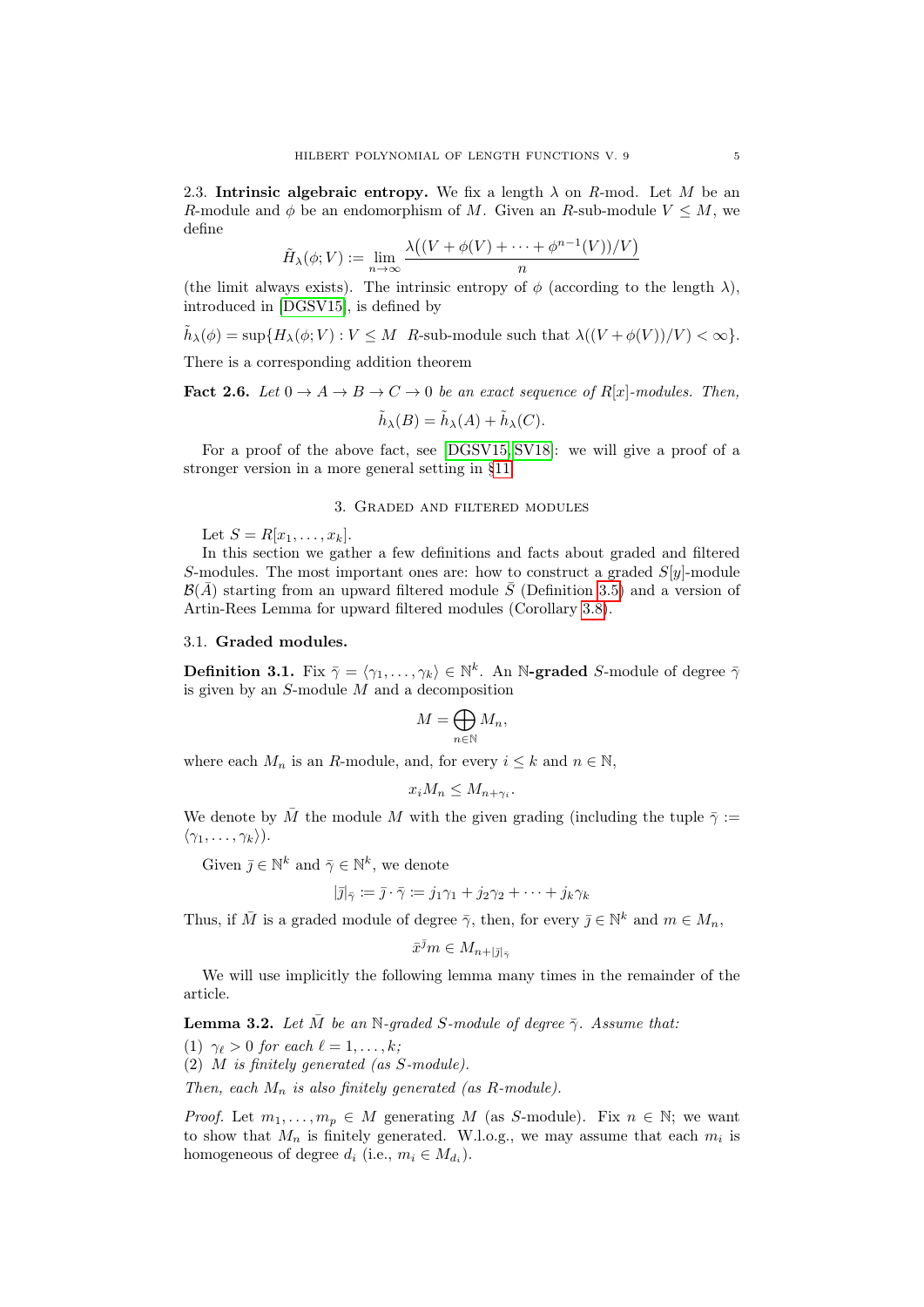<span id="page-4-1"></span>2.3. Intrinsic algebraic entropy. We fix a length  $\lambda$  on R-mod. Let M be an R-module and  $\phi$  be an endomorphism of M. Given an R-sub-module  $V \leq M$ , we define

$$
\tilde{H}_{\lambda}(\phi; V) := \lim_{n \to \infty} \frac{\lambda\big((V + \phi(V) + \dots + \phi^{n-1}(V))/V\big)}{n}
$$

(the limit always exists). The intrinsic entropy of  $\phi$  (according to the length  $\lambda$ ). introduced in [\[DGSV15\]](#page-33-5), is defined by

 $\tilde{h}_{\lambda}(\phi) = \sup \{ H_{\lambda}(\phi; V) : V \leq M \mid R\text{-sub-module such that } \lambda((V + \phi(V))/V) < \infty \}.$ 

There is a corresponding addition theorem

**Fact 2.6.** Let  $0 \to A \to B \to C \to 0$  be an exact sequence of  $R[x]$ -modules. Then,

$$
\tilde{h}_{\lambda}(B) = \tilde{h}_{\lambda}(A) + \tilde{h}_{\lambda}(C).
$$

For a proof of the above fact, see [\[DGSV15,](#page-33-5) [SV18\]](#page-34-13): we will give a proof of a stronger version in a more general setting in [§11.](#page-22-0)

# 3. Graded and filtered modules

<span id="page-4-0"></span>Let  $S = R[x_1, \ldots, x_k]$ .

In this section we gather a few definitions and facts about graded and filtered S-modules. The most important ones are: how to construct a graded  $S[y]$ -module  $\mathcal{B}(\bar{A})$  starting from an upward filtered module  $\bar{S}$  (Definition [3.5\)](#page-6-0) and a version of Artin-Rees Lemma for upward filtered modules (Corollary [3.8\)](#page-7-2).

# 3.1. Graded modules.

**Definition 3.1.** Fix  $\bar{\gamma} = \langle \gamma_1, \ldots, \gamma_k \rangle \in \mathbb{N}^k$ . An N-graded S-module of degree  $\bar{\gamma}$ is given by an  $S$ -module  $M$  and a decomposition

$$
M=\bigoplus_{n\in\mathbb{N}}M_n,
$$

where each  $M_n$  is an R-module, and, for every  $i \leq k$  and  $n \in \mathbb{N}$ ,

$$
x_i M_n \leq M_{n+\gamma_i}.
$$

We denote by  $\bar{M}$  the module M with the given grading (including the tuple  $\bar{\gamma}$  :=  $\langle \gamma_1, \ldots, \gamma_k \rangle$ ).

Given  $\bar{\jmath} \in \mathbb{N}^k$  and  $\bar{\gamma} \in \mathbb{N}^k$ , we denote

$$
|\bar{\jmath}|_{\bar{\gamma}} := \bar{\jmath} \cdot \bar{\gamma} := j_1 \gamma_1 + j_2 \gamma_2 + \dots + j_k \gamma_k
$$

Thus, if  $\overline{M}$  is a graded module of degree  $\overline{\gamma}$ , then, for every  $\overline{j} \in \mathbb{N}^k$  and  $m \in M_n$ ,

$$
\bar{x}^{\bar{\jmath}}m \in M_{n+|\bar{\jmath}|_{\bar{\gamma}}}
$$

We will use implicitly the following lemma many times in the remainder of the article.

<span id="page-4-2"></span>**Lemma 3.2.** Let M be an N-graded S-module of degree  $\bar{\gamma}$ . Assume that:

(1)  $\gamma_{\ell} > 0$  for each  $\ell = 1, \ldots, k;$ 

(2) M is finitely generated (as S-module).

Then, each  $M_n$  is also finitely generated (as R-module).

*Proof.* Let  $m_1, \ldots, m_p \in M$  generating M (as S-module). Fix  $n \in \mathbb{N}$ ; we want to show that  $M_n$  is finitely generated. W.l.o.g., we may assume that each  $m_i$  is homogeneous of degree  $d_i$  (i.e.,  $m_i \in M_{d_i}$ ).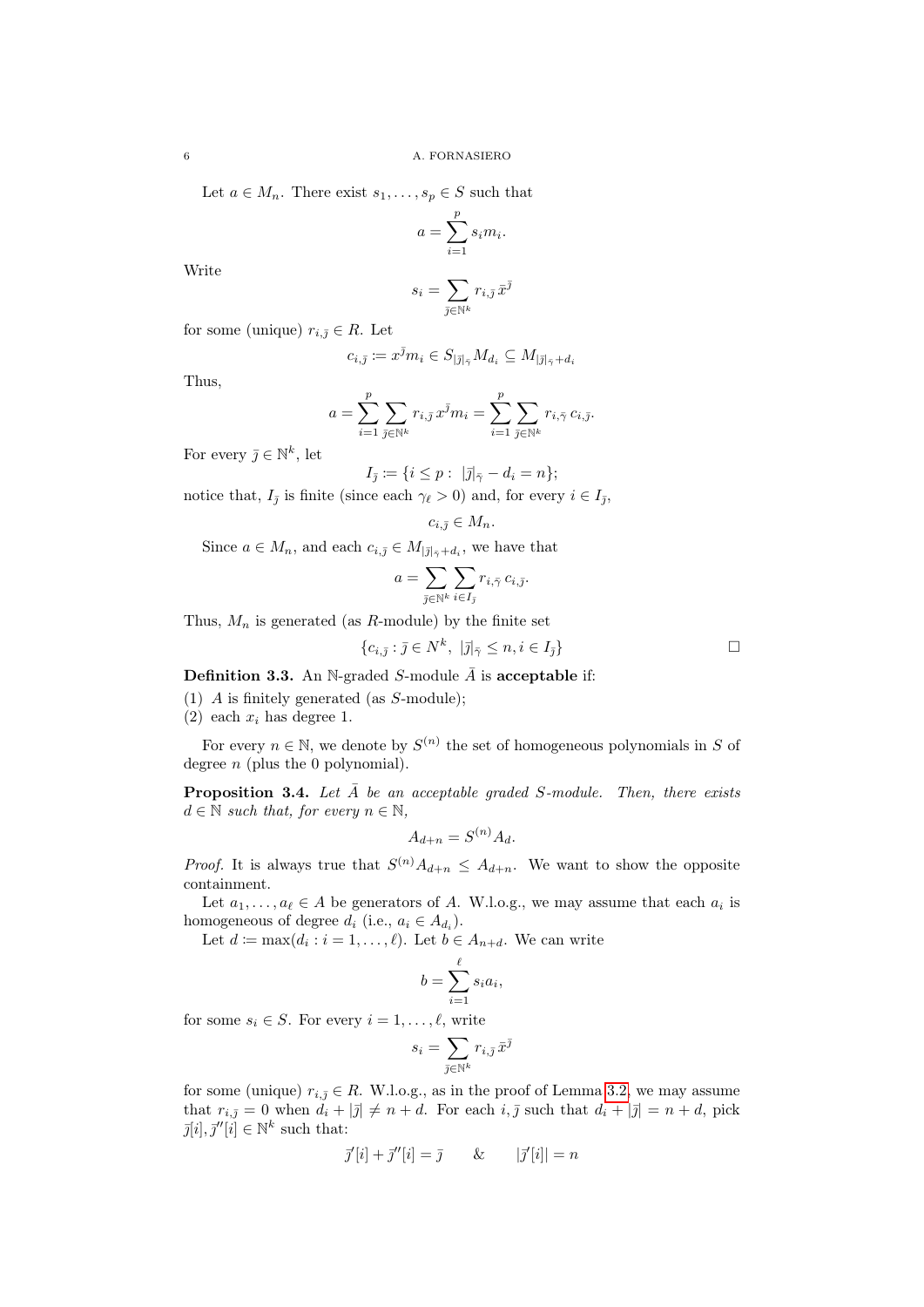Let  $a \in M_n$ . There exist  $s_1, \ldots, s_p \in S$  such that

$$
a = \sum_{i=1}^{p} s_i m_i.
$$

Write

$$
s_i = \sum_{\bar{\jmath} \in \mathbb{N}^k} r_{i,\bar{\jmath}} \, \bar{x}^{\bar{\jmath}}
$$

for some (unique)  $r_{i,\bar{j}} \in R$ . Let

$$
c_{i,\bar{\jmath}} \coloneqq x^{\bar{\jmath}}m_i \in S_{|\bar{\jmath}|_{\bar{\gamma}}} M_{d_i} \subseteq M_{|\bar{\jmath}|_{\bar{\gamma}} + d_i}
$$

Thus,

$$
a = \sum_{i=1}^p \sum_{\bar{\jmath} \in \mathbb{N}^k} r_{i,\bar{\jmath}} x^{\bar{\jmath}} m_i = \sum_{i=1}^p \sum_{\bar{\jmath} \in \mathbb{N}^k} r_{i,\bar{\gamma}} \, c_{i,\bar{\jmath}}.
$$

For every  $\bar{\jmath} \in \mathbb{N}^k$ , let

$$
I_{\bar{j}} \coloneqq \{i \leq p : \ |\bar{j}|_{\bar{\gamma}} - d_i = n\};
$$

notice that,  $I_{\bar{j}}$  is finite (since each  $\gamma_{\ell} > 0$ ) and, for every  $i \in I_{\bar{j}}$ ,

$$
c_{i,\bar{j}}\in M_n.
$$

Since  $a \in M_n$ , and each  $c_{i,\bar{j}} \in M_{|\bar{j}|_{\bar{\gamma}}+d_i}$ , we have that

$$
a = \sum_{\bar{\jmath} \in \mathbb{N}^k} \sum_{i \in I_{\bar{\jmath}}} r_{i, \bar{\gamma}} \, c_{i, \bar{\jmath}}.
$$

Thus,  $M_n$  is generated (as R-module) by the finite set

$$
\{c_{i,\overline{j}} : \overline{j} \in N^k, \ |\overline{j}|_{\overline{\gamma}} \le n, i \in I_{\overline{j}}\}\n\Box
$$

<span id="page-5-1"></span>**Definition 3.3.** An N-graded S-module  $\overline{A}$  is acceptable if:

- (1) A is finitely generated (as S-module);
- (2) each  $x_i$  has degree 1.

For every  $n \in \mathbb{N}$ , we denote by  $S^{(n)}$  the set of homogeneous polynomials in S of degree  $n$  (plus the 0 polynomial).

<span id="page-5-0"></span>**Proposition 3.4.** Let  $\overline{A}$  be an acceptable graded S-module. Then, there exists  $d \in \mathbb{N}$  such that, for every  $n \in \mathbb{N}$ ,

$$
A_{d+n} = S^{(n)}A_d.
$$

*Proof.* It is always true that  $S^{(n)}A_{d+n} \leq A_{d+n}$ . We want to show the opposite containment.

Let  $a_1, \ldots, a_\ell \in A$  be generators of A. W.l.o.g., we may assume that each  $a_i$  is homogeneous of degree  $d_i$  (i.e.,  $a_i \in A_{d_i}$ ).

Let  $d := \max(d_i : i = 1, \ldots, \ell)$ . Let  $b \in A_{n+d}$ . We can write

$$
b = \sum_{i=1}^{\ell} s_i a_i,
$$

for some  $s_i \in S$ . For every  $i = 1, \ldots, \ell$ , write

$$
s_i = \sum_{\bar{\jmath} \in \mathbb{N}^k} r_{i,\bar{\jmath}} \, \bar{x}^{\bar{\jmath}}
$$

for some (unique)  $r_{i,\bar{j}} \in R$ . W.l.o.g., as in the proof of Lemma [3.2,](#page-4-2) we may assume that  $r_{i,\bar{j}} = 0$  when  $d_i + |\bar{j}| \neq n + d$ . For each  $i, \bar{j}$  such that  $d_i + |\bar{j}| = n + d$ , pick  $\bar{j}[i], \bar{j}''[\tilde{i}] \in \mathbb{N}^k$  such that:

$$
\bar{\jmath}'[i] + \bar{\jmath}''[i] = \bar{\jmath} \qquad \& \qquad |\bar{\jmath}'[i]| = n
$$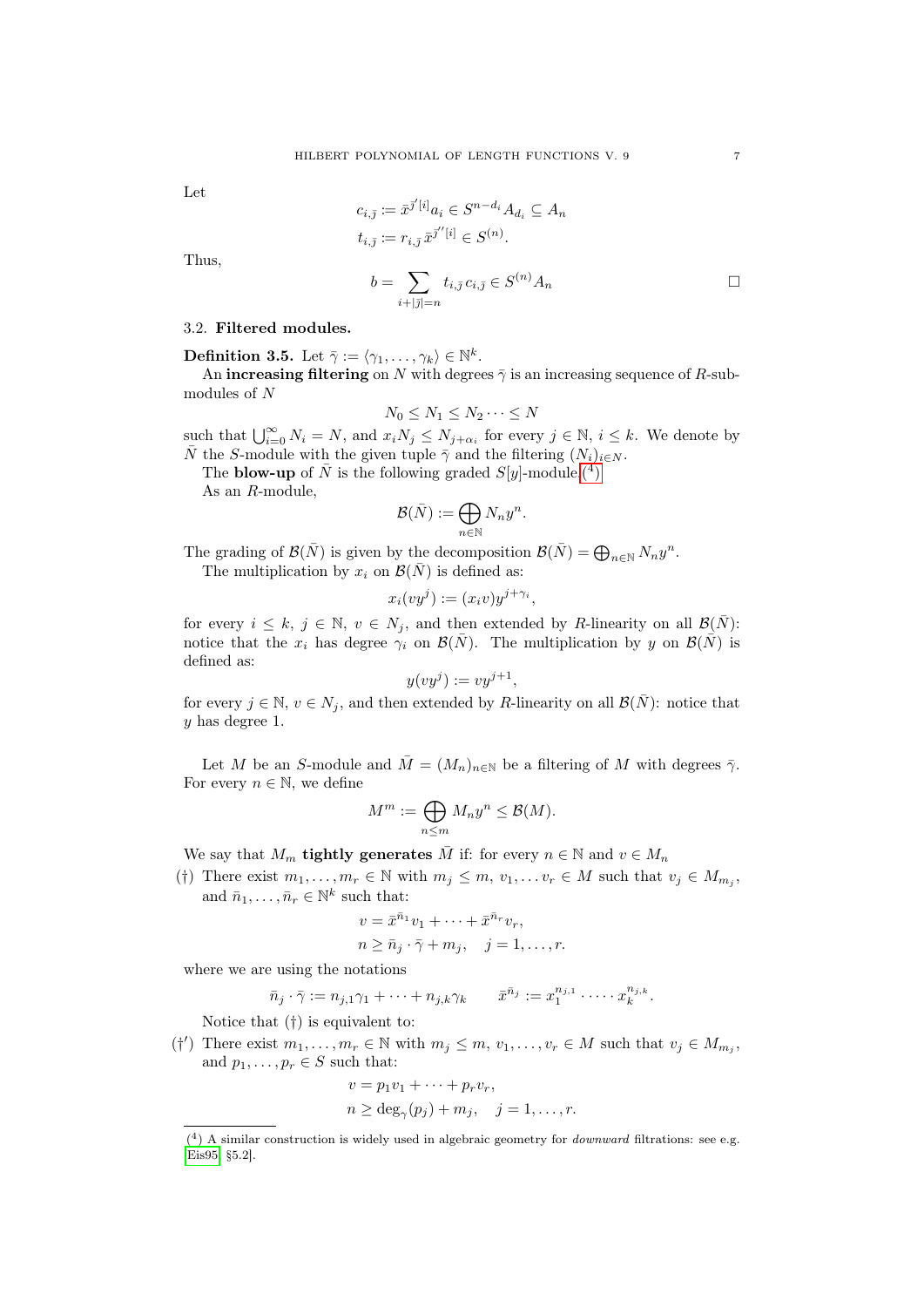Let

Thus,

$$
c_{i,\overline{j}} \coloneqq \overline{x}^{\overline{j}'[i]} a_i \in S^{n-d_i} A_{d_i} \subseteq A_n
$$
  
\n
$$
t_{i,\overline{j}} \coloneqq r_{i,\overline{j}} \overline{x}^{\overline{j}'[i]} \in S^{(n)}.
$$
  
\n
$$
b = \sum_{i+|\overline{j}|=n} t_{i,\overline{j}} c_{i,\overline{j}} \in S^{(n)} A_n
$$

3.2. Filtered modules.

<span id="page-6-0"></span>**Definition 3.5.** Let  $\bar{\gamma} := \langle \gamma_1, \ldots, \gamma_k \rangle \in \mathbb{N}^k$ .

An **increasing filtering** on N with degrees  $\bar{\gamma}$  is an increasing sequence of R-submodules of N

$$
N_0 \leq N_1 \leq N_2 \cdots \leq N
$$

such that  $\bigcup_{i=0}^{\infty} N_i = N$ , and  $x_i N_j \leq N_{j+\alpha_i}$  for every  $j \in \mathbb{N}$ ,  $i \leq k$ . We denote by  $\overline{N}$  the S-module with the given tuple  $\overline{\gamma}$  and the filtering  $(N_i)_{i\in N}$ .

The **blow-up** of  $\bar{N}$  is the following graded  $S[y]$ -module.<sup>(4)</sup>

As an R-module,

$$
\mathcal{B}(\bar{N}) := \bigoplus_{n \in \mathbb{N}} N_n y^n.
$$

The grading of  $\mathcal{B}(\bar{N})$  is given by the decomposition  $\mathcal{B}(\bar{N}) = \bigoplus_{n \in \mathbb{N}} N_n y^n$ .

The multiplication by  $x_i$  on  $\mathcal{B}(\bar{N})$  is defined as:

$$
x_i(vy^j) := (x_iv)y^{j+\gamma_i},
$$

for every  $i \leq k, j \in \mathbb{N}, v \in N_j$ , and then extended by R-linearity on all  $\mathcal{B}(\bar{N})$ : notice that the  $x_i$  has degree  $\gamma_i$  on  $\mathcal{B}(\bar{N})$ . The multiplication by y on  $\mathcal{B}(\bar{N})$  is defined as:

$$
y(vy^j) := vy^{j+1}
$$

,

for every  $j \in \mathbb{N}$ ,  $v \in N_j$ , and then extended by R-linearity on all  $\mathcal{B}(\bar{N})$ : notice that y has degree 1.

Let M be an S-module and  $\overline{M} = (M_n)_{n \in \mathbb{N}}$  be a filtering of M with degrees  $\overline{\gamma}$ . For every  $n \in \mathbb{N}$ , we define

$$
M^m := \bigoplus_{n \le m} M_n y^n \le \mathcal{B}(M).
$$

We say that  $M_m$  **tightly generates** M if: for every  $n \in \mathbb{N}$  and  $v \in M_n$ 

(†) There exist  $m_1, \ldots, m_r \in \mathbb{N}$  with  $m_j \leq m, v_1, \ldots v_r \in M$  such that  $v_j \in M_{m_j}$ , and  $\bar{n}_1, \ldots, \bar{n}_r \in \mathbb{N}^k$  such that:

$$
v = \bar{x}^{\bar{n}_1} v_1 + \dots + \bar{x}^{\bar{n}_r} v_r,
$$
  
\n
$$
n \ge \bar{n}_j \cdot \bar{\gamma} + m_j, \quad j = 1, \dots, r.
$$

where we are using the notations

$$
\bar{n}_j \cdot \bar{\gamma} := n_{j,1}\gamma_1 + \cdots + n_{j,k}\gamma_k \qquad \bar{x}^{\bar{n}_j} := x_1^{n_{j,1}} \cdot \cdots \cdot x_k^{n_{j,k}}.
$$

Notice that (†) is equivalent to:

(†') There exist  $m_1, \ldots, m_r \in \mathbb{N}$  with  $m_j \leq m, v_1, \ldots, v_r \in M$  such that  $v_j \in M_{m_j}$ , and  $p_1, \ldots, p_r \in S$  such that:

$$
v = p_1v_1 + \dots + p_rv_r,
$$
  
\n
$$
n \ge \deg_{\gamma}(p_j) + m_j, \quad j = 1, \dots, r.
$$

<span id="page-6-1"></span> $(4)$  A similar construction is widely used in algebraic geometry for *downward* filtrations: see e.g. [\[Eis95,](#page-33-2) §5.2].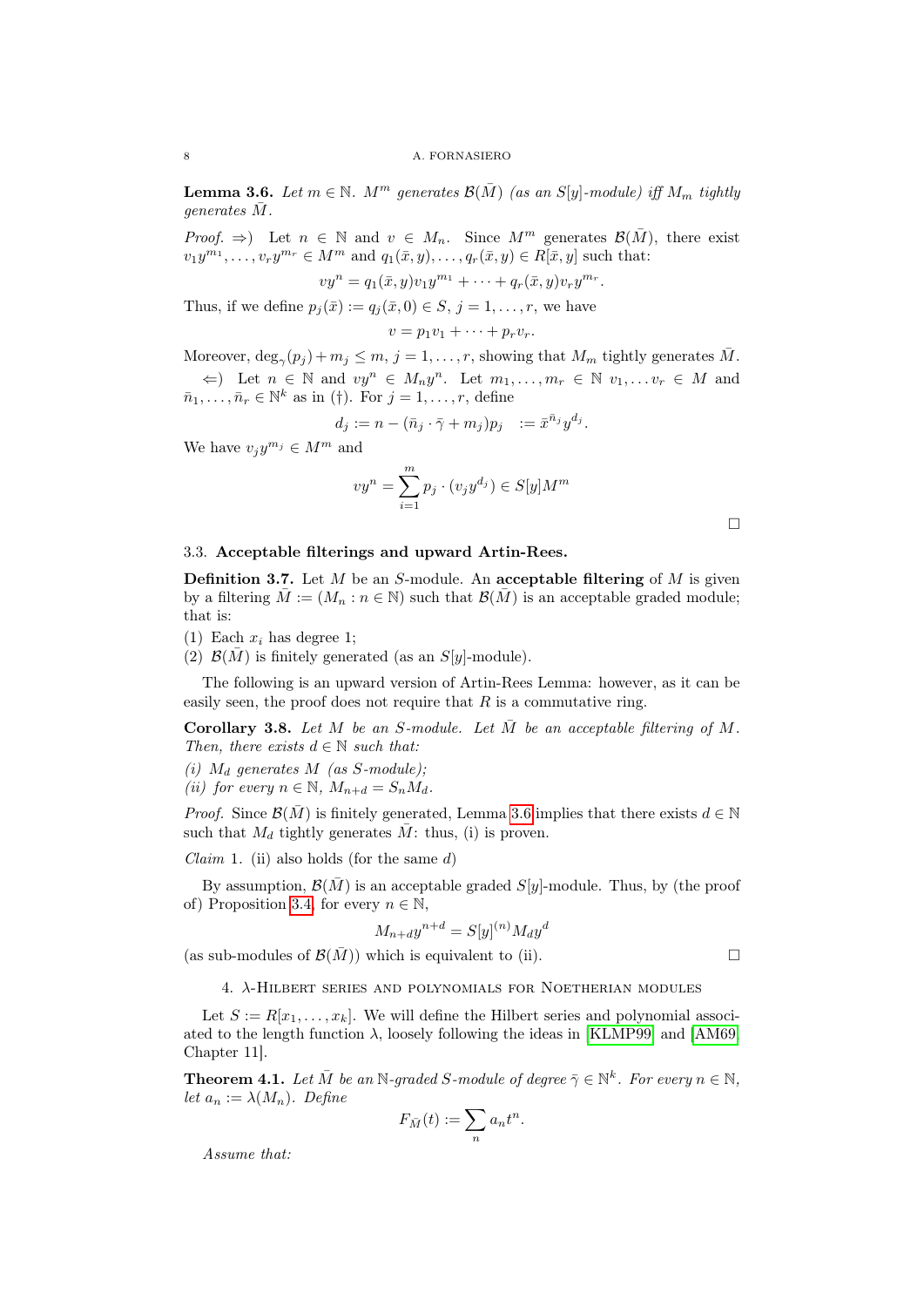<span id="page-7-3"></span>**Lemma 3.6.** Let  $m \in \mathbb{N}$ .  $M^m$  generates  $\mathcal{B}(\overline{M})$  (as an S[y]-module) iff  $M_m$  tightly generates  $\overline{M}$ .

*Proof.*  $\Rightarrow$ ) Let  $n \in \mathbb{N}$  and  $v \in M_n$ . Since  $M^m$  generates  $\mathcal{B}(\overline{M})$ , there exist  $v_1y^{m_1}, \ldots, v_ry^{m_r} \in M^m$  and  $q_1(\bar{x}, y), \ldots, q_r(\bar{x}, y) \in R[\bar{x}, y]$  such that:

 $vy^{n} = q_{1}(\bar{x}, y)v_{1}y^{m_{1}} + \cdots + q_{r}(\bar{x}, y)v_{r}y^{m_{r}}.$ 

Thus, if we define  $p_i(\bar{x}) := q_i(\bar{x}, 0) \in S$ ,  $j = 1, \ldots, r$ , we have

$$
v=p_1v_1+\cdots+p_rv_r.
$$

Moreover,  $\deg_{\gamma}(p_j) + m_j \leq m, j = 1, \ldots, r$ , showing that  $M_m$  tightly generates  $\overline{M}$ .  $\Leftarrow$ ) Let  $n \in \mathbb{N}$  and  $vy^n \in M_ny^n$ . Let  $m_1, \ldots, m_r \in \mathbb{N}$   $v_1, \ldots v_r \in M$  and

 $\bar{n}_1, \ldots, \bar{n}_r \in \mathbb{N}^k$  as in (†). For  $j = 1, \ldots, r$ , define

$$
d_j := n - (\bar{n}_j \cdot \bar{\gamma} + m_j) p_j \quad := \bar{x}^{\bar{n}_j} y^{d_j}.
$$

We have  $v_jy^{m_j} \in M^m$  and

$$
vy^n = \sum_{i=1}^m p_j \cdot (v_j y^{d_j}) \in S[y]M^m
$$

# 3.3. Acceptable filterings and upward Artin-Rees.

<span id="page-7-4"></span>**Definition 3.7.** Let M be an S-module. An acceptable filtering of M is given by a filtering  $\overline{M} := (M_n : n \in \mathbb{N})$  such that  $\mathcal{B}(\overline{M})$  is an acceptable graded module; that is:

- (1) Each  $x_i$  has degree 1;
- (2)  $\mathcal{B}(\overline{M})$  is finitely generated (as an S[y]-module).

The following is an upward version of Artin-Rees Lemma: however, as it can be easily seen, the proof does not require that  $R$  is a commutative ring.

<span id="page-7-2"></span>Corollary 3.8. Let M be an S-module. Let  $\overline{M}$  be an acceptable filtering of M. Then, there exists  $d \in \mathbb{N}$  such that:

- (i)  $M_d$  generates  $M$  (as S-module);
- (ii) for every  $n \in \mathbb{N}$ ,  $M_{n+d} = S_n M_d$ .

*Proof.* Since  $\mathcal{B}(\overline{M})$  is finitely generated, Lemma [3.6](#page-7-3) implies that there exists  $d \in \mathbb{N}$ such that  $M_d$  tightly generates  $M$ : thus, (i) is proven.

*Claim* 1. (ii) also holds (for the same  $d$ )

By assumption,  $\mathcal{B}(M)$  is an acceptable graded  $S[y]$ -module. Thus, by (the proof of) Proposition [3.4,](#page-5-0) for every  $n \in \mathbb{N}$ ,

$$
M_{n+d}y^{n+d} = S[y]^{(n)}M_d y^d
$$

<span id="page-7-0"></span>(as sub-modules of  $\mathcal{B}(\bar{M})$ ) which is equivalent to (ii).

4. λ-Hilbert series and polynomials for Noetherian modules

Let  $S := R[x_1, \ldots, x_k]$ . We will define the Hilbert series and polynomial associated to the length function  $\lambda$ , loosely following the ideas in [\[KLMP99\]](#page-34-4) and [\[AM69,](#page-33-7) Chapter 11].

<span id="page-7-1"></span>**Theorem 4.1.** Let  $\overline{M}$  be an N-graded S-module of degree  $\overline{\gamma} \in \mathbb{N}^k$ . For every  $n \in \mathbb{N}$ , let  $a_n := \lambda(M_n)$ . Define

$$
F_{\bar{M}}(t) := \sum_{n} a_n t^n.
$$

Assume that:

$$
f_{\rm{max}}
$$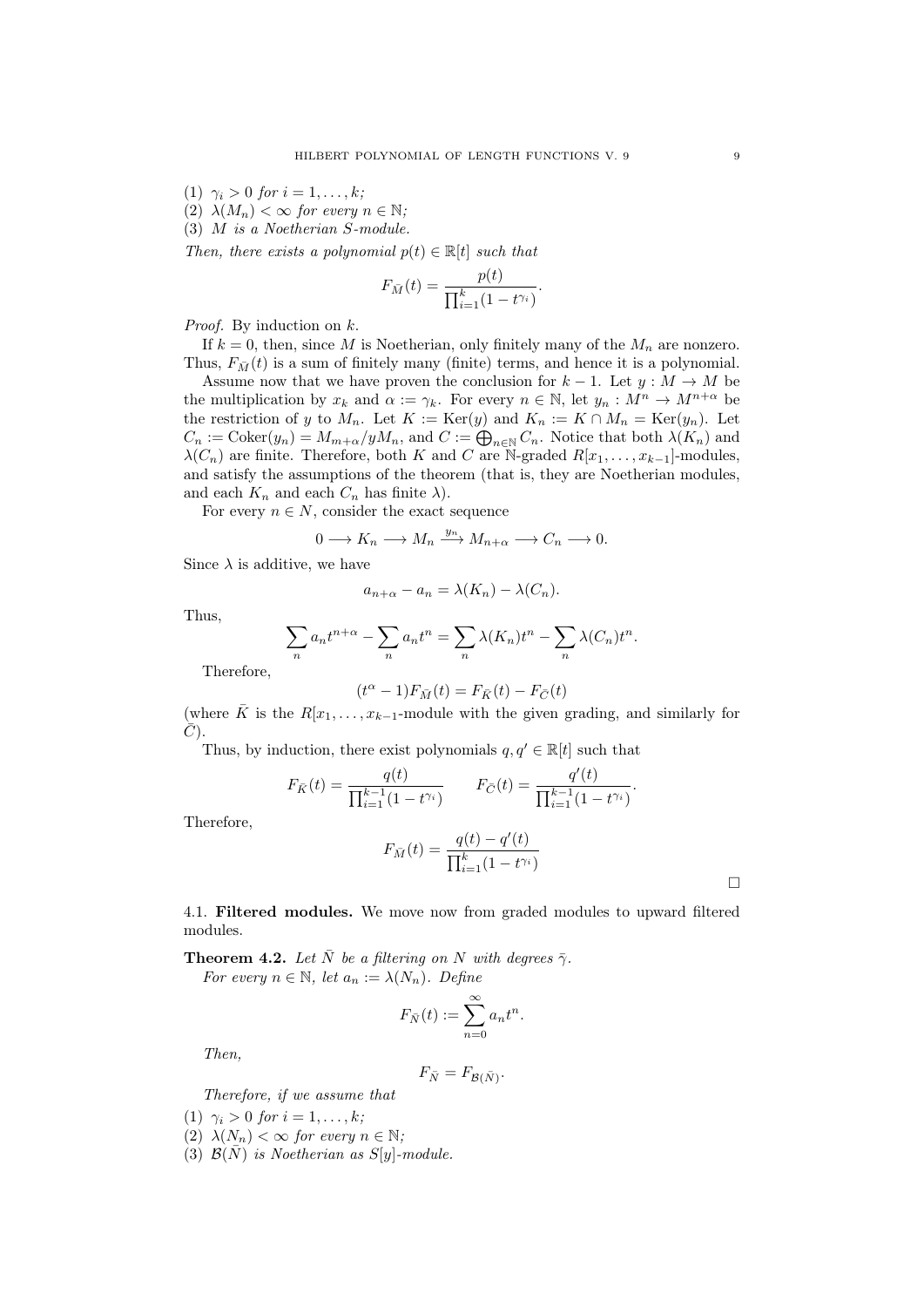(1)  $\gamma_i > 0$  for  $i = 1, ..., k;$ 

(2)  $\lambda(M_n) < \infty$  for every  $n \in \mathbb{N}$ ;

<span id="page-8-1"></span>(3) M is a Noetherian S-module.

Then, there exists a polynomial  $p(t) \in \mathbb{R}[t]$  such that

$$
F_{\bar{M}}(t) = \frac{p(t)}{\prod_{i=1}^k (1 - t^{\gamma_i})}.
$$

*Proof.* By induction on  $k$ .

If  $k = 0$ , then, since M is Noetherian, only finitely many of the  $M_n$  are nonzero. Thus,  $F_{\bar{M}}(t)$  is a sum of finitely many (finite) terms, and hence it is a polynomial.

Assume now that we have proven the conclusion for  $k-1$ . Let  $y : M \to M$  be the multiplication by  $x_k$  and  $\alpha := \gamma_k$ . For every  $n \in \mathbb{N}$ , let  $y_n : M^n \to M^{n+\alpha}$  be the restriction of y to  $M_n$ . Let  $K := \text{Ker}(y)$  and  $K_n := K \cap M_n = \text{Ker}(y_n)$ . Let  $C_n := \text{Coker}(y_n) = M_{m+\alpha}/yM_n$ , and  $C := \bigoplus_{n \in \mathbb{N}} C_n$ . Notice that both  $\lambda(K_n)$  and  $\lambda(C_n)$  are finite. Therefore, both K and C are N-graded  $R[x_1, \ldots, x_{k-1}]$ -modules, and satisfy the assumptions of the theorem (that is, they are Noetherian modules, and each  $K_n$  and each  $C_n$  has finite  $\lambda$ ).

For every  $n \in N$ , consider the exact sequence

$$
0 \longrightarrow K_n \longrightarrow M_n \xrightarrow{y_n} M_{n+\alpha} \longrightarrow C_n \longrightarrow 0.
$$

Since  $\lambda$  is additive, we have

$$
a_{n+\alpha} - a_n = \lambda(K_n) - \lambda(C_n).
$$

Thus,

$$
\sum_{n} a_n t^{n+\alpha} - \sum_{n} a_n t^n = \sum_{n} \lambda(K_n) t^n - \sum_{n} \lambda(C_n) t^n.
$$

Therefore,

$$
(t^\alpha-1)F_{\bar{M}}(t)=F_{\bar{K}}(t)-F_{\bar{C}}(t)
$$

(where  $\overline{K}$  is the  $R[x_1, \ldots, x_{k-1}$ -module with the given grading, and similarly for  $C$ ).

Thus, by induction, there exist polynomials  $q, q' \in \mathbb{R}[t]$  such that

$$
F_{\bar{K}}(t) = \frac{q(t)}{\prod_{i=1}^{k-1} (1 - t^{\gamma_i})} \qquad F_{\bar{C}}(t) = \frac{q'(t)}{\prod_{i=1}^{k-1} (1 - t^{\gamma_i})}.
$$

Therefore,

$$
F_{\bar{M}}(t) = \frac{q(t) - q'(t)}{\prod_{i=1}^{k} (1 - t^{\gamma_i})}
$$

4.1. Filtered modules. We move now from graded modules to upward filtered modules.

<span id="page-8-0"></span>**Theorem 4.2.** Let  $\overline{N}$  be a filtering on N with degrees  $\overline{\gamma}$ . For every  $n \in \mathbb{N}$ , let  $a_n := \lambda(N_n)$ . Define

$$
F_{\bar{N}}(t) := \sum_{n=0}^{\infty} a_n t^n.
$$

Then,

$$
F_{\bar{N}} = F_{\mathcal{B}(\bar{N})}.
$$

Therefore, if we assume that

- (1)  $\gamma_i > 0$  for  $i = 1, ..., k$ ;
- (2)  $\lambda(N_n) < \infty$  for every  $n \in \mathbb{N}$ ;
- <span id="page-8-2"></span>(3)  $\mathcal{B}(\bar{N})$  is Noetherian as S[y]-module.

 $\Box$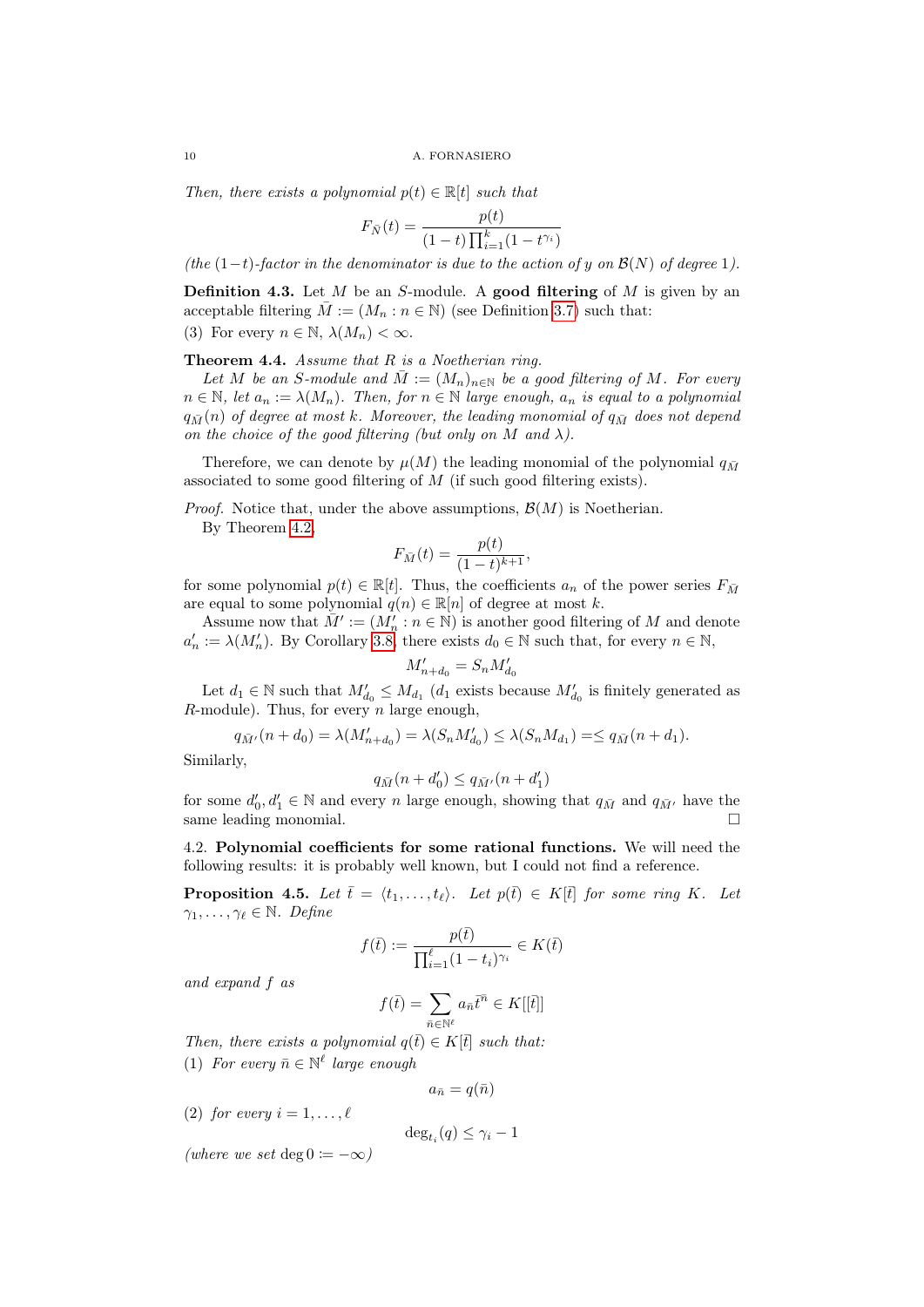Then, there exists a polynomial  $p(t) \in \mathbb{R}[t]$  such that

$$
F_{\bar{N}}(t) = \frac{p(t)}{(1-t)\prod_{i=1}^{k}(1-t^{\gamma_i})}
$$

(the  $(1-t)$ -factor in the denominator is due to the action of y on  $\mathcal{B}(N)$  of degree 1).

<span id="page-9-1"></span>**Definition 4.3.** Let M be an S-module. A good filtering of M is given by an acceptable filtering  $\overline{M} := (M_n : n \in \mathbb{N})$  (see Definition [3.7\)](#page-7-4) such that: (3) For every  $n \in \mathbb{N}$ ,  $\lambda(M_n) < \infty$ .

<span id="page-9-2"></span>**Theorem 4.4.** Assume that  $R$  is a Noetherian ring.

Let M be an S-module and  $\overline{M} := (M_n)_{n \in \mathbb{N}}$  be a good filtering of M. For every  $n \in \mathbb{N}$ , let  $a_n := \lambda(M_n)$ . Then, for  $n \in \mathbb{N}$  large enough,  $a_n$  is equal to a polynomial  $q_{\bar{M}}(n)$  of degree at most k. Moreover, the leading monomial of  $q_{\bar{M}}$  does not depend on the choice of the good filtering (but only on M and  $\lambda$ ).

Therefore, we can denote by  $\mu(M)$  the leading monomial of the polynomial  $q_{\bar{M}}$ associated to some good filtering of M (if such good filtering exists).

*Proof.* Notice that, under the above assumptions,  $\mathcal{B}(M)$  is Noetherian.

By Theorem [4.2,](#page-8-0)

$$
F_{\bar{M}}(t) = \frac{p(t)}{(1-t)^{k+1}},
$$

for some polynomial  $p(t) \in \mathbb{R}[t]$ . Thus, the coefficients  $a_n$  of the power series  $F_{\bar{M}}$ are equal to some polynomial  $q(n) \in \mathbb{R}[n]$  of degree at most k.

Assume now that  $\tilde{M}' := (M'_n : n \in \mathbb{N})$  is another good filtering of M and denote  $a'_n := \lambda(M'_n)$ . By Corollary [3.8,](#page-7-2) there exists  $d_0 \in \mathbb{N}$  such that, for every  $n \in \mathbb{N}$ ,

$$
M_{n+d_0}^\prime=S_nM_{d_0}^\prime
$$

Let  $d_1 \in \mathbb{N}$  such that  $M'_{d_0} \leq M_{d_1}$  ( $d_1$  exists because  $M'_{d_0}$  is finitely generated as  $R$ -module). Thus, for every *n* large enough,

$$
q_{\bar{M}'}(n+d_0) = \lambda(M'_{n+d_0}) = \lambda(S_n M'_{d_0}) \leq \lambda(S_n M_{d_1}) = \leq q_{\bar{M}}(n+d_1).
$$

Similarly,

$$
q_{\bar{M}}(n+d'_0)\leq q_{\bar{M}'}(n+d'_1)
$$

for some  $d'_0, d'_1 \in \mathbb{N}$  and every n large enough, showing that  $q_{\bar{M}}$  and  $q_{\bar{M'}}$  have the same leading monomial.

4.2. Polynomial coefficients for some rational functions. We will need the following results: it is probably well known, but I could not find a reference.

<span id="page-9-0"></span>**Proposition 4.5.** Let  $\bar{t} = \langle t_1, \ldots, t_\ell \rangle$ . Let  $p(\bar{t}) \in K[\bar{t}]$  for some ring K. Let  $\gamma_1, \ldots, \gamma_\ell \in \mathbb{N}$ . Define

$$
f(\bar t):=\frac{p(\bar t)}{\prod_{i=1}^\ell (1-t_i)^{\gamma_i}}\in K(\bar t)
$$

and expand f as

$$
f(\bar t)=\sum_{\bar n\in\mathbb N^\ell}a_{\bar n}\bar t^{\bar n}\in K[[\bar t]]
$$

Then, there exists a polynomial  $q(\bar{t}) \in K[\bar{t}]$  such that: (1) For every  $\bar{n} \in \mathbb{N}^{\ell}$  large enough

$$
a_{\bar{n}}=q(\bar{n})
$$

(2) for every  $i = 1, \ldots, \ell$ 

$$
\deg_{t_i}(q) \leq \gamma_i - 1
$$

(where we set deg  $0 \coloneqq -\infty$ )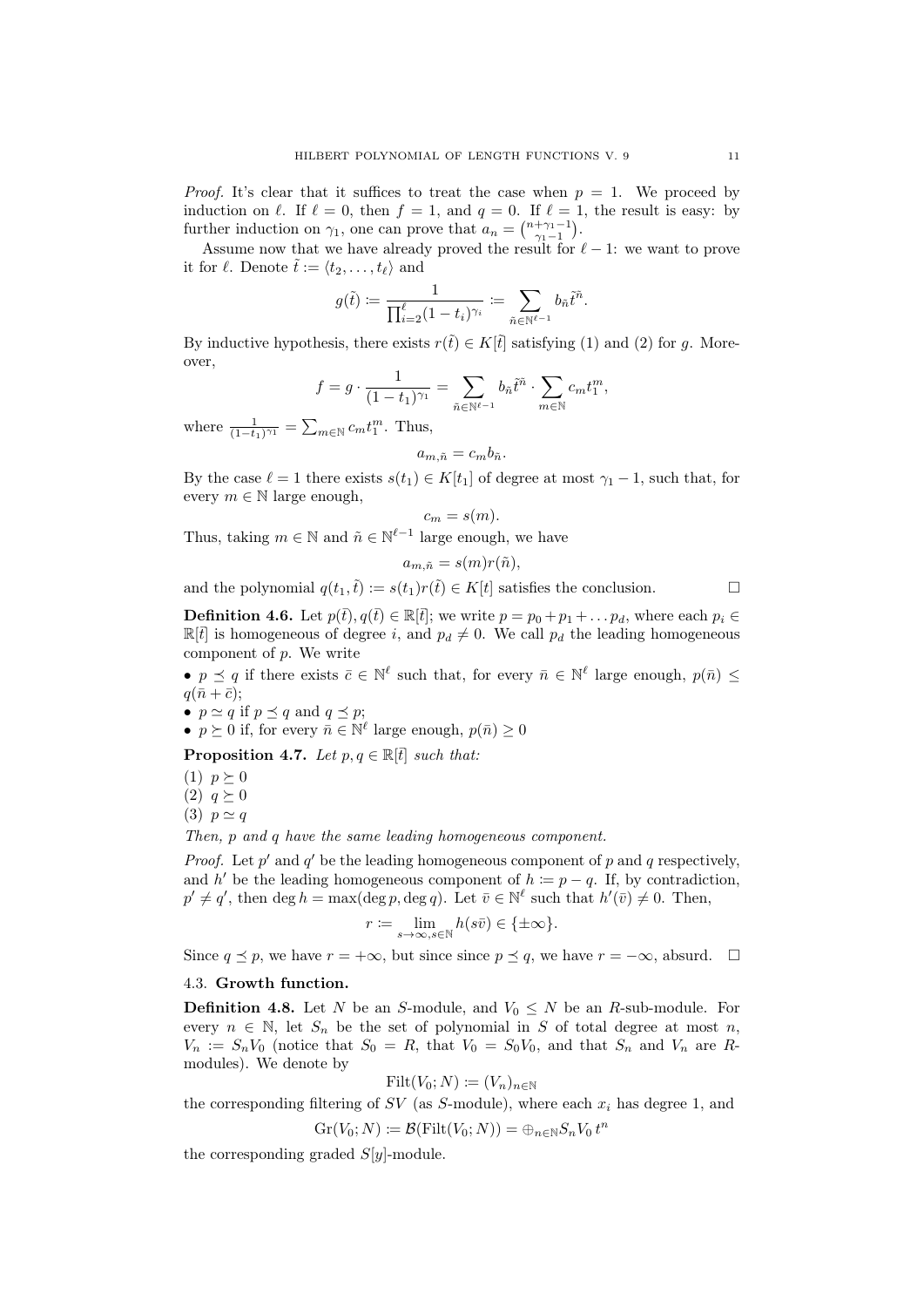*Proof.* It's clear that it suffices to treat the case when  $p = 1$ . We proceed by induction on  $\ell$ . If  $\ell = 0$ , then  $f = 1$ , and  $q = 0$ . If  $\ell = 1$ , the result is easy: by further induction on  $\gamma_1$ , one can prove that  $a_n = \binom{n+\gamma_1-1}{\gamma_1-1}$ .

Assume now that we have already proved the result for  $\ell - 1$ : we want to prove it for  $\ell$ . Denote  $\tilde{t} := \langle t_2, \ldots, t_\ell \rangle$  and

$$
g(\tilde t):=\frac{1}{\prod_{i=2}^\ell (1-t_i)^{\gamma_i}}:=\sum_{\tilde n\in\mathbb N^{\ell-1}} b_{\tilde n} \tilde t^{\tilde n}.
$$

By inductive hypothesis, there exists  $r(\tilde{t}) \in K[\tilde{t}]$  satisfying (1) and (2) for g. Moreover,

$$
f = g \cdot \frac{1}{(1-t_1)^{\gamma_1}} = \sum_{\tilde{n} \in \mathbb{N}^{\ell-1}} b_{\tilde{n}} \tilde{t}^{\tilde{n}} \cdot \sum_{m \in \mathbb{N}} c_m t_1^m,
$$

where  $\frac{1}{(1-t_1)^{\gamma_1}} = \sum_{m \in \mathbb{N}} c_m t_1^m$ . Thus,

$$
a_{m,\tilde{n}}=c_{m}b_{\tilde{n}}.
$$

By the case  $\ell = 1$  there exists  $s(t_1) \in K[t_1]$  of degree at most  $\gamma_1 - 1$ , such that, for every  $m \in \mathbb{N}$  large enough,

$$
c_m = s(m).
$$

Thus, taking  $m \in \mathbb{N}$  and  $\tilde{n} \in \mathbb{N}^{\ell-1}$  large enough, we have

$$
a_{m,\tilde{n}} = s(m)r(\tilde{n}),
$$

and the polynomial  $q(t_1,\tilde{t}) := s(t_1)r(\tilde{t}) \in K[t]$  satisfies the conclusion.

<span id="page-10-1"></span>**Definition 4.6.** Let  $p(\bar{t}), q(\bar{t}) \in \mathbb{R}[\bar{t}]$ ; we write  $p = p_0 + p_1 + \ldots + p_d$ , where each  $p_i \in \bar{t}$  $\mathbb{R}[t]$  is homogeneous of degree i, and  $p_d \neq 0$ . We call  $p_d$  the leading homogeneous component of  $p$ . We write

•  $p \preceq q$  if there exists  $\bar{c} \in \mathbb{N}^{\ell}$  such that, for every  $\bar{n} \in \mathbb{N}^{\ell}$  large enough,  $p(\bar{n}) \leq$  $q(\bar{n} + \bar{c});$ 

•  $p \simeq q$  if  $p \preceq q$  and  $q \preceq p$ ;

•  $p \succeq 0$  if, for every  $\bar{n} \in \mathbb{N}^{\ell}$  large enough,  $p(\bar{n}) \geq 0$ 

<span id="page-10-2"></span>**Proposition 4.7.** Let  $p, q \in \mathbb{R}[t]$  such that:

(1)  $p \geq 0$ 

 $(2)$   $q \geq 0$ 

(3)  $p \simeq q$ 

Then, p and q have the same leading homogeneous component.

*Proof.* Let  $p'$  and  $q'$  be the leading homogeneous component of p and q respectively, and h' be the leading homogeneous component of  $h \coloneqq p - q$ . If, by contradiction,  $p' \neq q'$ , then deg  $h = \max(\deg p, \deg q)$ . Let  $\bar{v} \in \mathbb{N}^{\ell}$  such that  $h'(\bar{v}) \neq 0$ . Then,

$$
r := \lim_{s \to \infty, s \in \mathbb{N}} h(s\bar{v}) \in \{\pm \infty\}.
$$

Since  $q \preceq p$ , we have  $r = +\infty$ , but since since  $p \preceq q$ , we have  $r = -\infty$ , absurd.  $\Box$ 

### <span id="page-10-0"></span>4.3. Growth function.

**Definition 4.8.** Let N be an S-module, and  $V_0 \leq N$  be an R-sub-module. For every  $n \in \mathbb{N}$ , let  $S_n$  be the set of polynomial in S of total degree at most n,  $V_n := S_n V_0$  (notice that  $S_0 = R$ , that  $V_0 = S_0 V_0$ , and that  $S_n$  and  $V_n$  are Rmodules). We denote by

$$
\text{Filt}(V_0; N) \coloneqq (V_n)_{n \in \mathbb{N}}
$$

the corresponding filtering of SV (as S-module), where each  $x_i$  has degree 1, and

$$
Gr(V_0; N) \coloneqq \mathcal{B}(Filt(V_0; N)) = \bigoplus_{n \in \mathbb{N}} S_n V_0 t^n
$$

the corresponding graded  $S[y]$ -module.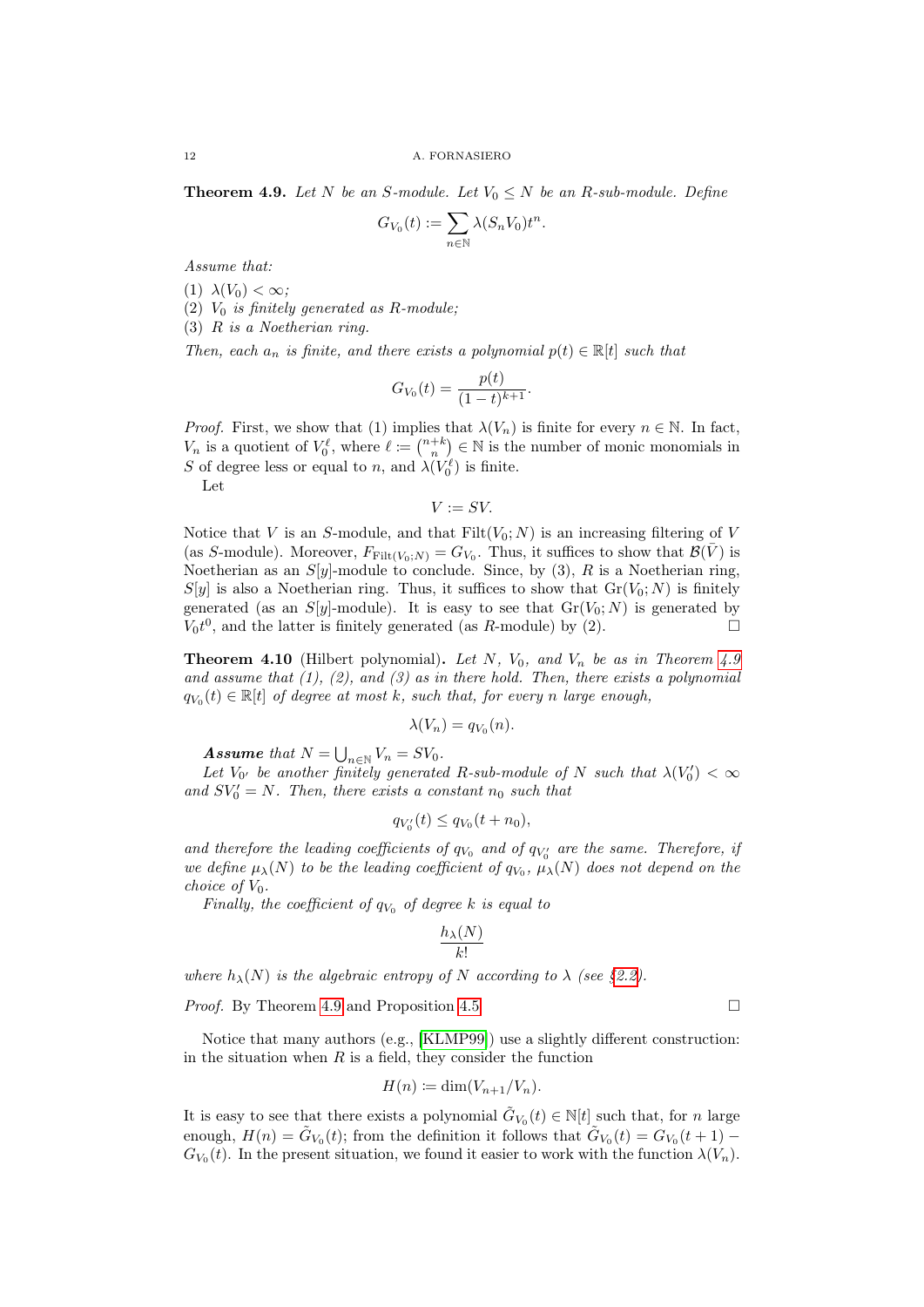12 A. FORNASIERO

<span id="page-11-1"></span>**Theorem 4.9.** Let N be an S-module. Let  $V_0 \leq N$  be an R-sub-module. Define

$$
G_{V_0}(t) := \sum_{n \in \mathbb{N}} \lambda(S_n V_0) t^n.
$$

Assume that:

(1)  $\lambda(V_0) < \infty$ ;

(2)  $V_0$  is finitely generated as R-module;

(3) R is a Noetherian ring.

Then, each  $a_n$  is finite, and there exists a polynomial  $p(t) \in \mathbb{R}[t]$  such that

$$
G_{V_0}(t) = \frac{p(t)}{(1-t)^{k+1}}.
$$

*Proof.* First, we show that (1) implies that  $\lambda(V_n)$  is finite for every  $n \in \mathbb{N}$ . In fact,  $V_n$  is a quotient of  $V_0^{\ell}$ , where  $\ell := \binom{n+k}{n} \in \mathbb{N}$  is the number of monic monomials in S of degree less or equal to n, and  $\lambda(V_0^{\ell})$  is finite.

Let

$$
V := SV.
$$

Notice that V is an S-module, and that  $Filt(V_0; N)$  is an increasing filtering of V (as S-module). Moreover,  $F_{\text{Filt}(V_0;N)} = G_{V_0}$ . Thus, it suffices to show that  $\mathcal{B}(\bar{V})$  is Noetherian as an  $S[y]$ -module to conclude. Since, by (3), R is a Noetherian ring,  $S[y]$  is also a Noetherian ring. Thus, it suffices to show that  $Gr(V_0; N)$  is finitely generated (as an  $S[y]$ -module). It is easy to see that  $Gr(V_0; N)$  is generated by  $V_0t^0$ , and the latter is finitely generated (as R-module) by (2).

<span id="page-11-0"></span>**Theorem 4.10** (Hilbert polynomial). Let N,  $V_0$ , and  $V_n$  be as in Theorem [4.9](#page-11-1) and assume that  $(1)$ ,  $(2)$ , and  $(3)$  as in there hold. Then, there exists a polynomial  $q_{V_0}(t) \in \mathbb{R}[t]$  of degree at most k, such that, for every n large enough,

$$
\lambda(V_n)=q_{V_0}(n).
$$

**Assume** that  $N = \bigcup_{n \in \mathbb{N}} V_n = SV_0$ .

Let  $V_{0'}$  be another finitely generated R-sub-module of N such that  $\lambda(V'_{0}) < \infty$ and  $SV'_0 = N$ . Then, there exists a constant  $n_0$  such that

$$
q_{V_0'}(t) \le q_{V_0}(t + n_0),
$$

and therefore the leading coefficients of  $q_{V_0}$  and of  $q_{V'_0}$  are the same. Therefore, if we define  $\mu_{\lambda}(N)$  to be the leading coefficient of  $q_{V_0}$ ,  $\mu_{\lambda}(N)$  does not depend on the choice of  $V_0$ .

Finally, the coefficient of  $q_{V_0}$  of degree k is equal to

$$
\frac{h_{\lambda}(N)}{k!}
$$

where  $h_{\lambda}(N)$  is the algebraic entropy of N according to  $\lambda$  (see [§2.2\)](#page-3-2).

*Proof.* By Theorem [4.9](#page-11-1) and Proposition [4.5](#page-9-0) □

Notice that many authors (e.g., [\[KLMP99\]](#page-34-4)) use a slightly different construction: in the situation when  $R$  is a field, they consider the function

$$
H(n) \coloneqq \dim(V_{n+1}/V_n).
$$

It is easy to see that there exists a polynomial  $\tilde{G}_{V_0}(t) \in \mathbb{N}[t]$  such that, for n large enough,  $H(n) = \tilde{G}_{V_0}(t)$ ; from the definition it follows that  $\tilde{G}_{V_0}(t) = G_{V_0}(t+1)$  $G_{V_0}(t)$ . In the present situation, we found it easier to work with the function  $\lambda(V_n)$ .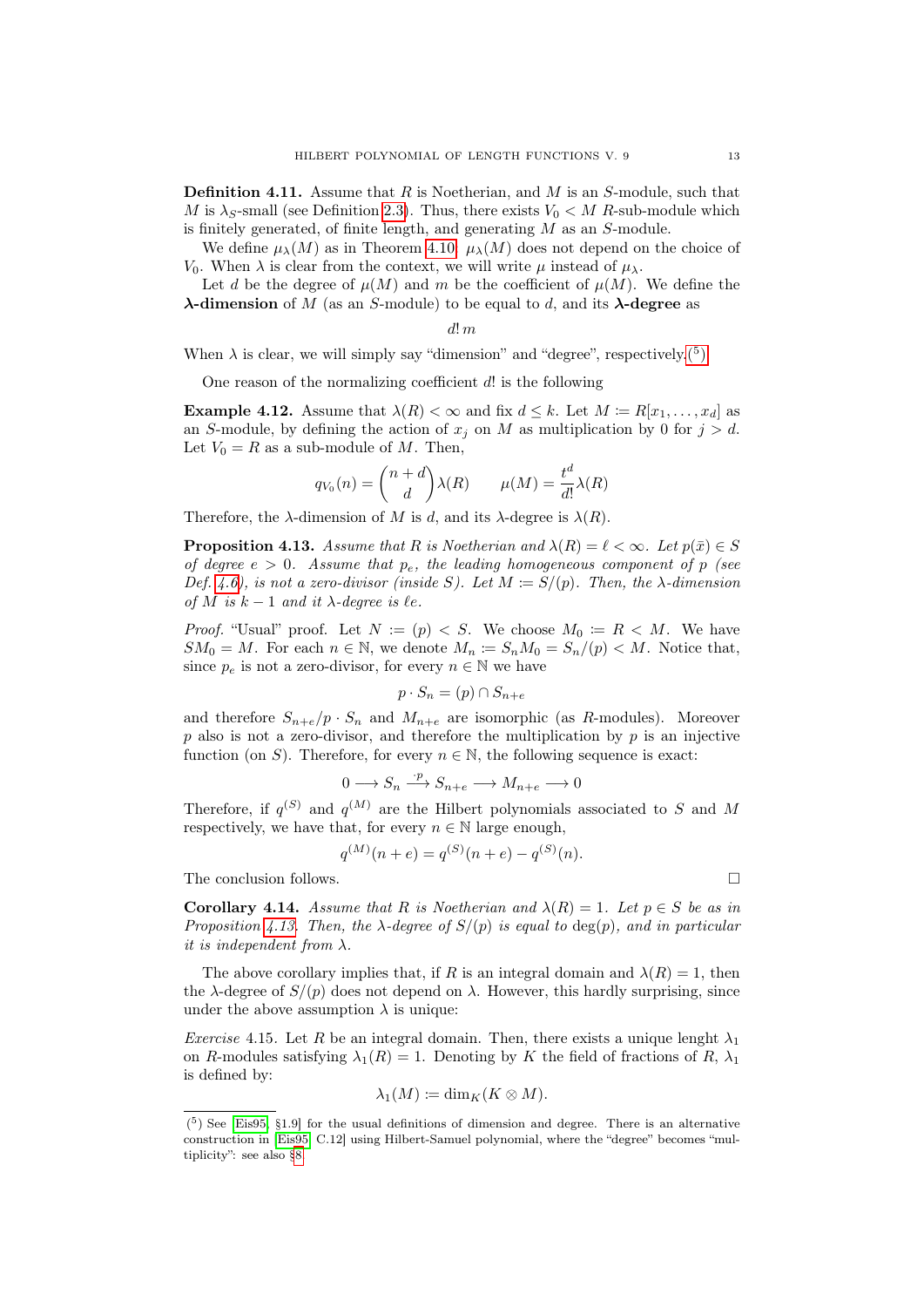<span id="page-12-2"></span>**Definition 4.11.** Assume that R is Noetherian, and M is an S-module, such that M is  $\lambda_S$ -small (see Definition [2.3\)](#page-2-4). Thus, there exists  $V_0 \lt M$  R-sub-module which is finitely generated, of finite length, and generating M as an S-module.

We define  $\mu_{\lambda}(M)$  as in Theorem [4.10:](#page-11-0)  $\mu_{\lambda}(M)$  does not depend on the choice of V<sub>0</sub>. When  $\lambda$  is clear from the context, we will write u instead of  $\mu_{\lambda}$ .

Let d be the degree of  $\mu(M)$  and m be the coefficient of  $\mu(M)$ . We define the  $\lambda$ -dimension of M (as an S-module) to be equal to d, and its  $\lambda$ -degree as

$$
d!\,m
$$

When  $\lambda$  is clear, we will simply say "dimension" and "degree", respectively.<sup>(5</sup>)

One reason of the normalizing coefficient  $d!$  is the following

**Example 4.12.** Assume that  $\lambda(R) < \infty$  and fix  $d \leq k$ . Let  $M := R[x_1, \ldots, x_d]$  as an S-module, by defining the action of  $x_j$  on M as multiplication by 0 for  $j > d$ . Let  $V_0 = R$  as a sub-module of M. Then,

$$
q_{V_0}(n) = \binom{n+d}{d} \lambda(R) \qquad \mu(M) = \frac{t^d}{d!} \lambda(R)
$$

Therefore, the  $\lambda$ -dimension of M is d, and its  $\lambda$ -degree is  $\lambda(R)$ .

<span id="page-12-1"></span>**Proposition 4.13.** Assume that R is Noetherian and  $\lambda(R) = \ell < \infty$ . Let  $p(\bar{x}) \in S$ of degree  $e > 0$ . Assume that  $p_e$ , the leading homogeneous component of p (see Def. [4.6\)](#page-10-1), is not a zero-divisor (inside S). Let  $M := S/(p)$ . Then, the  $\lambda$ -dimension of M is  $k - 1$  and it  $\lambda$ -degree is  $\ell e$ .

*Proof.* "Usual" proof. Let  $N := (p) < S$ . We choose  $M_0 := R < M$ . We have  $SM_0 = M$ . For each  $n \in \mathbb{N}$ , we denote  $M_n := S_n M_0 = S_n / (p) < M$ . Notice that, since  $p_e$  is not a zero-divisor, for every  $n \in \mathbb{N}$  we have

$$
p \cdot S_n = (p) \cap S_{n+e}
$$

and therefore  $S_{n+e}/p \cdot S_n$  and  $M_{n+e}$  are isomorphic (as R-modules). Moreover  $p$  also is not a zero-divisor, and therefore the multiplication by  $p$  is an injective function (on S). Therefore, for every  $n \in \mathbb{N}$ , the following sequence is exact:

$$
0 \longrightarrow S_n \xrightarrow{\cdot p} S_{n+e} \longrightarrow M_{n+e} \longrightarrow 0
$$

Therefore, if  $q^{(S)}$  and  $q^{(M)}$  are the Hilbert polynomials associated to S and M respectively, we have that, for every  $n \in \mathbb{N}$  large enough,

$$
q^{(M)}(n+e) = q^{(S)}(n+e) - q^{(S)}(n).
$$

The conclusion follows.  $\Box$ 

**Corollary 4.14.** Assume that R is Noetherian and  $\lambda(R) = 1$ . Let  $p \in S$  be as in Proposition [4.13.](#page-12-1) Then, the  $\lambda$ -degree of  $S/(p)$  is equal to  $\deg(p)$ , and in particular it is independent from  $\lambda$ .

The above corollary implies that, if R is an integral domain and  $\lambda(R) = 1$ , then the  $\lambda$ -degree of  $S/(p)$  does not depend on  $\lambda$ . However, this hardly surprising, since under the above assumption  $\lambda$  is unique:

Exercise 4.15. Let R be an integral domain. Then, there exists a unique lenght  $\lambda_1$ on R-modules satisfying  $\lambda_1(R) = 1$ . Denoting by K the field of fractions of R,  $\lambda_1$ is defined by:

$$
\lambda_1(M) \coloneqq \dim_K(K \otimes M).
$$

<span id="page-12-0"></span> $(5)$  See [\[Eis95,](#page-33-2) §1.9] for the usual definitions of dimension and degree. There is an alternative construction in [\[Eis95,](#page-33-2) C.12] using Hilbert-Samuel polynomial, where the "degree" becomes "multiplicity": see also [§8.](#page-16-0)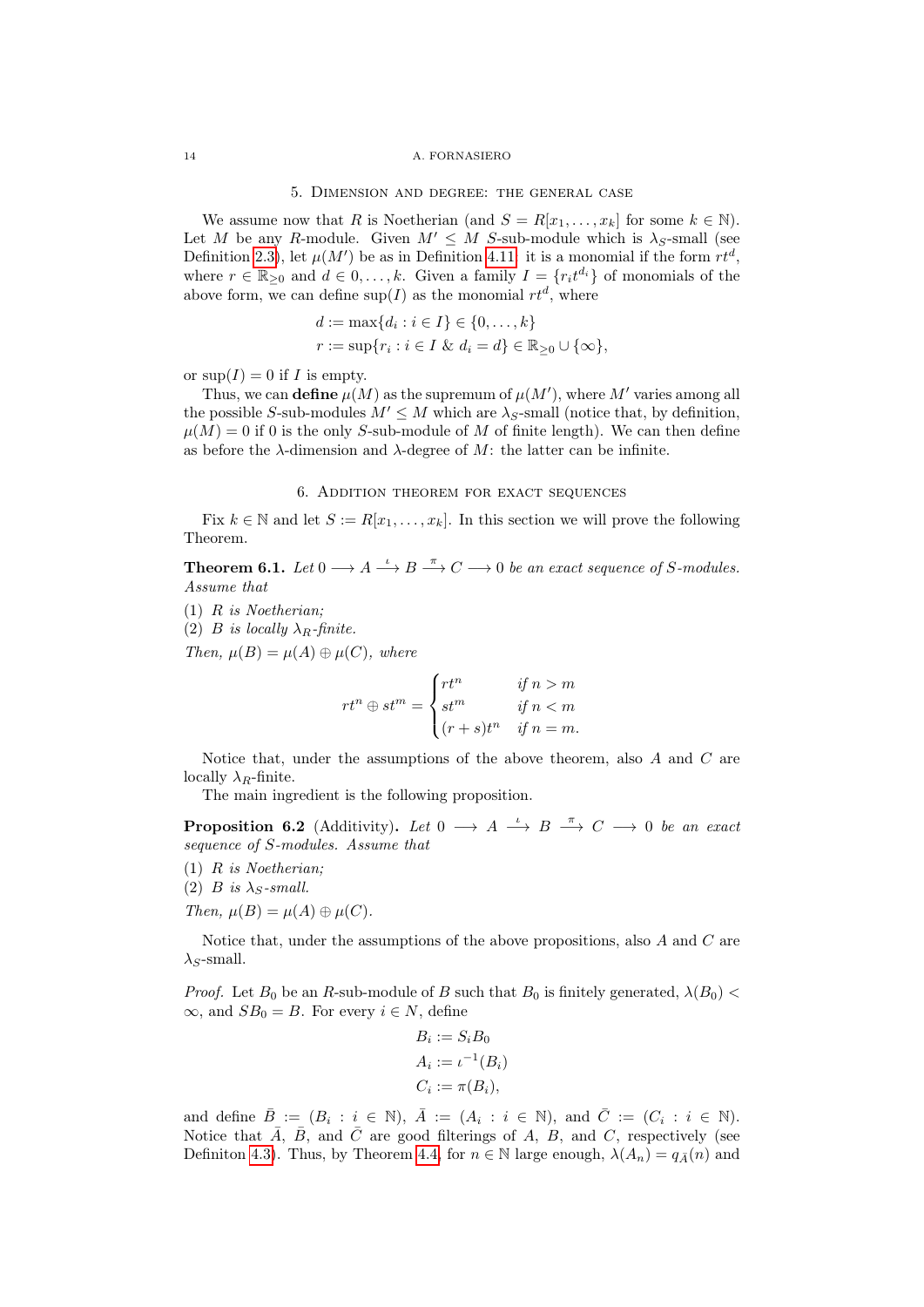### <span id="page-13-0"></span>14 A. FORNASIERO

#### 5. Dimension and degree: the general case

We assume now that R is Noetherian (and  $S = R[x_1, \ldots, x_k]$  for some  $k \in \mathbb{N}$ ). Let M be any R-module. Given  $M' \leq M$  S-sub-module which is  $\lambda_S$ -small (see Definition [2.3\)](#page-2-4), let  $\mu(M')$  be as in Definition [4.11:](#page-12-2) it is a monomial if the form  $rt^d$ , where  $r \in \mathbb{R}_{\geq 0}$  and  $d \in 0, \ldots, k$ . Given a family  $I = \{r_i t^{d_i}\}\$  of monomials of the above form, we can define  $\sup(I)$  as the monomial  $rt^d$ , where

$$
d := \max\{d_i : i \in I\} \in \{0, ..., k\}
$$
  

$$
r := \sup\{r_i : i \in I \& d_i = d\} \in \mathbb{R}_{\geq 0} \cup \{\infty\},
$$

or  $\sup(I) = 0$  if I is empty.

Thus, we can define  $\mu(M)$  as the supremum of  $\mu(M')$ , where  $M'$  varies among all the possible S-sub-modules  $M' \leq M$  which are  $\lambda_S$ -small (notice that, by definition,  $\mu(M) = 0$  if 0 is the only S-sub-module of M of finite length). We can then define as before the  $\lambda$ -dimension and  $\lambda$ -degree of M: the latter can be infinite.

## 6. Addition theorem for exact sequences

<span id="page-13-1"></span>Fix  $k \in \mathbb{N}$  and let  $S := R[x_1, \ldots, x_k]$ . In this section we will prove the following Theorem.

<span id="page-13-2"></span>**Theorem 6.1.** Let  $0 \longrightarrow A \stackrel{\iota}{\longrightarrow} B \stackrel{\pi}{\longrightarrow} C \longrightarrow 0$  be an exact sequence of S-modules. Assume that

(1) R is Noetherian;

(2) B is locally  $\lambda_R$ -finite.

Then,  $\mu(B) = \mu(A) \oplus \mu(C)$ , where

$$
rt^n \oplus st^m = \begin{cases} rt^n & \text{if } n > m \\ st^m & \text{if } n < m \\ (r+s)t^n & \text{if } n = m. \end{cases}
$$

Notice that, under the assumptions of the above theorem, also A and C are locally  $\lambda_R$ -finite.

The main ingredient is the following proposition.

<span id="page-13-3"></span>**Proposition 6.2** (Additivity). Let  $0 \longrightarrow A \stackrel{\iota}{\longrightarrow} B \stackrel{\pi}{\longrightarrow} C \longrightarrow 0$  be an exact sequence of S-modules. Assume that

- $(1)$  R is Noetherian;
- (2) B is  $\lambda_S$ -small.

Then,  $\mu(B) = \mu(A) \oplus \mu(C)$ .

Notice that, under the assumptions of the above propositions, also A and C are  $\lambda_S$ -small.

*Proof.* Let  $B_0$  be an R-sub-module of B such that  $B_0$  is finitely generated,  $\lambda(B_0)$  <  $\infty$ , and  $SB_0 = B$ . For every  $i \in N$ , define

$$
B_i := S_i B_0
$$
  
\n
$$
A_i := \iota^{-1}(B_i)
$$
  
\n
$$
C_i := \pi(B_i),
$$

and define  $\overline{B} := (B_i : i \in \mathbb{N}), \overline{A} := (A_i : i \in \mathbb{N}), \text{ and } \overline{C} := (C_i : i \in \mathbb{N}).$ Notice that  $\bar{A}$ ,  $\bar{B}$ , and  $\bar{C}$  are good filterings of A, B, and C, respectively (see Definiton [4.3\)](#page-9-1). Thus, by Theorem [4.4,](#page-9-2) for  $n \in \mathbb{N}$  large enough,  $\lambda(A_n) = q_{\overline{A}}(n)$  and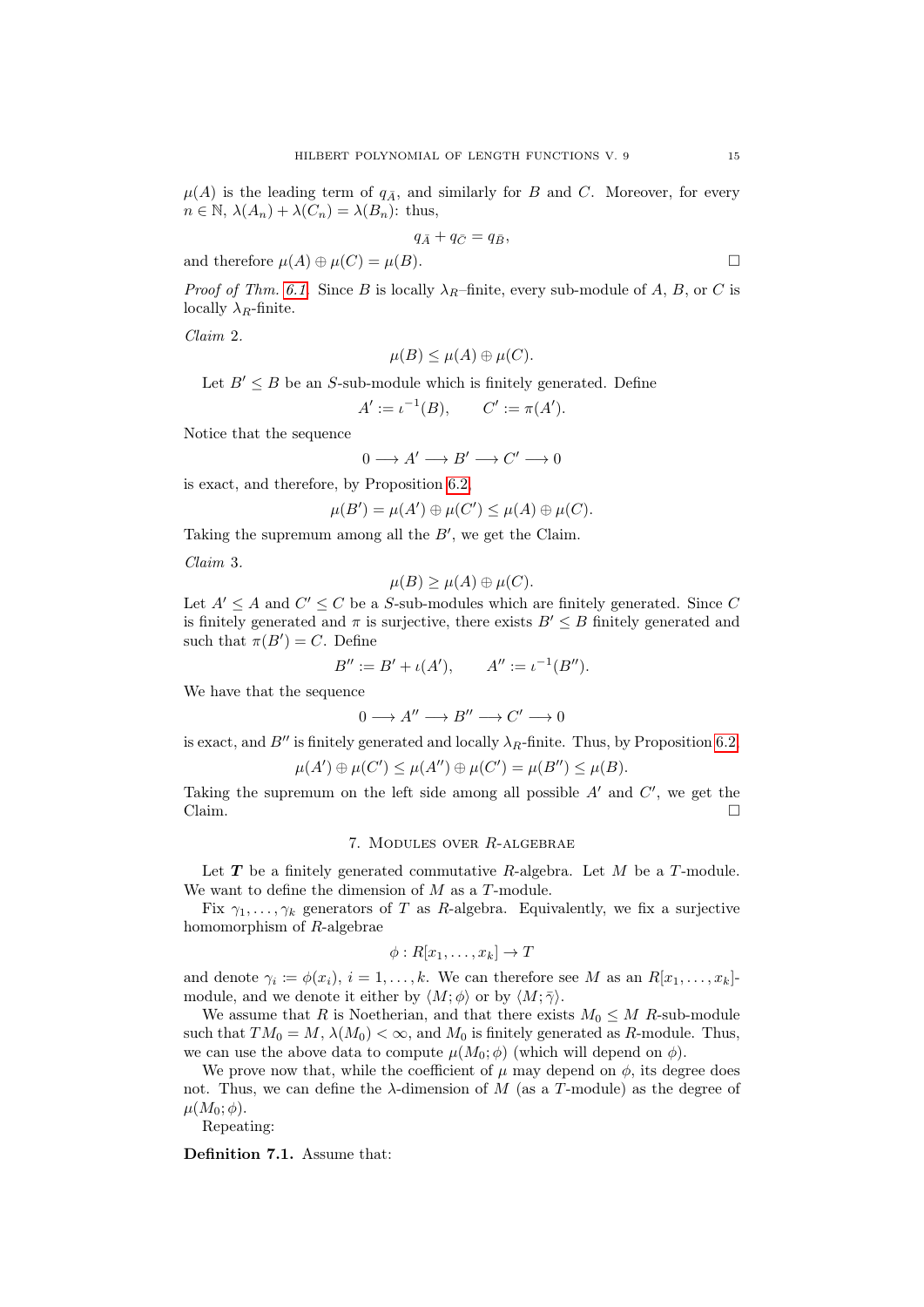$\mu(A)$  is the leading term of  $q_{\bar{A}}$ , and similarly for B and C. Moreover, for every  $n \in \mathbb{N}, \lambda(A_n) + \lambda(C_n) = \lambda(B_n)$ : thus,

$$
q_{\bar{A}}+q_{\bar{C}}=q_{\bar{B}},
$$

and therefore  $\mu(A) \oplus \mu(C) = \mu(B)$ .

*Proof of Thm. [6.1.](#page-13-2)* Since B is locally  $\lambda_R$ –finite, every sub-module of A, B, or C is locally  $\lambda_R$ -finite.

Claim 2.

$$
\mu(B) \le \mu(A) \oplus \mu(C).
$$

Let  $B' \leq B$  be an S-sub-module which is finitely generated. Define

 $A' := \iota^{-1}(B), \qquad C' := \pi(A').$ 

Notice that the sequence

$$
0 \longrightarrow A' \longrightarrow B' \longrightarrow C' \longrightarrow 0
$$

is exact, and therefore, by Proposition [6.2,](#page-13-3)

$$
\mu(B') = \mu(A') \oplus \mu(C') \le \mu(A) \oplus \mu(C).
$$

Taking the supremum among all the  $B'$ , we get the Claim.

Claim 3.

$$
\mu(B) \ge \mu(A) \oplus \mu(C).
$$

Let  $A' \leq A$  and  $C' \leq C$  be a S-sub-modules which are finitely generated. Since C is finitely generated and  $\pi$  is surjective, there exists  $B' \leq B$  finitely generated and such that  $\pi(B') = C$ . Define

$$
B'' := B' + \iota(A'), \qquad A'' := \iota^{-1}(B'').
$$

We have that the sequence

$$
0\longrightarrow A''\longrightarrow B''\longrightarrow C'\longrightarrow 0
$$

is exact, and B<sup>tt</sup> is finitely generated and locally  $\lambda_R$ -finite. Thus, by Proposition [6.2,](#page-13-3)

$$
\mu(A') \oplus \mu(C') \le \mu(A'') \oplus \mu(C') = \mu(B'') \le \mu(B).
$$

Taking the supremum on the left side among all possible  $A'$  and  $C'$ , we get the  $Claim.$ 

# 7. Modules over R-algebrae

<span id="page-14-0"></span>Let  $T$  be a finitely generated commutative  $R$ -algebra. Let  $M$  be a  $T$ -module. We want to define the dimension of  $M$  as a  $T\text{-module}.$ 

Fix  $\gamma_1, \ldots, \gamma_k$  generators of T as R-algebra. Equivalently, we fix a surjective homomorphism of R-algebrae

$$
\phi: R[x_1,\ldots,x_k] \to T
$$

and denote  $\gamma_i := \phi(x_i), i = 1, \ldots, k$ . We can therefore see M as an  $R[x_1, \ldots, x_k]$ module, and we denote it either by  $\langle M; \phi \rangle$  or by  $\langle M; \bar{\gamma} \rangle$ .

We assume that R is Noetherian, and that there exists  $M_0 \leq M$  R-sub-module such that  $TM_0 = M$ ,  $\lambda(M_0) < \infty$ , and  $M_0$  is finitely generated as R-module. Thus, we can use the above data to compute  $\mu(M_0; \phi)$  (which will depend on  $\phi$ ).

We prove now that, while the coefficient of  $\mu$  may depend on  $\phi$ , its degree does not. Thus, we can define the  $\lambda$ -dimension of M (as a T-module) as the degree of  $\mu(M_0;\phi)$ .

Repeating:

Definition 7.1. Assume that: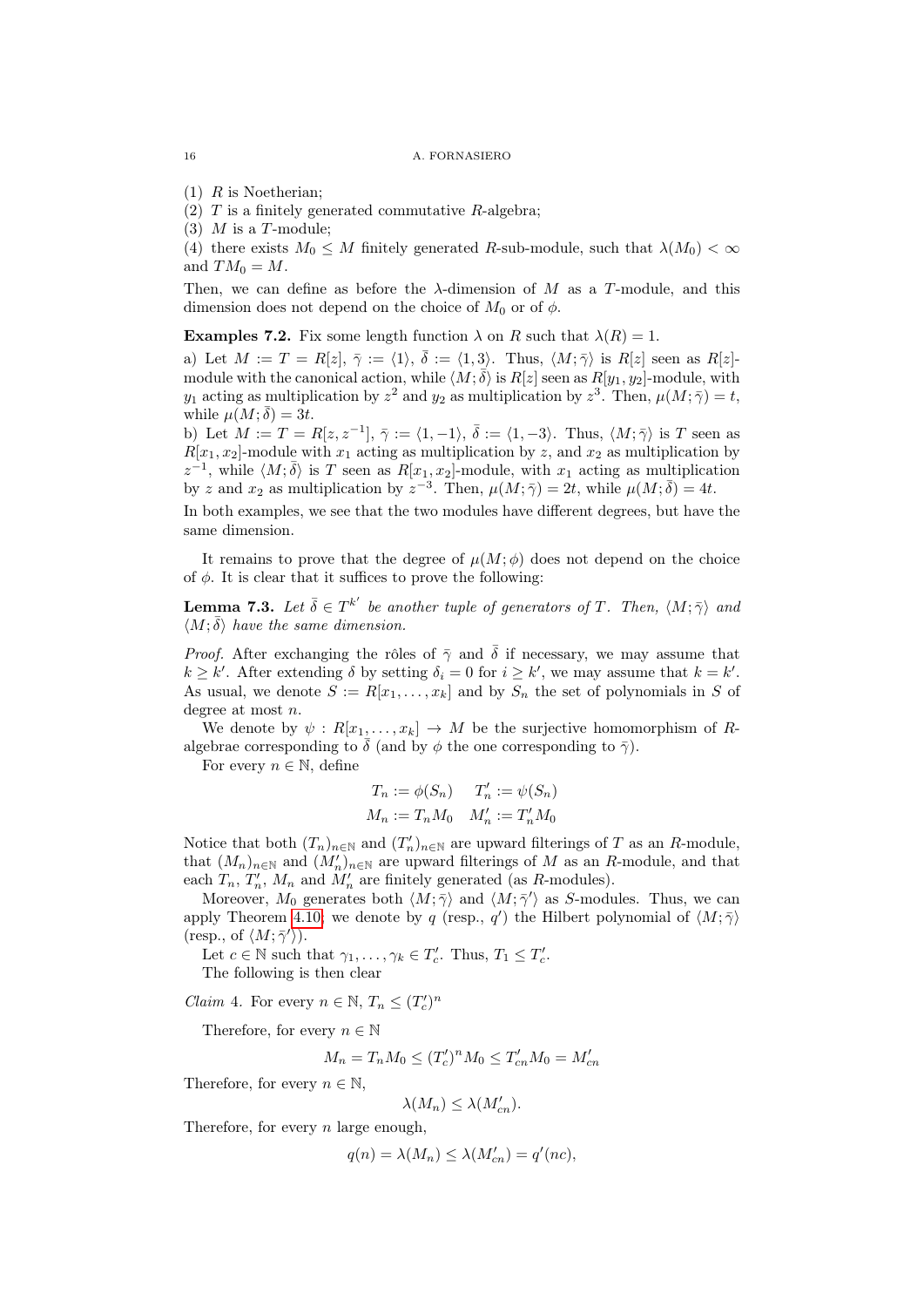#### 16 A. FORNASIERO

 $(1)$  R is Noetherian:

(2)  $T$  is a finitely generated commutative  $R$ -algebra;

(3)  $M$  is a T-module;

(4) there exists  $M_0 \leq M$  finitely generated R-sub-module, such that  $\lambda(M_0) < \infty$ and  $TM_0 = M$ .

Then, we can define as before the  $\lambda$ -dimension of M as a T-module, and this dimension does not depend on the choice of  $M_0$  or of  $\phi$ .

**Examples 7.2.** Fix some length function  $\lambda$  on R such that  $\lambda(R) = 1$ .

a) Let  $M := T = R[z], \overline{\gamma} := \langle 1 \rangle, \overline{\delta} := \langle 1, 3 \rangle$ . Thus,  $\langle M; \overline{\gamma} \rangle$  is  $R[z]$  seen as  $R[z]$ . module with the canonical action, while  $\langle M;\bar{\delta}\rangle$  is  $R[z]$  seen as  $R[y_1,y_2]$ -module, with  $y_1$  acting as multiplication by  $z^2$  and  $y_2$  as multiplication by  $z^3$ . Then,  $\mu(M; \bar{\gamma}) = t$ , while  $\mu(M;\bar{\delta})=3t$ .

b) Let  $M := T = R[z, z^{-1}], \overline{\gamma} := \langle 1, -1 \rangle, \overline{\delta} := \langle 1, -3 \rangle$ . Thus,  $\langle M; \overline{\gamma} \rangle$  is T seen as  $R[x_1, x_2]$ -module with  $x_1$  acting as multiplication by z, and  $x_2$  as multiplication by  $z^{-1}$ , while  $\langle M; \overline{\delta} \rangle$  is T seen as  $R[x_1, x_2]$ -module, with  $x_1$  acting as multiplication by z and  $x_2$  as multiplication by  $z^{-3}$ . Then,  $\mu(M; \bar{\gamma}) = 2t$ , while  $\mu(M; \bar{\delta}) = 4t$ .

In both examples, we see that the two modules have different degrees, but have the same dimension.

It remains to prove that the degree of  $\mu(M; \phi)$  does not depend on the choice of  $\phi$ . It is clear that it suffices to prove the following:

**Lemma 7.3.** Let  $\bar{\delta} \in T^{k'}$  be another tuple of generators of T. Then,  $\langle M; \bar{\gamma} \rangle$  and  $\langle M; \bar{\delta} \rangle$  have the same dimension.

*Proof.* After exchanging the rôles of  $\bar{\gamma}$  and  $\bar{\delta}$  if necessary, we may assume that  $k \geq k'$ . After extending  $\delta$  by setting  $\delta_i = 0$  for  $i \geq k'$ , we may assume that  $k = k'$ . As usual, we denote  $S := R[x_1, \ldots, x_k]$  and by  $S_n$  the set of polynomials in S of degree at most n.

We denote by  $\psi: R[x_1, \ldots, x_k] \to M$  be the surjective homomorphism of Ralgebrae corresponding to  $\bar{\delta}$  (and by  $\phi$  the one corresponding to  $\bar{\gamma}$ ).

For every  $n \in \mathbb{N}$ , define

$$
T_n := \phi(S_n) \qquad T'_n := \psi(S_n)
$$
  

$$
M_n := T_n M_0 \quad M'_n := T'_n M_0
$$

Notice that both  $(T_n)_{n\in\mathbb{N}}$  and  $(T'_n)_{n\in\mathbb{N}}$  are upward filterings of T as an R-module, that  $(M_n)_{n\in\mathbb{N}}$  and  $(M'_n)_{n\in\mathbb{N}}$  are upward filterings of M as an R-module, and that each  $T_n$ ,  $T'_n$ ,  $M_n$  and  $M'_n$  are finitely generated (as R-modules).

Moreover,  $M_0$  generates both  $\langle M; \bar{\gamma} \rangle$  and  $\langle M; \bar{\gamma}' \rangle$  as S-modules. Thus, we can apply Theorem [4.10;](#page-11-0) we denote by q (resp., q') the Hilbert polynomial of  $\langle M; \bar{\gamma} \rangle$ (resp., of  $\langle M; \overline{\gamma}' \rangle$ ).

Let  $c \in \mathbb{N}$  such that  $\gamma_1, \ldots, \gamma_k \in T_c'$ . Thus,  $T_1 \leq T_c'$ .

The following is then clear

*Claim* 4. For every  $n \in \mathbb{N}$ ,  $T_n \leq (T'_c)^n$ 

Therefore, for every  $n \in \mathbb{N}$ 

$$
M_n = T_n M_0 \le (T'_c)^n M_0 \le T'_{cn} M_0 = M'_{cn}
$$

Therefore, for every  $n \in \mathbb{N}$ ,

$$
\lambda(M_n) \le \lambda(M'_{cn}).
$$

Therefore, for every  $n$  large enough,

$$
q(n) = \lambda(M_n) \le \lambda(M'_{cn}) = q'(nc),
$$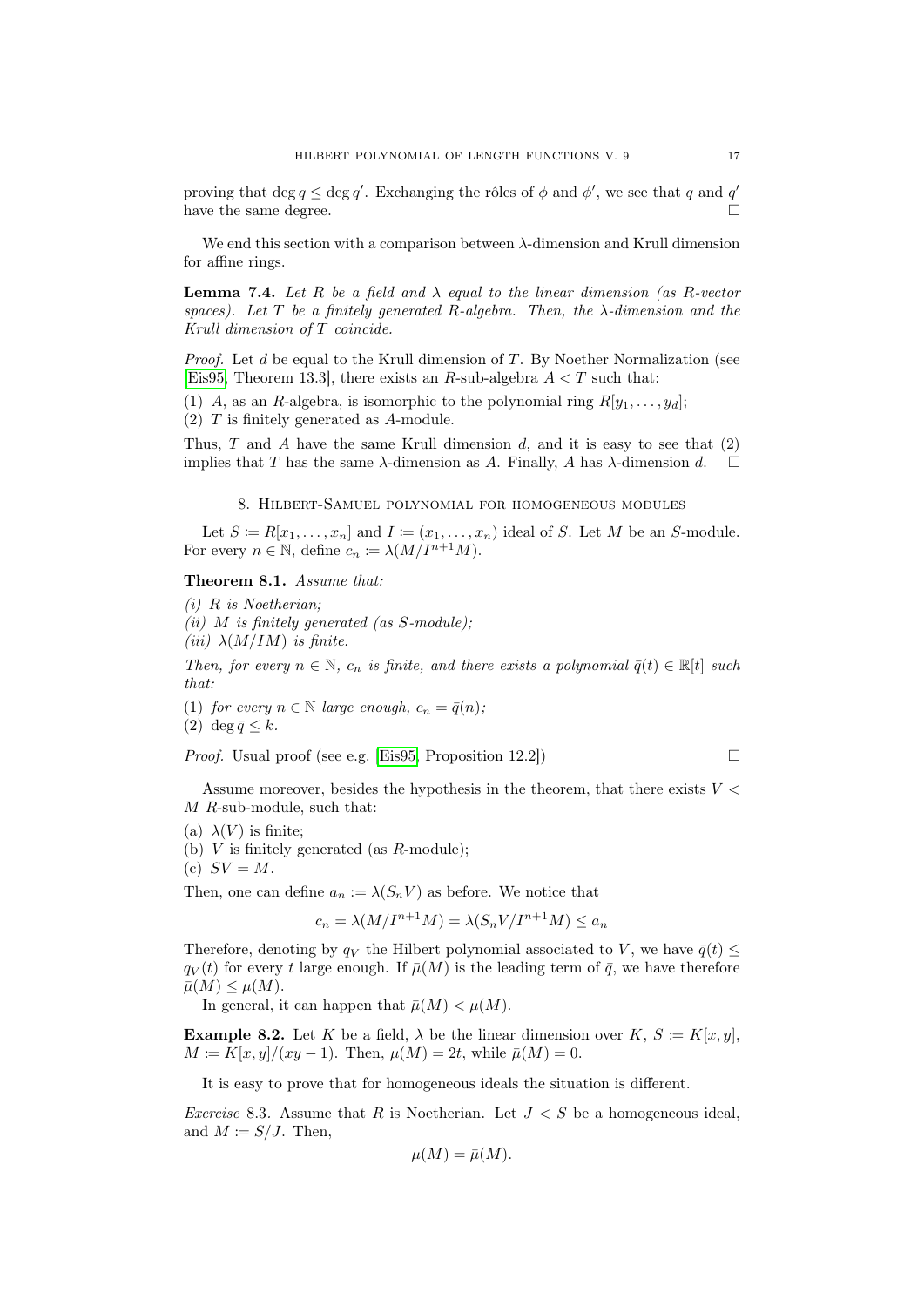proving that  $\deg q \leq \deg q'$ . Exchanging the rôles of  $\phi$  and  $\phi'$ , we see that q and q' have the same degree.  $\Box$ 

We end this section with a comparison between λ-dimension and Krull dimension for affine rings.

<span id="page-16-1"></span>**Lemma 7.4.** Let R be a field and  $\lambda$  equal to the linear dimension (as R-vector spaces). Let T be a finitely generated R-algebra. Then, the  $\lambda$ -dimension and the Krull dimension of T coincide.

*Proof.* Let  $d$  be equal to the Krull dimension of  $T$ . By Noether Normalization (see [\[Eis95,](#page-33-2) Theorem 13.3], there exists an R-sub-algebra  $A < T$  such that:

(1) A, as an R-algebra, is isomorphic to the polynomial ring  $R[y_1, \ldots, y_d]$ ; (2) T is finitely generated as A-module.

Thus,  $T$  and  $A$  have the same Krull dimension  $d$ , and it is easy to see that  $(2)$ implies that T has the same  $\lambda$ -dimension as A. Finally, A has  $\lambda$ -dimension d.  $\square$ 

### 8. Hilbert-Samuel polynomial for homogeneous modules

<span id="page-16-0"></span>Let  $S \coloneqq R[x_1, \ldots, x_n]$  and  $I \coloneqq (x_1, \ldots, x_n)$  ideal of S. Let M be an S-module. For every  $n \in \mathbb{N}$ , define  $c_n \coloneqq \lambda(M/I^{n+1}M)$ .

# Theorem 8.1. Assume that:

(i) R is Noetherian;

- (ii)  $M$  is finitely generated (as  $S$ -module);
- (iii)  $\lambda(M/IM)$  is finite.

Then, for every  $n \in \mathbb{N}$ ,  $c_n$  is finite, and there exists a polynomial  $\bar{q}(t) \in \mathbb{R}[t]$  such that:

(1) for every  $n \in \mathbb{N}$  large enough,  $c_n = \bar{q}(n)$ ;

(2) deg  $\bar{q} \leq k$ .

*Proof.* Usual proof (see e.g. [\[Eis95,](#page-33-2) Proposition 12.2])  $\Box$ 

Assume moreover, besides the hypothesis in the theorem, that there exists  $V <$ M R-sub-module, such that:

- (b)  $V$  is finitely generated (as  $R$ -module):
- (c)  $SV = M$ .

Then, one can define  $a_n := \lambda(S_n V)$  as before. We notice that

$$
c_n = \lambda(M/I^{n+1}M) = \lambda(S_n V/I^{n+1}M) \le a_n
$$

Therefore, denoting by  $q_V$  the Hilbert polynomial associated to V, we have  $\bar{q}(t)$  <  $q_V(t)$  for every t large enough. If  $\bar{\mu}(M)$  is the leading term of  $\bar{q}$ , we have therefore  $\bar{\mu}(M) \leq \mu(M).$ 

In general, it can happen that  $\bar{\mu}(M) < \mu(M)$ .

**Example 8.2.** Let K be a field,  $\lambda$  be the linear dimension over K,  $S \coloneqq K[x, y]$ ,  $M = K[x, y]/(xy - 1)$ . Then,  $\mu(M) = 2t$ , while  $\bar{\mu}(M) = 0$ .

It is easy to prove that for homogeneous ideals the situation is different.

Exercise 8.3. Assume that R is Noetherian. Let  $J < S$  be a homogeneous ideal, and  $M \coloneqq S/J$ . Then,

$$
\mu(M) = \bar{\mu}(M).
$$

<sup>(</sup>a)  $\lambda(V)$  is finite: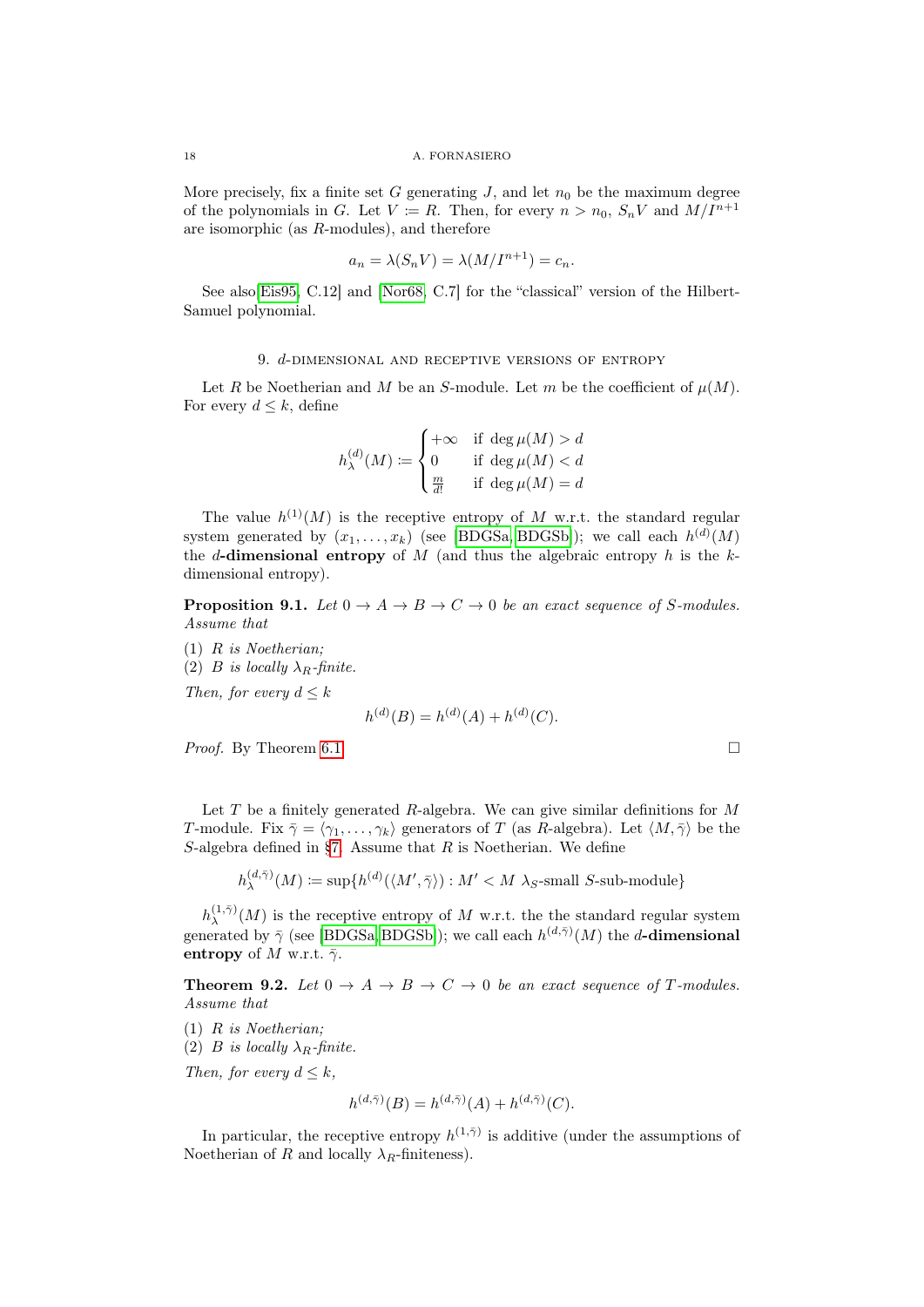More precisely, fix a finite set G generating  $J$ , and let  $n_0$  be the maximum degree of the polynomials in G. Let  $V \coloneqq R$ . Then, for every  $n > n_0$ ,  $S_n V$  and  $M/I^{n+1}$ are isomorphic (as R-modules), and therefore

$$
a_n = \lambda(S_n V) = \lambda(M/I^{n+1}) = c_n.
$$

See also[\[Eis95,](#page-33-2) C.12] and [\[Nor68,](#page-34-8) C.7] for the "classical" version of the Hilbert-Samuel polynomial.

### 9. d-dimensional and receptive versions of entropy

<span id="page-17-0"></span>Let R be Noetherian and M be an S-module. Let m be the coefficient of  $\mu(M)$ . For every  $d \leq k$ , define

$$
h_{\lambda}^{(d)}(M) \coloneqq \begin{cases} +\infty & \text{if } \deg \mu(M) > d \\ 0 & \text{if } \deg \mu(M) < d \\ \frac{m}{d!} & \text{if } \deg \mu(M) = d \end{cases}
$$

The value  $h^{(1)}(M)$  is the receptive entropy of M w.r.t. the standard regular system generated by  $(x_1, \ldots, x_k)$  (see [\[BDGSa,](#page-33-4) [BDGSb\]](#page-33-11)); we call each  $h^{(d)}(M)$ the d-dimensional entropy of  $M$  (and thus the algebraic entropy  $h$  is the  $k$ dimensional entropy).

**Proposition 9.1.** Let  $0 \to A \to B \to C \to 0$  be an exact sequence of S-modules. Assume that

(1) R is Noetherian; (2) B is locally  $\lambda_R$ -finite. Then, for every  $d \leq k$ 

$$
h^{(d)}(B) = h^{(d)}(A) + h^{(d)}(C).
$$

*Proof.* By Theorem [6.1.](#page-13-2)

Let  $T$  be a finitely generated  $R$ -algebra. We can give similar definitions for  $M$ T-module. Fix  $\bar{\gamma} = \langle \gamma_1, \ldots, \gamma_k \rangle$  generators of T (as R-algebra). Let  $\langle M, \bar{\gamma} \rangle$  be the S-algebra defined in [§7.](#page-14-0) Assume that  $R$  is Noetherian. We define

$$
h_\lambda^{(d,\bar \gamma)}(M) \coloneqq \sup \{ h^{(d)}(\langle M',\bar \gamma\rangle): M' < M ~\lambda_S\text{-small $S$-sub-module}\}
$$

 $h^{(1,\bar{\gamma})}_\lambda$  $\lambda^{(1,\gamma)}(M)$  is the receptive entropy of M w.r.t. the the standard regular system generated by  $\bar{\gamma}$  (see [\[BDGSa,](#page-33-4) [BDGSb\]](#page-33-11)); we call each  $h^{(d,\bar{\gamma})}(M)$  the *d*-dimensional entropy of M w.r.t.  $\bar{\gamma}$ .

**Theorem 9.2.** Let  $0 \rightarrow A \rightarrow B \rightarrow C \rightarrow 0$  be an exact sequence of T-modules. Assume that

- (1) R is Noetherian;
- (2) B is locally  $\lambda_R$ -finite.

Then, for every  $d \leq k$ ,

$$
h^{(d,\bar{\gamma})}(B) = h^{(d,\bar{\gamma})}(A) + h^{(d,\bar{\gamma})}(C)
$$

In particular, the receptive entropy  $h^{(1,\bar{\gamma})}$  is additive (under the assumptions of Noetherian of R and locally  $\lambda_R$ -finiteness).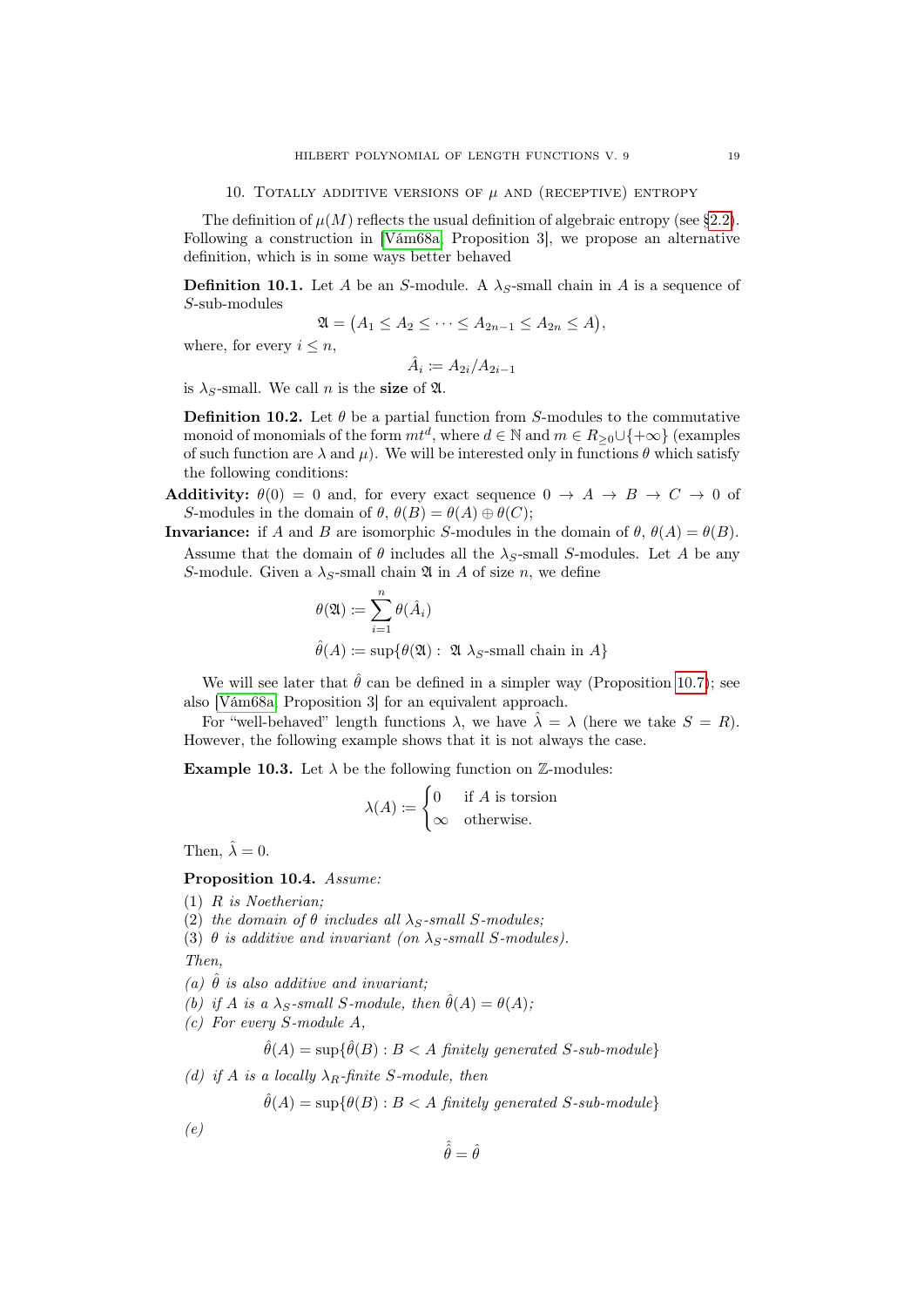<span id="page-18-0"></span>The definition of  $\mu(M)$  reflects the usual definition of algebraic entropy (see [§2.2\)](#page-3-2). Following a construction in [\[Vám68a,](#page-34-1) Proposition 3], we propose an alternative definition, which is in some ways better behaved

**Definition 10.1.** Let A be an S-module. A  $\lambda_S$ -small chain in A is a sequence of S-sub-modules

$$
\mathfrak{A} = (A_1 \le A_2 \le \cdots \le A_{2n-1} \le A_{2n} \le A),
$$

where, for every  $i \leq n$ ,

$$
\hat{A}_i \coloneqq A_{2i}/A_{2i-1}
$$

is  $\lambda_S$ -small. We call *n* is the size of  $\mathfrak{A}$ .

**Definition 10.2.** Let  $\theta$  be a partial function from S-modules to the commutative monoid of monomials of the form  $m t^d$ , where  $d \in \mathbb{N}$  and  $m \in R_{\geq 0} \cup \{+\infty\}$  (examples of such function are  $\lambda$  and  $\mu$ ). We will be interested only in functions  $\theta$  which satisfy the following conditions:

- Additivity:  $\theta(0) = 0$  and, for every exact sequence  $0 \rightarrow A \rightarrow B \rightarrow C \rightarrow 0$  of S-modules in the domain of  $\theta$ ,  $\theta(B) = \theta(A) \oplus \theta(C)$ ;
- **Invariance:** if A and B are isomorphic S-modules in the domain of  $\theta$ ,  $\theta(A) = \theta(B)$ . Assume that the domain of  $\theta$  includes all the  $\lambda_S$ -small S-modules. Let A be any
	- S-module. Given a  $\lambda_S$ -small chain  $\mathfrak A$  in A of size n, we define  $\frac{n}{\cdot}$

$$
\theta(\mathfrak{A}) \coloneqq \sum_{i=1} \theta(\hat{A}_i)
$$
  

$$
\hat{\theta}(A) \coloneqq \sup \{ \theta(\mathfrak{A}) : \mathfrak{A} \lambda_S\text{-small chain in } A \}
$$

We will see later that  $\hat{\theta}$  can be defined in a simpler way (Proposition [10.7\)](#page-19-0); see also [\[Vám68a,](#page-34-1) Proposition 3] for an equivalent approach.

For "well-behaved" length functions  $\lambda$ , we have  $\hat{\lambda} = \lambda$  (here we take  $S = R$ ). However, the following example shows that it is not always the case.

**Example 10.3.** Let  $\lambda$  be the following function on  $\mathbb{Z}$ -modules:

$$
\lambda(A) := \begin{cases} 0 & \text{if } A \text{ is torsion} \\ \infty & \text{otherwise.} \end{cases}
$$

Then,  $\hat{\lambda} = 0$ .

<span id="page-18-1"></span>Proposition 10.4. Assume:

- (1) R is Noetherian;
- (2) the domain of  $\theta$  includes all  $\lambda_S$ -small S-modules;
- (3)  $\theta$  is additive and invariant (on  $\lambda_S$ -small S-modules).

Then,

- (a)  $\hat{\theta}$  is also additive and invariant;
- (b) if A is a  $\lambda_S$ -small S-module, then  $\hat{\theta}(A) = \theta(A);$
- (c) For every S-module A,

$$
\hat{\theta}(A) = \sup \{ \hat{\theta}(B) : B < A \text{ finitely generated } S \text{-sub-module} \}
$$

(d) if A is a locally  $\lambda_R$ -finite S-module, then

$$
\hat{\theta}(A) = \sup \{ \theta(B) : B < A \text{ finitely generated } S \text{-}sub-module \}
$$

 $\hat{\hat{\theta}} = \hat{\theta}$ 

 $(e)$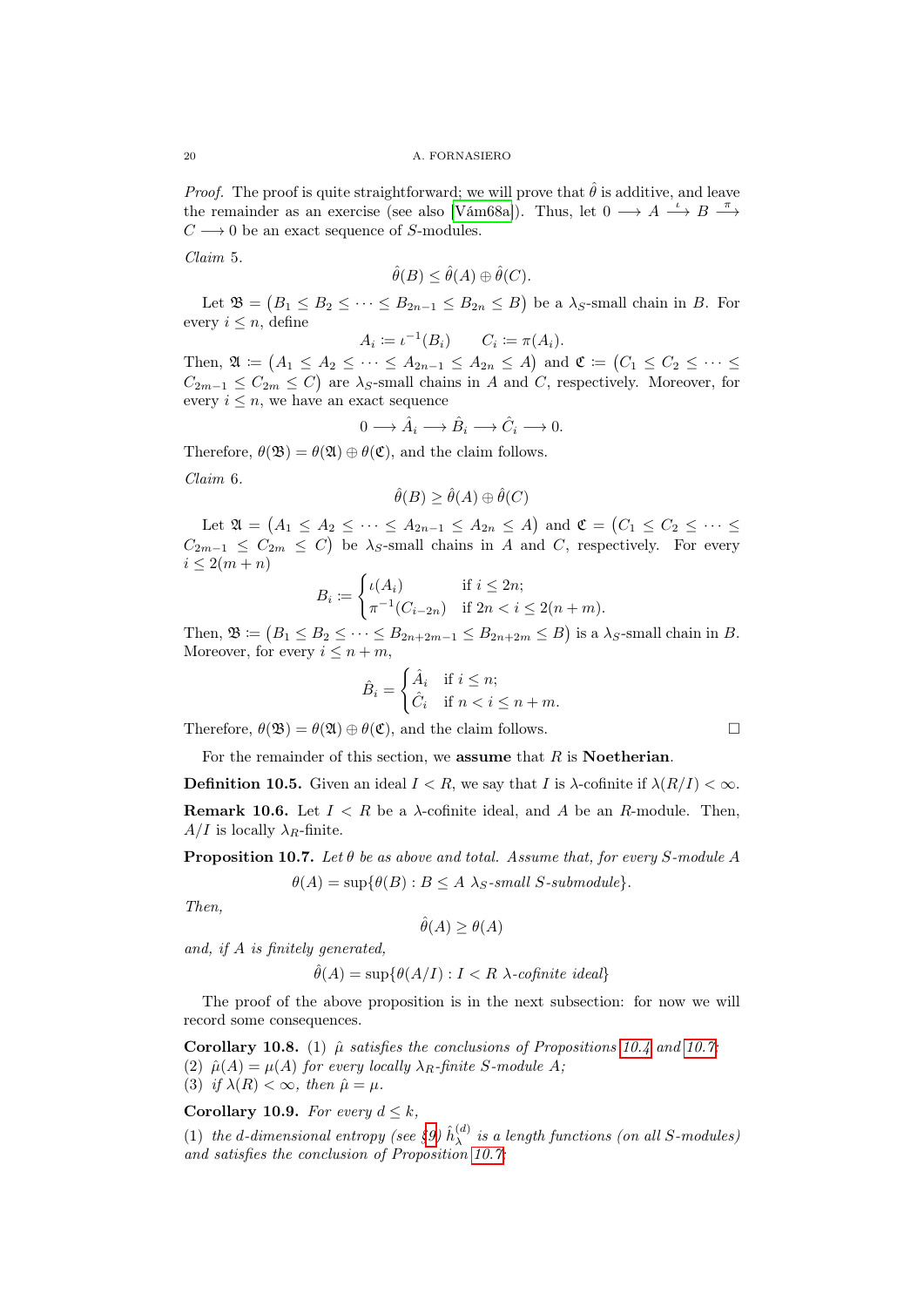*Proof.* The proof is quite straightforward; we will prove that  $\hat{\theta}$  is additive, and leave the remainder as an exercise (see also [\[Vám68a\]](#page-34-1)). Thus, let  $0 \longrightarrow A \longrightarrow B \longrightarrow$  $C \longrightarrow 0$  be an exact sequence of S-modules.

Claim 5.

$$
\hat{\theta}(B) \le \hat{\theta}(A) \oplus \hat{\theta}(C).
$$

Let  $\mathfrak{B} = (B_1 \leq B_2 \leq \cdots \leq B_{2n-1} \leq B_{2n} \leq B)$  be a  $\lambda_S$ -small chain in B. For every  $i \leq n$ , define

$$
A_i \coloneqq \iota^{-1}(B_i) \qquad C_i \coloneqq \pi(A_i).
$$

Then,  $\mathfrak{A} \coloneqq (A_1 \leq A_2 \leq \cdots \leq A_{2n-1} \leq A_{2n} \leq A)$  and  $\mathfrak{C} \coloneqq (C_1 \leq C_2 \leq \cdots \leq$  $C_{2m-1} \leq C_{2m} \leq C$  are  $\lambda_S$ -small chains in A and C, respectively. Moreover, for every  $i \leq n$ , we have an exact sequence

$$
0 \longrightarrow \hat{A}_i \longrightarrow \hat{B}_i \longrightarrow \hat{C}_i \longrightarrow 0.
$$

Therefore,  $\theta(\mathfrak{B}) = \theta(\mathfrak{A}) \oplus \theta(\mathfrak{C})$ , and the claim follows.

Claim 6.

$$
\hat{\theta}(B) \ge \hat{\theta}(A) \oplus \hat{\theta}(C)
$$

Let  $\mathfrak{A} = \{A_1 \leq A_2 \leq \cdots \leq A_{2n-1} \leq A_{2n} \leq A\}$  and  $\mathfrak{C} = \{C_1 \leq C_2 \leq \cdots \leq C_n\}$  $C_{2m-1} \leq C_{2m} \leq C$  be  $\lambda_S$ -small chains in A and C, respectively. For every  $i \leq 2(m+n)$ 

$$
B_i := \begin{cases} \iota(A_i) & \text{if } i \le 2n; \\ \pi^{-1}(C_{i-2n}) & \text{if } 2n < i \le 2(n+m). \end{cases}
$$

Then,  $\mathfrak{B} \coloneqq (B_1 \leq B_2 \leq \cdots \leq B_{2n+2m-1} \leq B_{2n+2m} \leq B)$  is a  $\lambda_S$ -small chain in B. Moreover, for every  $i \leq n+m$ ,

$$
\hat{B}_i = \begin{cases} \hat{A}_i & \text{if } i \leq n; \\ \hat{C}_i & \text{if } n < i \leq n+m. \end{cases}
$$

Therefore,  $\theta(\mathfrak{B}) = \theta(\mathfrak{A}) \oplus \theta(\mathfrak{C})$ , and the claim follows.

For the remainder of this section, we assume that  $R$  is Noetherian.

**Definition 10.5.** Given an ideal  $I < R$ , we say that I is  $\lambda$ -cofinite if  $\lambda(R/I) < \infty$ . **Remark 10.6.** Let  $I \leq R$  be a  $\lambda$ -cofinite ideal, and A be an R-module. Then,  $A/I$  is locally  $\lambda_R$ -finite.

<span id="page-19-0"></span>**Proposition 10.7.** Let  $\theta$  be as above and total. Assume that, for every S-module A  $\theta(A) = \sup \{ \theta(B) : B \leq A \}$   $\lambda_S$ -small S-submodule}.

Then,

 $\hat{\theta}(A) > \theta(A)$ 

and, if A is finitely generated,

$$
\hat{\theta}(A) = \sup \{ \theta(A/I) : I < R \} \cdot \text{cofinite ideal} \}
$$

The proof of the above proposition is in the next subsection: for now we will record some consequences.

Corollary 10.8. (1)  $\hat{\mu}$  satisfies the conclusions of Propositions [10.4](#page-18-1) and [10.7;](#page-19-0) (2)  $\hat{\mu}(A) = \mu(A)$  for every locally  $\lambda_R$ -finite S-module A;

(3) if  $\lambda(R) < \infty$ , then  $\hat{\mu} = \mu$ .

Corollary 10.9. For every  $d \leq k$ ,

(1) the d-dimensional entropy (see [§9\)](#page-17-0)  $\hat{h}_{\lambda}^{(d)}$  $\lambda^{(a)}$  is a length functions (on all S-modules) and satisfies the conclusion of Proposition [10.7;](#page-19-0)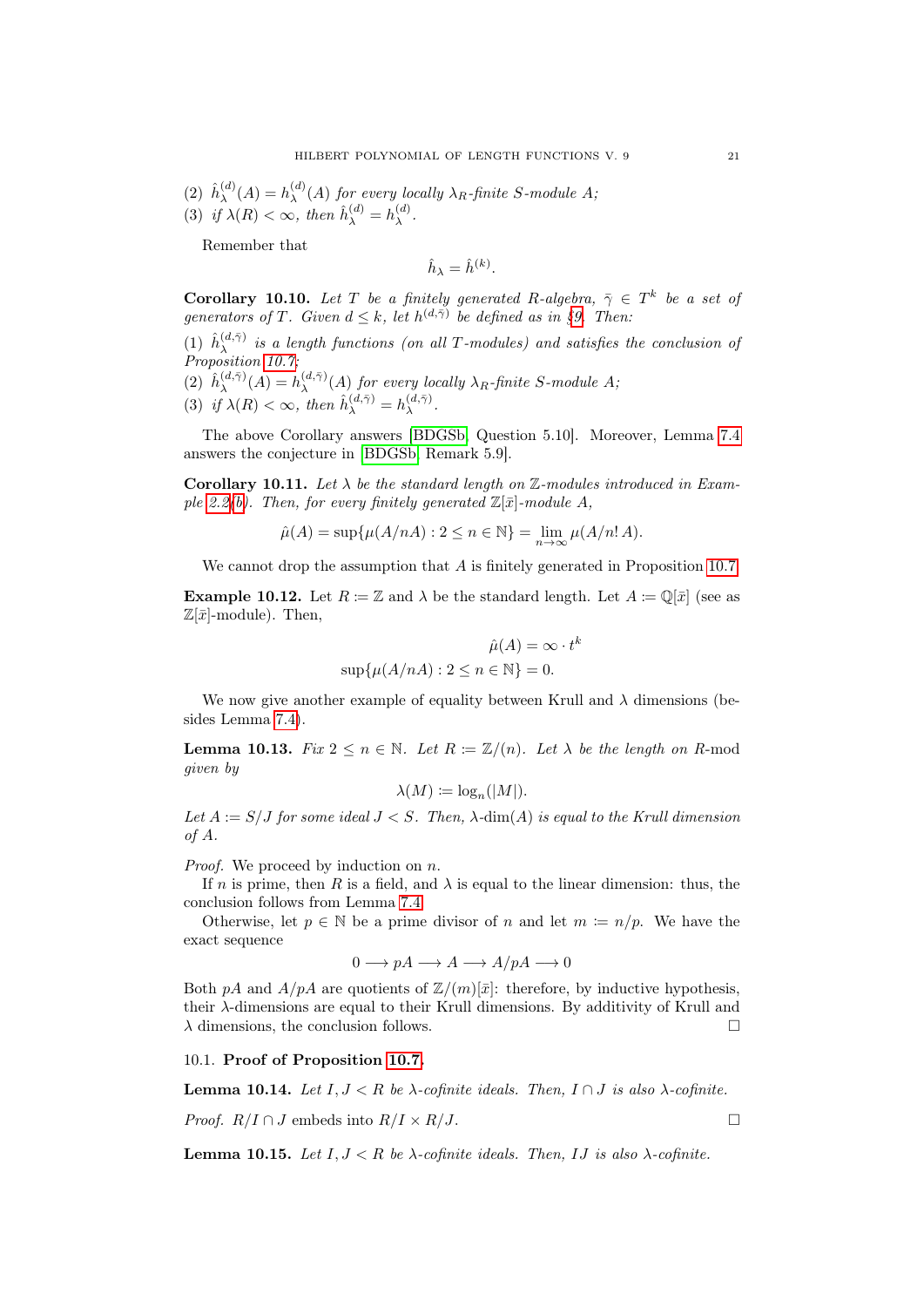$(2)$   $\hat{h}_{\lambda}^{(d)}$  $h_{\lambda}^{(d)}(A) = h_{\lambda}^{(d)}$  $\lambda_{\lambda}^{(a)}(A)$  for every locally  $\lambda_R$ -finite S-module A; (3) if  $\lambda(R) < \infty$ , then  $\hat{h}_{\lambda}^{(d)} = h_{\lambda}^{(d)}$  $\lambda^{(a)}$ .

Remember that

$$
\hat{h}_{\lambda} = \hat{h}^{(k)}.
$$

**Corollary 10.10.** Let T be a finitely generated R-algebra,  $\bar{\gamma} \in T^k$  be a set of generators of T. Given  $d \leq k$ , let  $h^{(d,\bar{\gamma})}$  be defined as in [§9.](#page-17-0) Then:

 $(1)$   $\hat{h}_{\lambda}^{(d,\bar{\gamma})}$  $\lambda^{(a,\gamma)}$  is a length functions (on all T-modules) and satisfies the conclusion of Proposition [10.7;](#page-19-0)

(2) 
$$
\hat{h}_{\lambda}^{(d,\bar{\gamma})}(A) = h_{\lambda}^{(d,\bar{\gamma})}(A)
$$
 for every locally  $\lambda_R$ -finite S-module A;  
(3) if  $\lambda(R) < \infty$ , then  $\hat{h}_{\lambda}^{(d,\bar{\gamma})} = h_{\lambda}^{(d,\bar{\gamma})}$ .

The above Corollary answers [\[BDGSb,](#page-33-11) Question 5.10]. Moreover, Lemma [7.4](#page-16-1) answers the conjecture in [\[BDGSb,](#page-33-11) Remark 5.9].

Corollary 10.11. Let  $\lambda$  be the standard length on  $\mathbb{Z}$ -modules introduced in Exam-ple [2.2](#page-2-5)[\(b\)](#page-2-6). Then, for every finitely generated  $\mathbb{Z}[\bar{x}]$ -module A,

$$
\hat{\mu}(A) = \sup \{ \mu(A/nA) : 2 \le n \in \mathbb{N} \} = \lim_{n \to \infty} \mu(A/n!A).
$$

We cannot drop the assumption that A is finitely generated in Proposition [10.7.](#page-19-0)

**Example 10.12.** Let  $R := \mathbb{Z}$  and  $\lambda$  be the standard length. Let  $A := \mathbb{Q}[\bar{x}]$  (see as  $\mathbb{Z}[\bar{x}]$ -module). Then,

$$
\hat{\mu}(A) = \infty \cdot t^k
$$
  
 
$$
\sup \{ \mu(A/nA) : 2 \le n \in \mathbb{N} \} = 0.
$$

We now give another example of equality between Krull and  $\lambda$  dimensions (besides Lemma [7.4\)](#page-16-1).

**Lemma 10.13.** Fix  $2 \le n \in \mathbb{N}$ . Let  $R := \mathbb{Z}/(n)$ . Let  $\lambda$  be the length on R-mod given by

$$
\lambda(M) \coloneqq \log_n(|M|).
$$

Let  $A := S/J$  for some ideal  $J < S$ . Then,  $\lambda$ -dim(A) is equal to the Krull dimension of A.

*Proof.* We proceed by induction on  $n$ .

If n is prime, then R is a field, and  $\lambda$  is equal to the linear dimension: thus, the conclusion follows from Lemma [7.4.](#page-16-1)

Otherwise, let  $p \in \mathbb{N}$  be a prime divisor of n and let  $m := n/p$ . We have the exact sequence

$$
0 \longrightarrow pA \longrightarrow A \longrightarrow A/pA \longrightarrow 0
$$

Both pA and  $A/pA$  are quotients of  $\mathbb{Z}/(m)[\bar{x}]$ : therefore, by inductive hypothesis, their  $\lambda$ -dimensions are equal to their Krull dimensions. By additivity of Krull and  $\lambda$  dimensions, the conclusion follows.

10.1. Proof of Proposition [10.7.](#page-19-0)

<span id="page-20-0"></span>**Lemma 10.14.** Let  $I, J \leq R$  be  $\lambda$ -cofinite ideals. Then,  $I \cap J$  is also  $\lambda$ -cofinite.

*Proof.* 
$$
R/I \cap J
$$
 embeds into  $R/I \times R/J$ .

**Lemma 10.15.** Let  $I, J \lt R$  be  $\lambda$ -cofinite ideals. Then, IJ is also  $\lambda$ -cofinite.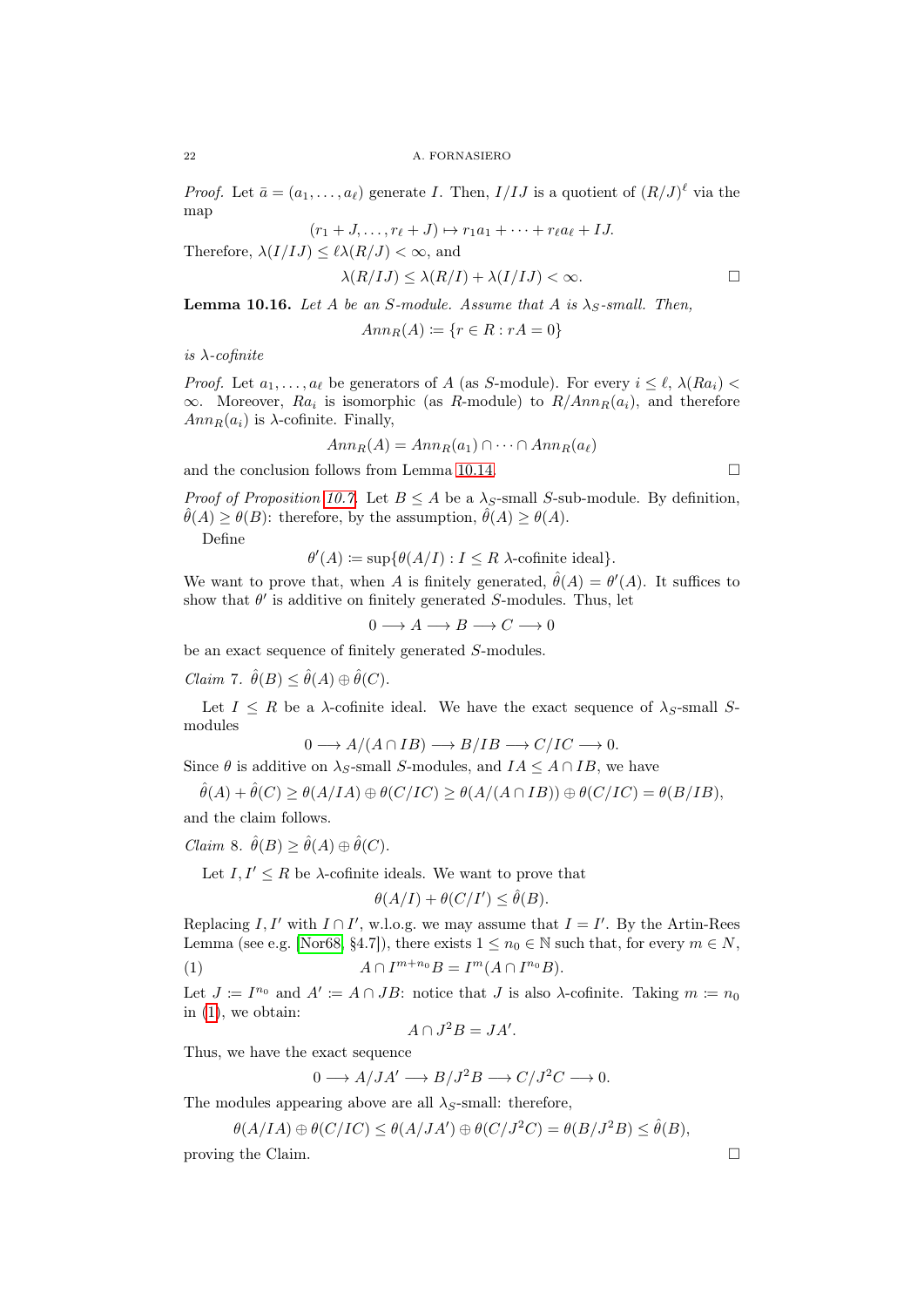*Proof.* Let  $\bar{a} = (a_1, \ldots, a_\ell)$  generate *I*. Then,  $I/IJ$  is a quotient of  $(R/J)^{\ell}$  via the map

$$
(r_1+J,\ldots,r_\ell+J)\mapsto r_1a_1+\cdots+r_\ell a_\ell+IJ.
$$

Therefore,  $\lambda(I/IJ) \leq \ell \lambda(R/J) \leq \infty$ , and

$$
\lambda(R/IJ) \le \lambda(R/I) + \lambda(I/IJ) < \infty. \tag{}
$$

**Lemma 10.16.** Let A be an S-module. Assume that A is  $\lambda_S$ -small. Then,

$$
Ann_R(A) := \{ r \in R : rA = 0 \}
$$

is  $\lambda$ -cofinite

*Proof.* Let  $a_1, \ldots, a_\ell$  be generators of A (as S-module). For every  $i \leq \ell, \lambda(Ra_i)$  $\infty$ . Moreover,  $Ra_i$  is isomorphic (as R-module) to  $R/Ann_R(a_i)$ , and therefore  $Ann_R(a_i)$  is  $\lambda$ -cofinite. Finally,

$$
Ann_R(A) = Ann_R(a_1) \cap \cdots \cap Ann_R(a_\ell)
$$

and the conclusion follows from Lemma [10.14.](#page-20-0)

*Proof of Proposition [10.7.](#page-19-0)* Let  $B \leq A$  be a  $\lambda_S$ -small S-sub-module. By definition,  $\hat{\theta}(A) \geq \theta(B)$ : therefore, by the assumption,  $\hat{\theta}(A) \geq \theta(A)$ .

Define

$$
\theta'(A) := \sup \{ \theta(A/I) : I \leq R \text{ } \lambda \text{-cofinite ideal} \}.
$$

We want to prove that, when A is finitely generated,  $\hat{\theta}(A) = \theta'(A)$ . It suffices to show that  $\theta'$  is additive on finitely generated S-modules. Thus, let

 $0 \longrightarrow A \longrightarrow B \longrightarrow C \longrightarrow 0$ 

be an exact sequence of finitely generated S-modules.

*Claim* 7.  $\hat{\theta}(B) \leq \hat{\theta}(A) \oplus \hat{\theta}(C)$ .

Let  $I \leq R$  be a  $\lambda$ -cofinite ideal. We have the exact sequence of  $\lambda_S$ -small Smodules

$$
0 \longrightarrow A/(A \cap IB) \longrightarrow B/IB \longrightarrow C/IC \longrightarrow 0.
$$

Since  $\theta$  is additive on  $\lambda_S$ -small S-modules, and  $IA \leq A \cap IB$ , we have

$$
\hat{\theta}(A) + \hat{\theta}(C) \ge \theta(A/IA) \oplus \theta(C/IC) \ge \theta(A/(A \cap IB)) \oplus \theta(C/IC) = \theta(B/IB),
$$

and the claim follows.

*Claim 8.*  $\hat{\theta}(B) \geq \hat{\theta}(A) \oplus \hat{\theta}(C)$ .

Let  $I, I' \leq R$  be  $\lambda$ -cofinite ideals. We want to prove that

<span id="page-21-0"></span>
$$
\theta(A/I) + \theta(C/I') \le \hat{\theta}(B).
$$

Replacing  $I, I'$  with  $I \cap I'$ , w.l.o.g. we may assume that  $I = I'$ . By the Artin-Rees Lemma (see e.g. [\[Nor68,](#page-34-8) §4.7]), there exists  $1 \leq n_0 \in \mathbb{N}$  such that, for every  $m \in N$ , (1)  $A \cap I^{m+n_0}B = I^m(A \cap I^{n_0}B).$ 

Let  $J := I^{n_0}$  and  $A' := A \cap JB$ : notice that  $J$  is also  $\lambda$ -cofinite. Taking  $m := n_0$ in  $(1)$ , we obtain:

$$
A \cap J^2B = JA'
$$

.

Thus, we have the exact sequence

$$
0 \longrightarrow A/JA' \longrightarrow B/J^2B \longrightarrow C/J^2C \longrightarrow 0.
$$

The modules appearing above are all  $\lambda_S$ -small: therefore,

$$
\theta(A/IA) \oplus \theta(C/IC) \le \theta(A/JA') \oplus \theta(C/J^2C) = \theta(B/J^2B) \le \hat{\theta}(B),
$$

proving the Claim.  $\Box$ 

$$
^{22}
$$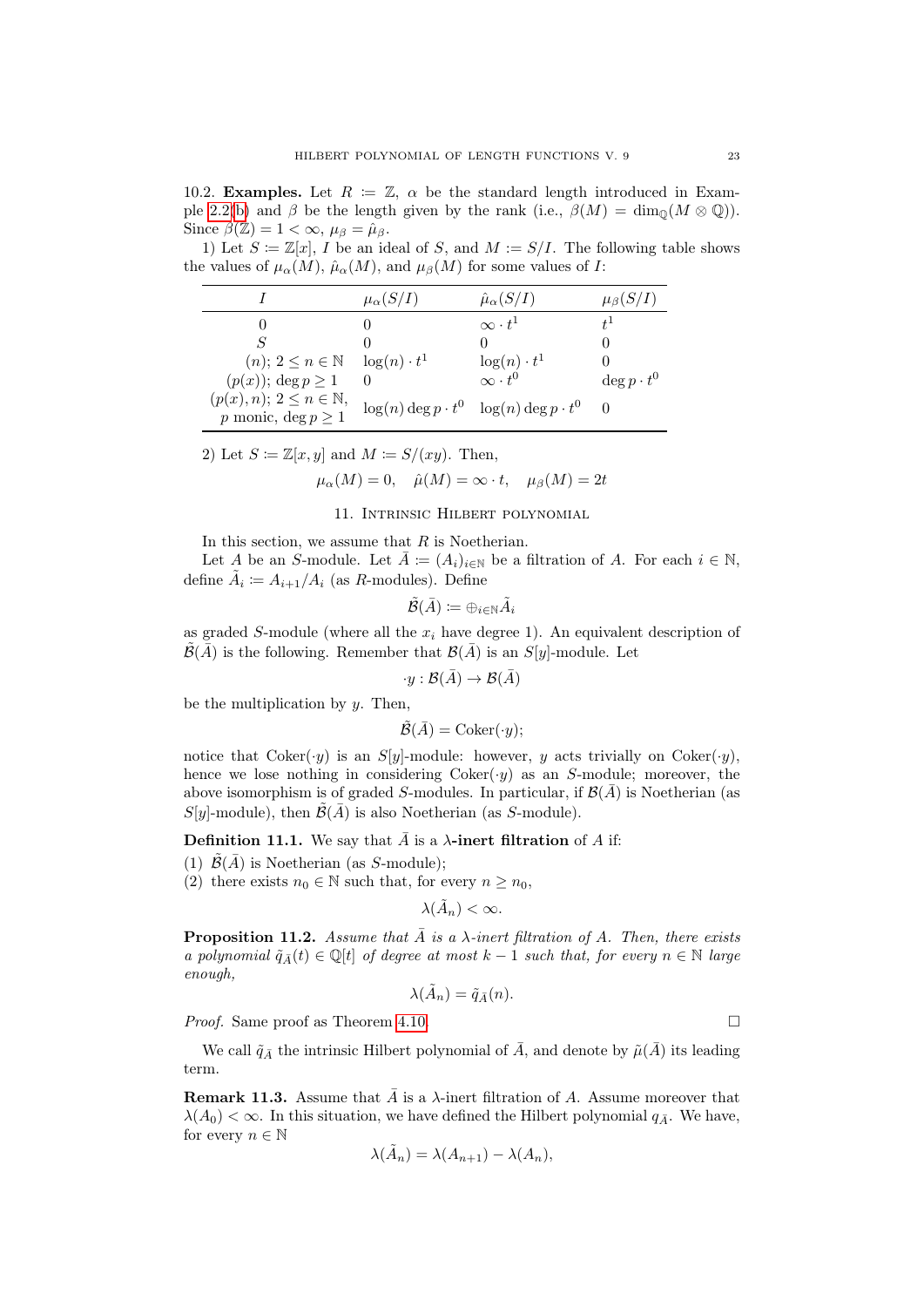10.2. **Examples.** Let  $R := \mathbb{Z}$ ,  $\alpha$  be the standard length introduced in Exam-ple [2.2\(](#page-2-5)[b\)](#page-2-6) and  $\beta$  be the length given by the rank (i.e.,  $\beta(M) = \dim_{\mathbb{Q}}(M \otimes \mathbb{Q})$ ). Since  $\beta(\mathbb{Z}) = 1 < \infty$ ,  $\mu_{\beta} = \hat{\mu}_{\beta}$ .

1) Let  $S \coloneqq \mathbb{Z}[x], I$  be an ideal of S, and  $M := S/I$ . The following table shows the values of  $\mu_{\alpha}(M)$ ,  $\hat{\mu}_{\alpha}(M)$ , and  $\mu_{\beta}(M)$  for some values of I:

|                                                                         | $\mu_{\alpha}(S/I)$        | $\hat{\mu}_{\alpha}(S/I)$                    | $\mu_{\beta}(S/I)$ |
|-------------------------------------------------------------------------|----------------------------|----------------------------------------------|--------------------|
|                                                                         |                            | $\infty \cdot t^1$                           |                    |
|                                                                         |                            |                                              |                    |
| $(n); 2 \leq n \in \mathbb{N}$                                          | $\log(n) \cdot t^1$        | $\frac{\log(n) \cdot t^1}{\infty \cdot t^0}$ |                    |
| $(p(x))$ ; deg $p \geq 1$                                               |                            |                                              | $\deg p \cdot t^0$ |
| $(p(x), n); 2 \le n \in \mathbb{N},$<br><i>p</i> monic, $\deg p \geq 1$ | $\log(n) \deg p \cdot t^0$ | $\log(n) \deg p \cdot t^0$                   |                    |

2) Let 
$$
S := \mathbb{Z}[x, y]
$$
 and  $M := S/(xy)$ . Then,

$$
\mu_{\alpha}(M) = 0, \quad \hat{\mu}(M) = \infty \cdot t, \quad \mu_{\beta}(M) = 2t
$$

# 11. Intrinsic Hilbert polynomial

<span id="page-22-0"></span>In this section, we assume that  $R$  is Noetherian.

Let A be an S-module. Let  $\bar{A} := (A_i)_{i \in \mathbb{N}}$  be a filtration of A. For each  $i \in \mathbb{N}$ , define  $\tilde{A}_i \coloneqq A_{i+1}/A_i$  (as R-modules). Define

$$
\tilde{\mathcal{B}}(\bar{A})\coloneqq \oplus_{i\in \mathbb{N}}\tilde{A}_i
$$

as graded S-module (where all the  $x_i$  have degree 1). An equivalent description of  $\tilde{\mathcal{B}}(\bar{A})$  is the following. Remember that  $\mathcal{B}(\bar{A})$  is an  $S[y]$ -module. Let

$$
\cdot y : \mathcal{B}(\bar{A}) \to \mathcal{B}(\bar{A})
$$

be the multiplication by  $y$ . Then,

$$
\tilde{\mathcal{B}}(\bar{A}) = \mathrm{Coker}(\cdot y);
$$

notice that  $Coker(y)$  is an S[y]-module: however, y acts trivially on  $Coker(y)$ , hence we lose nothing in considering  $Coker(y)$  as an S-module; moreover, the above isomorphism is of graded S-modules. In particular, if  $\mathcal{B}(\bar{A})$  is Noetherian (as  $S[y]$ -module), then  $\tilde{\mathcal{B}}(\bar{A})$  is also Noetherian (as S-module).

**Definition 11.1.** We say that  $\bar{A}$  is a  $\lambda$ -inert filtration of A if:

(1)  $\tilde{\mathcal{B}}(\bar{A})$  is Noetherian (as S-module);

(2) there exists  $n_0 \in \mathbb{N}$  such that, for every  $n \geq n_0$ ,

 $\lambda(\tilde{A}_n) < \infty.$ 

**Proposition 11.2.** Assume that  $\overline{A}$  is a  $\lambda$ -inert filtration of A. Then, there exists a polynomial  $\tilde{q}_{\bar{A}}(t) \in \mathbb{Q}[t]$  of degree at most  $k-1$  such that, for every  $n \in \mathbb{N}$  large enough,

$$
\lambda(\tilde{A}_n) = \tilde{q}_{\bar{A}}(n).
$$

*Proof.* Same proof as Theorem [4.10.](#page-11-0)

We call  $\tilde{q}_{\bar{A}}$  the intrinsic Hilbert polynomial of  $\bar{A}$ , and denote by  $\tilde{\mu}(\bar{A})$  its leading term.

**Remark 11.3.** Assume that  $\overline{A}$  is a  $\lambda$ -inert filtration of A. Assume moreover that  $\lambda(A_0) < \infty$ . In this situation, we have defined the Hilbert polynomial  $q_{\bar{A}}$ . We have, for every  $n \in \mathbb{N}$ 

$$
\lambda(\tilde{A}_n) = \lambda(A_{n+1}) - \lambda(A_n),
$$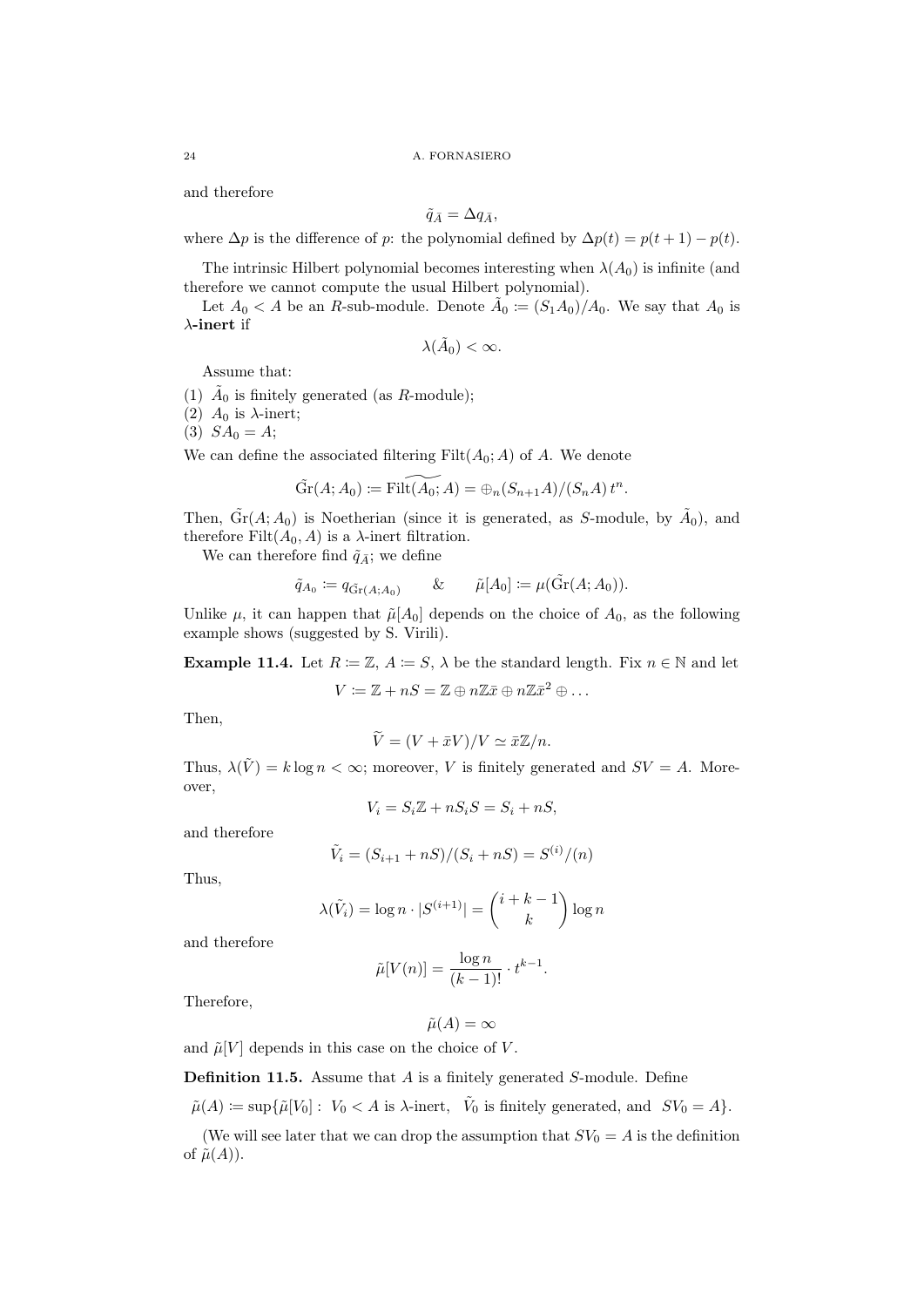and therefore

$$
\tilde{q}_{\bar{A}} = \Delta q_{\bar{A}},
$$

where  $\Delta p$  is the difference of p: the polynomial defined by  $\Delta p(t) = p(t+1) - p(t)$ .

The intrinsic Hilbert polynomial becomes interesting when  $\lambda(A_0)$  is infinite (and therefore we cannot compute the usual Hilbert polynomial).

Let  $A_0 < A$  be an R-sub-module. Denote  $\tilde{A}_0 := (S_1 A_0)/A_0$ . We say that  $A_0$  is  $\lambda$ -inert if

$$
\lambda(\tilde{A}_0) < \infty.
$$

Assume that:

(1)  $\tilde{A}_0$  is finitely generated (as R-module);

(2)  $A_0$  is  $\lambda$ -inert;

(3)  $SA_0 = A;$ 

We can define the associated filtering  $Filt(A_0; A)$  of A. We denote

$$
\widetilde{\mathrm{Gr}}(A; A_0) := \widetilde{\mathrm{Filt}(A_0; A)} = \bigoplus_n (S_{n+1}A)/(S_nA) t^n.
$$

Then,  $\tilde{Gr}(A; A_0)$  is Noetherian (since it is generated, as S-module, by  $\tilde{A}_0$ ), and therefore Filt $(A_0, A)$  is a  $\lambda$ -inert filtration.

We can therefore find  $\tilde{q}_{\bar{A}}$ ; we define

$$
\tilde{q}_{A_0} \coloneqq q_{\tilde{Gr}(A;A_0)} \qquad \& \qquad \tilde{\mu}[A_0] \coloneqq \mu(\tilde{Gr}(A;A_0)).
$$

Unlike  $\mu$ , it can happen that  $\tilde{\mu}[A_0]$  depends on the choice of  $A_0$ , as the following example shows (suggested by S. Virili).

**Example 11.4.** Let  $R := \mathbb{Z}, A := S$ ,  $\lambda$  be the standard length. Fix  $n \in \mathbb{N}$  and let  $V \coloneqq \mathbb{Z} + nS = \mathbb{Z} \oplus n\mathbb{Z}\bar{x} \oplus n\mathbb{Z}\bar{x}^2 \oplus \ldots$ 

Then,

$$
\widetilde{V} = (V + \bar{x}V)/V \simeq \bar{x}\mathbb{Z}/n.
$$

Thus,  $\lambda(\tilde{V}) = k \log n < \infty$ ; moreover, V is finitely generated and  $SV = A$ . Moreover,

$$
V_i = S_i \mathbb{Z} + nS_i S = S_i + nS,
$$

and therefore

$$
\tilde{V}_i = (S_{i+1} + nS)/(S_i + nS) = S^{(i)}/(n)
$$

Thus,

$$
\lambda(\tilde{V}_i) = \log n \cdot |S^{(i+1)}| = {i+k-1 \choose k} \log n
$$

and therefore

$$
\tilde{\mu}[V(n)] = \frac{\log n}{(k-1)!} \cdot t^{k-1}.
$$

Therefore,

$$
\tilde{\mu}(A) = \infty
$$

and  $\tilde{\mu}[V]$  depends in this case on the choice of V.

**Definition 11.5.** Assume that  $A$  is a finitely generated  $S$ -module. Define

 $\tilde{\mu}(A) \coloneqq \sup \{ \tilde{\mu}[V_0] : V_0 \lt A \text{ is } \lambda\text{-inert}, \quad \tilde{V}_0 \text{ is finitely generated, and } SV_0 = A \}.$ 

(We will see later that we can drop the assumption that  $SV_0 = A$  is the definition of  $\tilde{\mu}(A)$ ).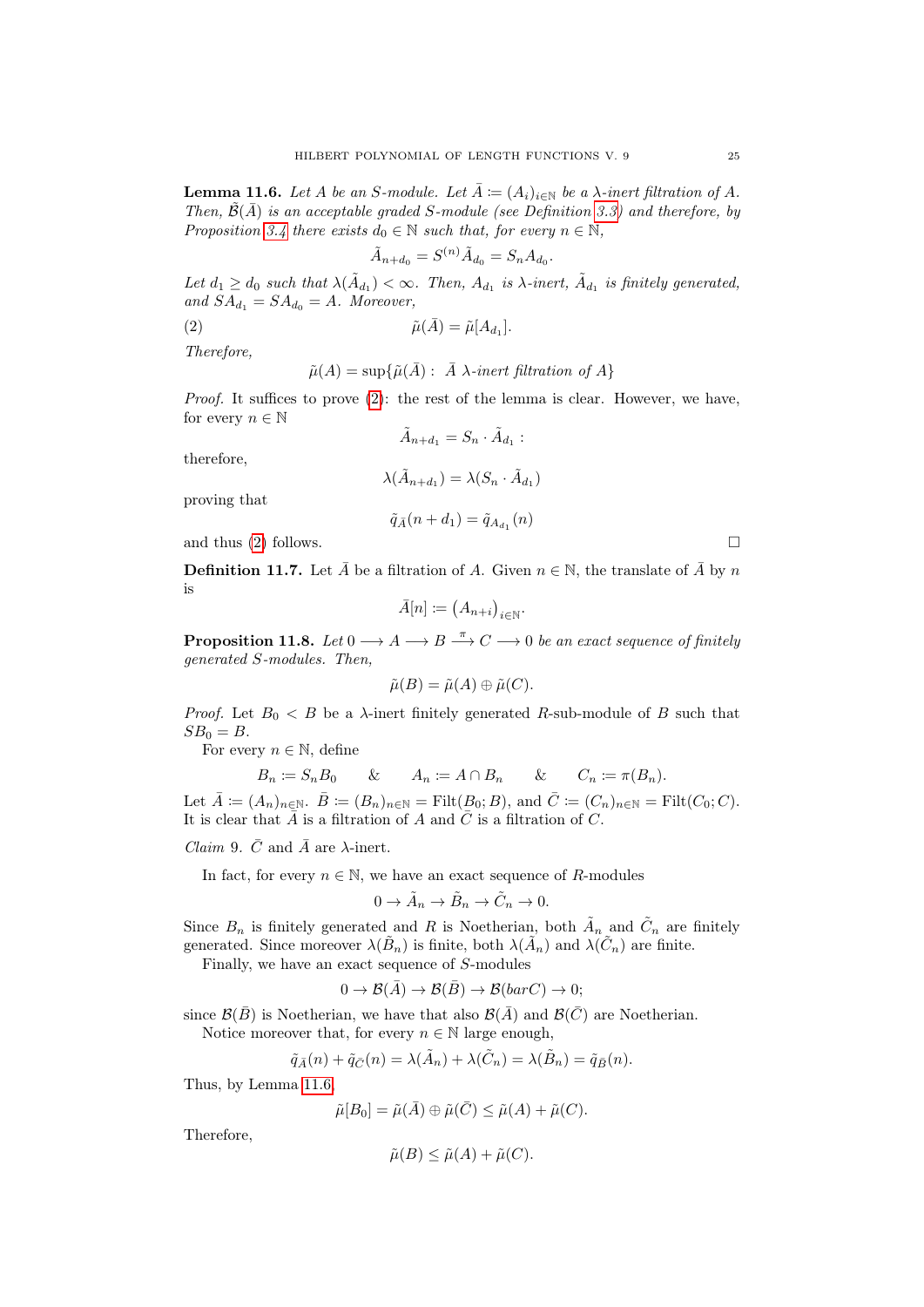<span id="page-24-1"></span>**Lemma 11.6.** Let A be an S-module. Let  $\overline{A} := (A_i)_{i \in \mathbb{N}}$  be a  $\lambda$ -inert filtration of A. Then,  $\tilde{\mathcal{B}}(\bar{A})$  is an acceptable graded S-module (see Definition [3.3\)](#page-5-1) and therefore, by Proposition [3.4](#page-5-0) there exists  $d_0 \in \mathbb{N}$  such that, for every  $n \in \mathbb{N}$ ,

<span id="page-24-0"></span>
$$
\tilde{A}_{n+d_0} = S^{(n)} \tilde{A}_{d_0} = S_n A_{d_0}.
$$

Let  $d_1 \geq d_0$  such that  $\lambda(\tilde{A}_{d_1}) < \infty$ . Then,  $A_{d_1}$  is  $\lambda$ -inert,  $\tilde{A}_{d_1}$  is finitely generated, and  $SA_{d_1} = SA_{d_0} = A$ . Moreover,

(2)  $\tilde{\mu}(\bar{A}) = \tilde{\mu}[A_{d_1}].$ 

Therefore,

$$
\tilde{\mu}(A) = \sup \{ \tilde{\mu}(\bar{A}) : \ \bar{A} \ \lambda\text{-inert filtration of } A \}
$$

*Proof.* It suffices to prove  $(2)$ : the rest of the lemma is clear. However, we have, for every  $n \in \mathbb{N}$ 

 $\tilde{A}_{n+d_1} = S_n \cdot \tilde{A}_{d_1}$ :

therefore,

$$
\lambda(\tilde{A}_{n+d_1}) = \lambda(S_n \cdot \tilde{A}_{d_1})
$$

proving that

$$
\tilde{q}_{\bar{A}}(n+d_1)=\tilde{q}_{A_{d_1}}(n)
$$

and thus  $(2)$  follows.

**Definition 11.7.** Let  $\overline{A}$  be a filtration of A. Given  $n \in \mathbb{N}$ , the translate of  $\overline{A}$  by n is  $\mathcal{L}$ 

$$
\bar{A}[n] := (A_{n+i})_{i \in \mathbb{N}}.
$$

**Proposition 11.8.** Let  $0 \longrightarrow A \longrightarrow B \stackrel{\pi}{\longrightarrow} C \longrightarrow 0$  be an exact sequence of finitely generated S-modules. Then,

$$
\tilde{\mu}(B) = \tilde{\mu}(A) \oplus \tilde{\mu}(C).
$$

*Proof.* Let  $B_0 < B$  be a  $\lambda$ -inert finitely generated R-sub-module of B such that  $SB<sub>0</sub> = B.$ 

For every  $n \in \mathbb{N}$ , define

$$
B_n \coloneqq S_n B_0 \qquad \& \qquad A_n \coloneqq A \cap B_n \qquad \& \qquad C_n \coloneqq \pi(B_n).
$$

Let  $\overline{A} := (A_n)_{n \in \mathbb{N}}$ .  $\overline{B} := (B_n)_{n \in \mathbb{N}} = \text{Filt}(B_0; B)$ , and  $\overline{C} := (C_n)_{n \in \mathbb{N}} = \text{Filt}(C_0; C)$ . It is clear that  $\overline{A}$  is a filtration of A and  $\overline{C}$  is a filtration of C.

*Claim* 9.  $\bar{C}$  and  $\bar{A}$  are  $\lambda$ -inert.

In fact, for every  $n \in \mathbb{N}$ , we have an exact sequence of R-modules

$$
0 \to \tilde{A}_n \to \tilde{B}_n \to \tilde{C}_n \to 0.
$$

Since  $B_n$  is finitely generated and R is Noetherian, both  $\tilde{A}_n$  and  $\tilde{C}_n$  are finitely generated. Since moreover  $\lambda(\tilde{B}_n)$  is finite, both  $\lambda(\tilde{A}_n)$  and  $\lambda(\tilde{C}_n)$  are finite.

Finally, we have an exact sequence of S-modules

$$
0 \to \mathcal{B}(\bar{A}) \to \mathcal{B}(\bar{B}) \to \mathcal{B}(barC) \to 0;
$$

since  $\mathcal{B}(\bar{B})$  is Noetherian, we have that also  $\mathcal{B}(\bar{A})$  and  $\mathcal{B}(\bar{C})$  are Noetherian. Notice moreover that, for every  $n \in \mathbb{N}$  large enough,

$$
\tilde{q}_{\bar{A}}(n) + \tilde{q}_{\bar{C}}(n) = \lambda(\tilde{A}_n) + \lambda(\tilde{C}_n) = \lambda(\tilde{B}_n) = \tilde{q}_{\bar{B}}(n).
$$

Thus, by Lemma [11.6,](#page-24-1)

$$
\tilde{\mu}[B_0] = \tilde{\mu}(\bar{A}) \oplus \tilde{\mu}(\bar{C}) \leq \tilde{\mu}(A) + \tilde{\mu}(C).
$$

Therefore,

$$
\tilde{\mu}(B) \le \tilde{\mu}(A) + \tilde{\mu}(C).
$$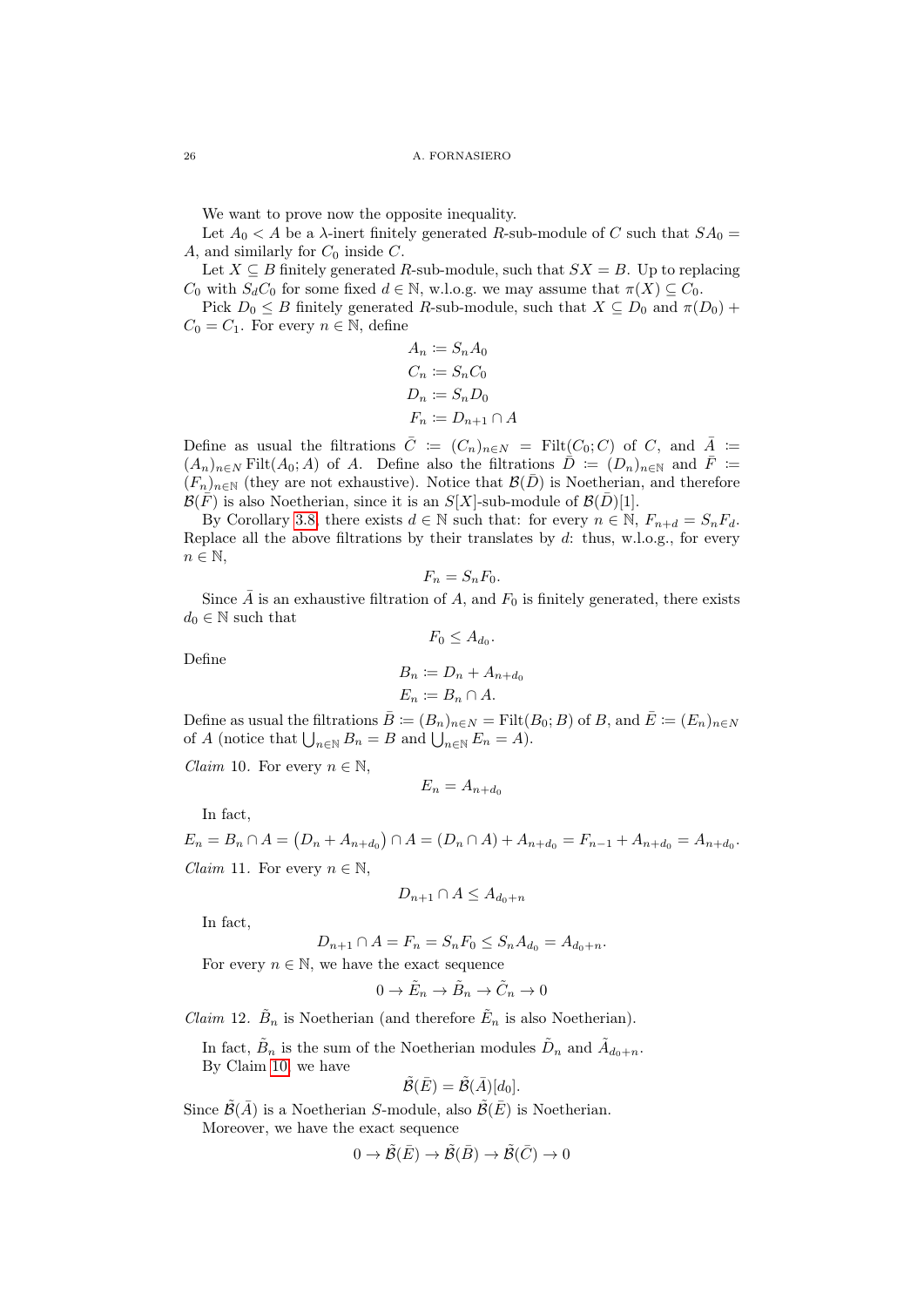We want to prove now the opposite inequality.

Let  $A_0 < A$  be a  $\lambda$ -inert finitely generated R-sub-module of C such that  $SA_0 =$ A, and similarly for  $C_0$  inside  $C$ .

Let  $X \subseteq B$  finitely generated R-sub-module, such that  $SX = B$ . Up to replacing  $C_0$  with  $S_dC_0$  for some fixed  $d \in \mathbb{N}$ , w.l.o.g. we may assume that  $\pi(X) \subseteq C_0$ .

Pick  $D_0 \leq B$  finitely generated R-sub-module, such that  $X \subseteq D_0$  and  $\pi(D_0)$  +  $C_0 = C_1$ . For every  $n \in \mathbb{N}$ , define

$$
A_n := S_n A_0
$$
  
\n
$$
C_n := S_n C_0
$$
  
\n
$$
D_n := S_n D_0
$$
  
\n
$$
F_n := D_{n+1} \cap A
$$

Define as usual the filtrations  $\overline{C} := (C_n)_{n \in N} = \text{Filt}(C_0; C)$  of C, and  $\overline{A} :=$  $(A_n)_{n\in\mathbb{N}}$  Filt $(A_0; A)$  of A. Define also the filtrations  $\overline{D} := (D_n)_{n\in\mathbb{N}}$  and  $\overline{F} :=$  $(F_n)_{n\in\mathbb{N}}$  (they are not exhaustive). Notice that  $\mathcal{B}(\bar{D})$  is Noetherian, and therefore  $\mathcal{B}(\bar{F})$  is also Noetherian, since it is an  $S[X]$ -sub-module of  $\mathcal{B}(\bar{D})[1]$ .

By Corollary [3.8,](#page-7-2) there exists  $d \in \mathbb{N}$  such that: for every  $n \in \mathbb{N}$ ,  $F_{n+d} = S_n F_d$ . Replace all the above filtrations by their translates by  $d$ : thus, w.l.o.g., for every  $n \in \mathbb{N}$ ,

$$
F_n = S_n F_0.
$$

Since  $\overline{A}$  is an exhaustive filtration of A, and  $F_0$  is finitely generated, there exists  $d_0 \in \mathbb{N}$  such that  $F_0 \leq A_{d_0}.$ 

Define

$$
B_n \coloneqq D_n + A_{n+d_0}
$$
  

$$
E_n \coloneqq B_n \cap A.
$$

Define as usual the filtrations  $\overline{B} := (B_n)_{n \in \mathbb{N}} = \text{Filt}(B_0; B)$  of B, and  $\overline{E} := (E_n)_{n \in \mathbb{N}}$ of A (notice that  $\bigcup_{n\in\mathbb{N}} B_n = B$  and  $\bigcup_{n\in\mathbb{N}} E_n = A$ ).

<span id="page-25-0"></span>*Claim* 10. For every  $n \in \mathbb{N}$ ,

$$
E_n = A_{n+d_0}
$$

In fact,

<span id="page-25-1"></span> $E_n = B_n \cap A = (D_n + A_{n+d_0}) \cap A = (D_n \cap A) + A_{n+d_0} = F_{n-1} + A_{n+d_0} = A_{n+d_0}.$ *Claim* 11. For every  $n \in \mathbb{N}$ ,

$$
D_{n+1} \cap A \le A_{d_0+n}
$$

In fact,

 $D_{n+1} \cap A = F_n = S_n F_0 \leq S_n A_{d_0} = A_{d_0+n}.$ 

For every  $n \in \mathbb{N}$ , we have the exact sequence

$$
0 \to \tilde{E}_n \to \tilde{B}_n \to \tilde{C}_n \to 0
$$

*Claim* 12.  $\tilde{B}_n$  is Noetherian (and therefore  $\tilde{E}_n$  is also Noetherian).

In fact,  $\tilde{B}_n$  is the sum of the Noetherian modules  $\tilde{D}_n$  and  $\tilde{A}_{d_0+n}$ . By Claim [10,](#page-25-0) we have

$$
\tilde{\mathcal{B}}(\bar{E})=\tilde{\mathcal{B}}(\bar{A})[d_0].
$$

Since  $\widetilde{\mathcal{B}}(\overline{A})$  is a Noetherian S-module, also  $\widetilde{\mathcal{B}}(\overline{E})$  is Noetherian. Moreover, we have the exact sequence

$$
0 \to \tilde{\mathcal{B}}(\bar{E}) \to \tilde{\mathcal{B}}(\bar{B}) \to \tilde{\mathcal{B}}(\bar{C}) \to 0
$$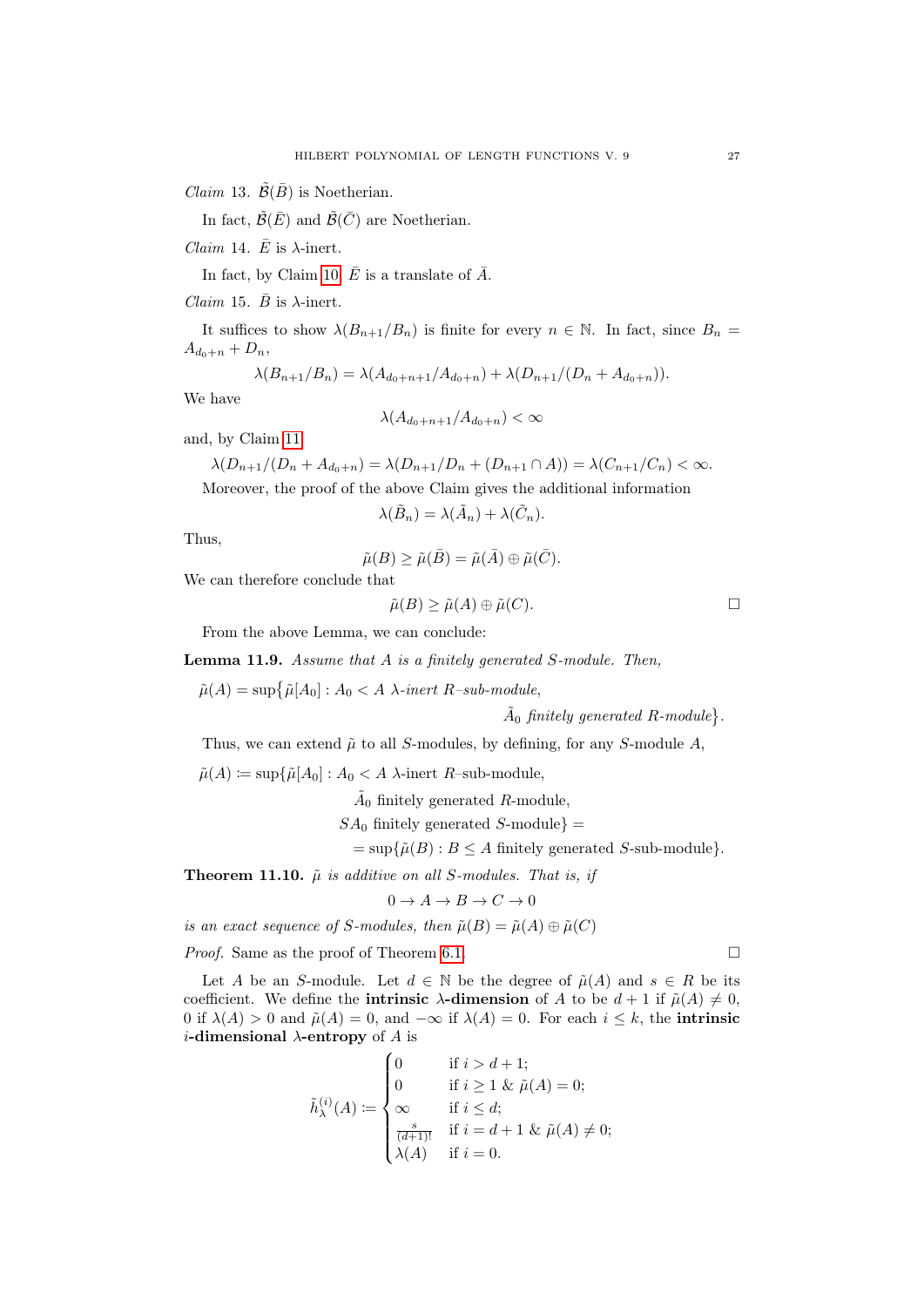*Claim* 13.  $\tilde{\mathcal{B}}(\bar{B})$  is Noetherian.

In fact,  $\tilde{\mathcal{B}}(\bar{E})$  and  $\tilde{\mathcal{B}}(\bar{C})$  are Noetherian.

*Claim* 14.  $\bar{E}$  is  $\lambda$ -inert.

In fact, by Claim [10,](#page-25-0)  $\overline{E}$  is a translate of  $\overline{A}$ .

*Claim* 15.  $\bar{B}$  is  $\lambda$ -inert.

It suffices to show  $\lambda(B_{n+1}/B_n)$  is finite for every  $n \in \mathbb{N}$ . In fact, since  $B_n =$  $A_{d_0+n} + D_n,$ 

$$
\lambda(B_{n+1}/B_n) = \lambda(A_{d_0+n+1}/A_{d_0+n}) + \lambda(D_{n+1}/(D_n + A_{d_0+n})).
$$

We have

$$
\lambda(A_{d_0+n+1}/A_{d_0+n}) < \infty
$$

and, by Claim [11](#page-25-1)

$$
\lambda(D_{n+1}/(D_n + A_{d_0+n}) = \lambda(D_{n+1}/D_n + (D_{n+1} \cap A)) = \lambda(C_{n+1}/C_n) < \infty.
$$

Moreover, the proof of the above Claim gives the additional information

$$
\lambda(\tilde{B}_n) = \lambda(\tilde{A}_n) + \lambda(\tilde{C}_n).
$$

Thus,

$$
\tilde{\mu}(B) \ge \tilde{\mu}(\bar{B}) = \tilde{\mu}(\bar{A}) \oplus \tilde{\mu}(\bar{C}).
$$

We can therefore conclude that

$$
\tilde{\mu}(B) \ge \tilde{\mu}(A) \oplus \tilde{\mu}(C).
$$

From the above Lemma, we can conclude:

Lemma 11.9. Assume that A is a finitely generated S-module. Then,

 $\tilde{\mu}(A) = \sup \{ \tilde{\mu}[A_0] : A_0 < A \lambda\text{-inert } R\text{-sub-module},$ 

 $\tilde{A}_0$  finitely generated R-module.

Thus, we can extend  $\tilde{\mu}$  to all S-modules, by defining, for any S-module A,

 $\tilde{\mu}(A) \coloneqq \sup \{ \tilde{\mu}[A_0] : A_0 \lt A \lambda \text{-inert } R\text{-sub-module,}\}$ 

 $\tilde{A}_0$  finitely generated R-module,

 $SA_0$  finitely generated S-module} =

 $=\sup\{\tilde{\mu}(B): B\leq A \text{ finitely generated } S\text{-sub-module}\}.$ 

**Theorem 11.10.**  $\tilde{\mu}$  is additive on all S-modules. That is, if

 $0 \to A \to B \to C \to 0$ 

is an exact sequence of S-modules, then  $\tilde{\mu}(B) = \tilde{\mu}(A) \oplus \tilde{\mu}(C)$ 

*Proof.* Same as the proof of Theorem [6.1.](#page-13-2)  $\Box$ 

Let A be an S-module. Let  $d \in \mathbb{N}$  be the degree of  $\tilde{\mu}(A)$  and  $s \in R$  be its coefficient. We define the **intrinsic**  $\lambda$ **-dimension** of A to be  $d + 1$  if  $\tilde{\mu}(A) \neq 0$ , 0 if  $\lambda(A) > 0$  and  $\tilde{\mu}(A) = 0$ , and  $-\infty$  if  $\lambda(A) = 0$ . For each  $i \leq k$ , the intrinsic *i*-dimensional  $\lambda$ -entropy of A is

$$
\tilde{h}_{\lambda}^{(i)}(A) := \begin{cases}\n0 & \text{if } i > d + 1; \\
0 & \text{if } i \ge 1 \& \tilde{\mu}(A) = 0; \\
\infty & \text{if } i \le d; \\
\frac{s}{(d+1)!} & \text{if } i = d + 1 \& \tilde{\mu}(A) \neq 0; \\
\lambda(A) & \text{if } i = 0.\n\end{cases}
$$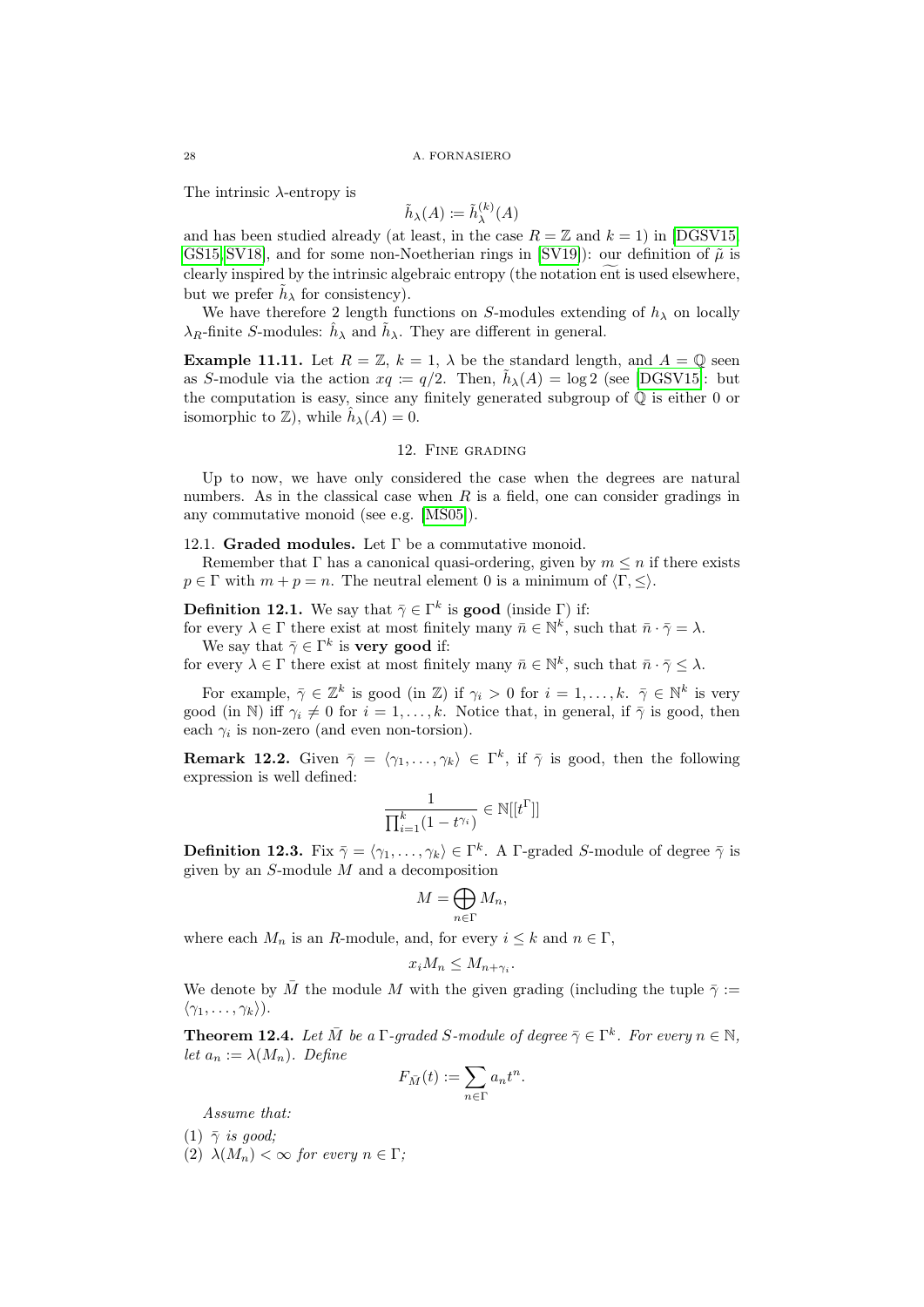The intrinsic  $\lambda$ -entropy is

$$
\tilde{h}_{\lambda}(A) := \tilde{h}_{\lambda}^{(k)}(A)
$$

and has been studied already (at least, in the case  $R = \mathbb{Z}$  and  $k = 1$ ) in [\[DGSV15,](#page-33-5) [GS15,](#page-34-14) [SV18\]](#page-34-13), and for some non-Noetherian rings in [\[SV19\]](#page-34-7)): our definition of  $\tilde{\mu}$  is clearly inspired by the intrinsic algebraic entropy (the notation ent is used elsewhere, but we prefer  $\tilde{h}_{\lambda}$  for consistency).

We have therefore 2 length functions on S-modules extending of  $h_{\lambda}$  on locally  $\lambda_R$ -finite S-modules:  $\hat{h}_{\lambda}$  and  $\tilde{h}_{\lambda}$ . They are different in general.

**Example 11.11.** Let  $R = \mathbb{Z}$ ,  $k = 1$ ,  $\lambda$  be the standard length, and  $A = \mathbb{Q}$  seen as S-module via the action  $xq := q/2$ . Then,  $\tilde{h}_{\lambda}(A) = \log 2$  (see [\[DGSV15\]](#page-33-5): but the computation is easy, since any finitely generated subgroup of  $\mathbb Q$  is either 0 or isomorphic to  $\mathbb{Z}$ ), while  $\hat{h}_{\lambda}(A) = 0$ .

# 12. Fine grading

<span id="page-27-0"></span>Up to now, we have only considered the case when the degrees are natural numbers. As in the classical case when  $R$  is a field, one can consider gradings in any commutative monoid (see e.g. [\[MS05\]](#page-34-3)).

# 12.1. Graded modules. Let  $\Gamma$  be a commutative monoid.

Remember that  $\Gamma$  has a canonical quasi-ordering, given by  $m \leq n$  if there exists  $p \in \Gamma$  with  $m + p = n$ . The neutral element 0 is a minimum of  $\langle \Gamma, \leq \rangle$ .

**Definition 12.1.** We say that  $\bar{\gamma} \in \Gamma^k$  is **good** (inside  $\Gamma$ ) if:

for every  $\lambda \in \Gamma$  there exist at most finitely many  $\bar{n} \in \mathbb{N}^k$ , such that  $\bar{n} \cdot \bar{\gamma} = \lambda$ . We say that  $\bar{\gamma} \in \Gamma^k$  is **very good** if:

for every  $\lambda \in \Gamma$  there exist at most finitely many  $\bar{n} \in \mathbb{N}^k$ , such that  $\bar{n} \cdot \bar{\gamma} \leq \lambda$ .

For example,  $\bar{\gamma} \in \mathbb{Z}^k$  is good (in  $\mathbb{Z}$ ) if  $\gamma_i > 0$  for  $i = 1, ..., k$ .  $\bar{\gamma} \in \mathbb{N}^k$  is very good (in N) iff  $\gamma_i \neq 0$  for  $i = 1, ..., k$ . Notice that, in general, if  $\bar{\gamma}$  is good, then each  $\gamma_i$  is non-zero (and even non-torsion).

**Remark 12.2.** Given  $\bar{\gamma} = \langle \gamma_1, \ldots, \gamma_k \rangle \in \Gamma^k$ , if  $\bar{\gamma}$  is good, then the following expression is well defined:

$$
\frac{1}{\prod_{i=1}^k (1-t^{\gamma_i})} \in \mathbb{N}[[t^{\Gamma}]]
$$

**Definition 12.3.** Fix  $\bar{\gamma} = \langle \gamma_1, \ldots, \gamma_k \rangle \in \Gamma^k$ . A  $\Gamma$ -graded S-module of degree  $\bar{\gamma}$  is given by an  $S$ -module  $M$  and a decomposition

$$
M=\bigoplus_{n\in\Gamma}M_n,
$$

where each  $M_n$  is an R-module, and, for every  $i \leq k$  and  $n \in \Gamma$ ,

$$
x_i M_n \leq M_{n+\gamma_i}.
$$

We denote by  $\overline{M}$  the module M with the given grading (including the tuple  $\overline{\gamma}$  :=  $\langle \gamma_1, \ldots, \gamma_k \rangle$ ).

**Theorem 12.4.** Let  $\overline{M}$  be a  $\Gamma$ -graded S-module of degree  $\overline{\gamma} \in \Gamma^k$ . For every  $n \in \mathbb{N}$ , let  $a_n := \lambda(M_n)$ . Define

$$
F_{\bar{M}}(t) := \sum_{n \in \Gamma} a_n t^n.
$$

Assume that:

 $(1)$   $\bar{\gamma}$  is good:

(2)  $\lambda(M_n) < \infty$  for every  $n \in \Gamma$ ;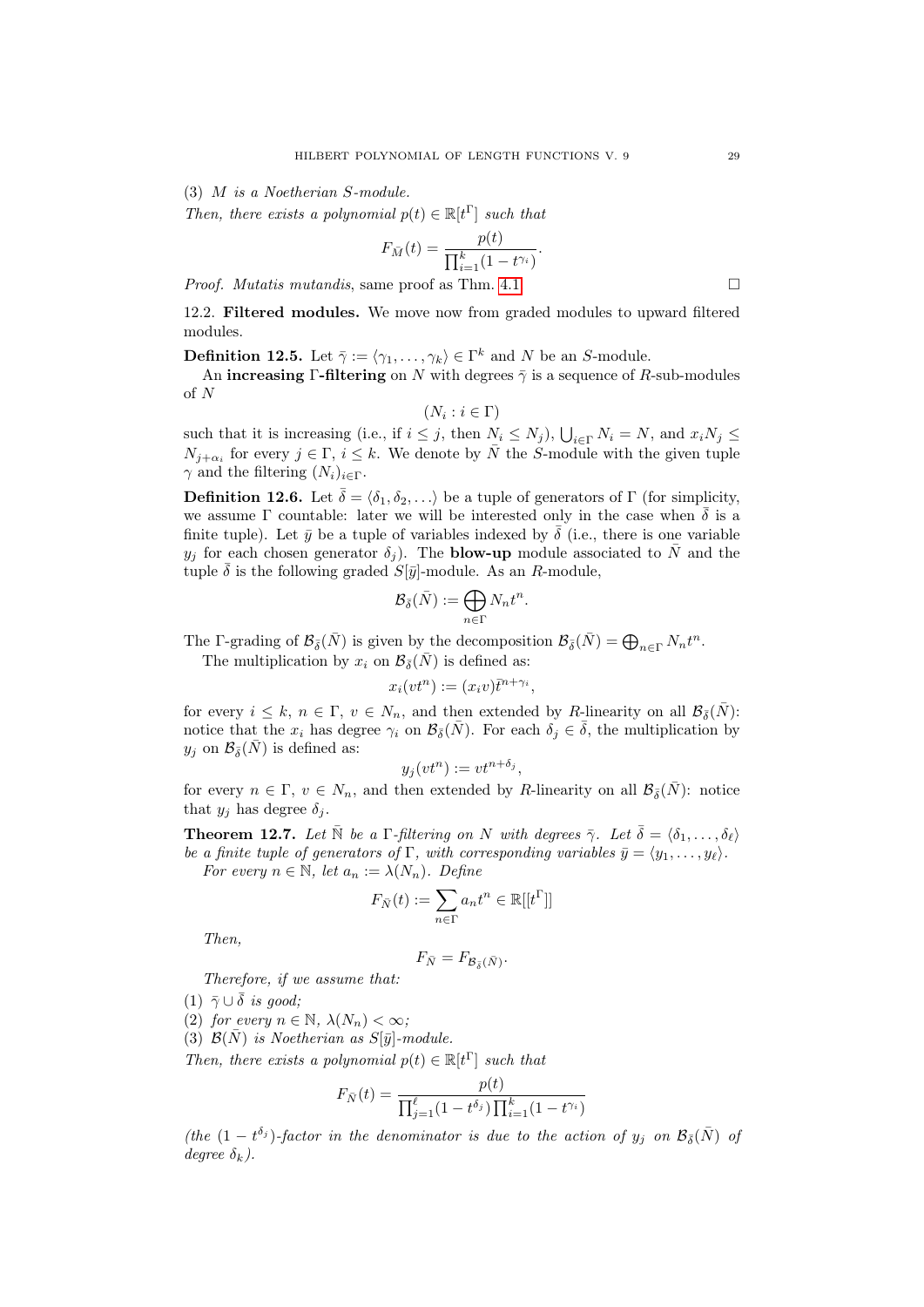(3) M is a Noetherian S-module.

Then, there exists a polynomial  $p(t) \in \mathbb{R}[t]$  such that

$$
F_{\bar{M}}(t) = \frac{p(t)}{\prod_{i=1}^{k} (1 - t^{\gamma_i})}.
$$

*Proof. Mutatis mutandis,* same proof as Thm. [4.1.](#page-7-1)

12.2. Filtered modules. We move now from graded modules to upward filtered modules.

**Definition 12.5.** Let  $\bar{\gamma} := \langle \gamma_1, \ldots, \gamma_k \rangle \in \Gamma^k$  and N be an S-module.

An increasing Γ-filtering on N with degrees  $\bar{\gamma}$  is a sequence of R-sub-modules of N

 $(N_i : i \in \Gamma)$ 

such that it is increasing (i.e., if  $i \leq j$ , then  $N_i \leq N_j$ ),  $\bigcup_{i \in \Gamma} N_i = N$ , and  $x_i N_j \leq$  $N_{j+\alpha_i}$  for every  $j \in \Gamma$ ,  $i \leq k$ . We denote by  $\overline{N}$  the S-module with the given tuple  $\gamma$  and the filtering  $(N_i)_{i \in \Gamma}$ .

**Definition 12.6.** Let  $\bar{\delta} = \langle \delta_1, \delta_2, \ldots \rangle$  be a tuple of generators of Γ (for simplicity, we assume  $\Gamma$  countable: later we will be interested only in the case when  $\overline{\delta}$  is a finite tuple). Let  $\bar{y}$  be a tuple of variables indexed by  $\bar{\delta}$  (i.e., there is one variable  $y_j$  for each chosen generator  $\delta_j$ ). The **blow-up** module associated to  $\bar{N}$  and the tuple  $\bar{\delta}$  is the following graded  $S[\bar{y}]$ -module. As an R-module,

$$
{\mathcal B}_{\bar{\delta}}(\bar{N}):=\bigoplus_{n\in\Gamma}N_nt^n.
$$

The Γ-grading of  $\mathcal{B}_{\bar{\delta}}(\bar{N})$  is given by the decomposition  $\mathcal{B}_{\bar{\delta}}(\bar{N}) = \bigoplus_{n \in \Gamma} N_n t^n$ .

The multiplication by  $x_i$  on  $\mathcal{B}_{\bar{\delta}}(\bar{N})$  is defined as:

$$
x_i(vt^n) := (x_iv)\overline{t}^{n+\gamma_i},
$$

for every  $i \leq k, n \in \Gamma$ ,  $v \in N_n$ , and then extended by R-linearity on all  $\mathcal{B}_{\bar{\delta}}(\bar{N})$ : notice that the  $x_i$  has degree  $\gamma_i$  on  $\mathcal{B}_{\bar{\delta}}(\bar{N})$ . For each  $\delta_i \in \bar{\delta}$ , the multiplication by  $y_j$  on  $\mathcal{B}_{\bar{\delta}}(\bar{N})$  is defined as:

$$
y_j(vt^n) := vt^{n+\delta_j},
$$

for every  $n \in \Gamma$ ,  $v \in N_n$ , and then extended by R-linearity on all  $\mathcal{B}_{\bar{\delta}}(\bar{N})$ : notice that  $y_i$  has degree  $\delta_i$ .

<span id="page-28-0"></span>**Theorem 12.7.** Let  $\bar{N}$  be a Γ-filtering on N with degrees  $\bar{\gamma}$ . Let  $\bar{\delta} = \langle \delta_1, \ldots, \delta_\ell \rangle$ be a finite tuple of generators of  $\Gamma$ , with corresponding variables  $\bar{y} = \langle y_1, \ldots, y_\ell \rangle$ . For every  $n \in \mathbb{N}$ , let  $a_n := \lambda(N_n)$ . Define

$$
F_{\bar{N}}(t):=\sum_{n\in\Gamma}a_nt^n\in\mathbb{R}[[t^{\Gamma}]]
$$

Then,

$$
F_{\bar{N}} = F_{\mathcal{B}_{\bar{\delta}}(\bar{N})}.
$$

Therefore, if we assume that:

(1)  $\bar{\gamma} \cup \bar{\delta}$  is good;

(2) for every 
$$
n \in \mathbb{N}
$$
,  $\lambda(N_n) < \infty$ ;

(3)  $\mathcal{B}(\bar{N})$  is Noetherian as  $S[\bar{y}]$ -module.

Then, there exists a polynomial  $p(t) \in \mathbb{R}[t]$  such that

$$
F_{\bar{N}}(t) = \frac{p(t)}{\prod_{j=1}^{\ell} (1 - t^{\delta_j}) \prod_{i=1}^{k} (1 - t^{\gamma_i})}
$$

(the  $(1-t^{\delta_j})$ -factor in the denominator is due to the action of  $y_j$  on  $\mathcal{B}_{\bar{\delta}}(\bar{N})$  of degree  $\delta_k$ ).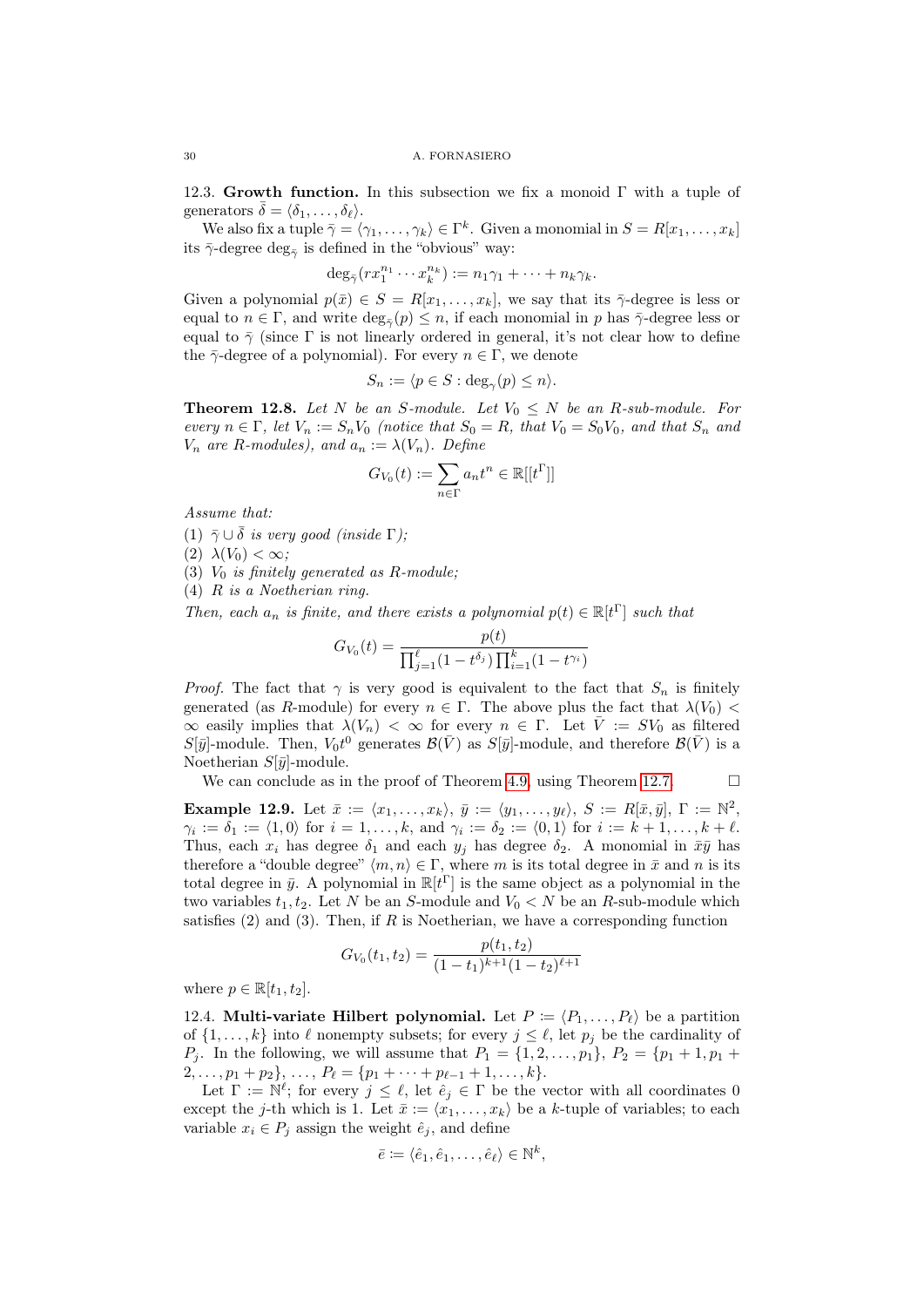12.3. Growth function. In this subsection we fix a monoid  $\Gamma$  with a tuple of generators  $\overline{\delta} = \langle \delta_1, \ldots, \delta_\ell \rangle$ .

We also fix a tuple  $\bar{\gamma} = \langle \gamma_1, \ldots, \gamma_k \rangle \in \Gamma^k$ . Given a monomial in  $S = R[x_1, \ldots, x_k]$ its  $\bar{\gamma}$ -degree  $\deg_{\bar{\gamma}}$  is defined in the "obvious" way:

$$
\deg_{\bar{\gamma}}(rx_1^{n_1}\cdots x_k^{n_k}) := n_1\gamma_1 + \cdots + n_k\gamma_k.
$$

Given a polynomial  $p(\bar{x}) \in S = R[x_1, \ldots, x_k]$ , we say that its  $\bar{\gamma}$ -degree is less or equal to  $n \in \Gamma$ , and write  $\deg_{\bar{\gamma}}(p) \leq n$ , if each monomial in p has  $\bar{\gamma}$ -degree less or equal to  $\bar{\gamma}$  (since  $\Gamma$  is not linearly ordered in general, it's not clear how to define the  $\bar{\gamma}$ -degree of a polynomial). For every  $n \in \Gamma$ , we denote

$$
S_n := \langle p \in S : \deg_{\gamma}(p) \le n \rangle.
$$

<span id="page-29-0"></span>**Theorem 12.8.** Let N be an S-module. Let  $V_0 \leq N$  be an R-sub-module. For every  $n \in \Gamma$ , let  $V_n := S_n V_0$  (notice that  $S_0 = R$ , that  $V_0 = S_0 V_0$ , and that  $S_n$  and  $V_n$  are R-modules), and  $a_n := \lambda(V_n)$ . Define

$$
G_{V_0}(t):=\sum_{n\in\Gamma} a_nt^n\in\mathbb{R}[[t^\Gamma]]
$$

Assume that:

- (1)  $\bar{\gamma} \cup \bar{\delta}$  is very good (inside  $\Gamma$ );
- (2)  $\lambda(V_0) < \infty$ ;
- (3)  $V_0$  is finitely generated as R-module;
- (4) R is a Noetherian ring.

Then, each  $a_n$  is finite, and there exists a polynomial  $p(t) \in \mathbb{R}[t]$  such that

$$
G_{V_0}(t) = \frac{p(t)}{\prod_{j=1}^{\ell} (1 - t^{\delta_j}) \prod_{i=1}^k (1 - t^{\gamma_i})}
$$

*Proof.* The fact that  $\gamma$  is very good is equivalent to the fact that  $S_n$  is finitely generated (as R-module) for every  $n \in \Gamma$ . The above plus the fact that  $\lambda(V_0)$  $\infty$  easily implies that  $\lambda(V_n) < \infty$  for every  $n \in \Gamma$ . Let  $\overline{V} := SV_0$  as filtered  $S[\bar{y}]$ -module. Then,  $V_0 t^0$  generates  $\mathcal{B}(\bar{V})$  as  $S[\bar{y}]$ -module, and therefore  $\mathcal{B}(\bar{V})$  is a Noetherian  $S[\bar{y}]$ -module.

We can conclude as in the proof of Theorem [4.9,](#page-11-1) using Theorem [12.7.](#page-28-0)  $\Box$ 

Example 12.9. Let  $\bar{x} := \langle x_1, \ldots, x_k \rangle$ ,  $\bar{y} := \langle y_1, \ldots, y_\ell \rangle$ ,  $S := R[\bar{x}, \bar{y}],$   $\Gamma := \mathbb{N}^2$ ,  $\gamma_i := \delta_1 := \langle 1, 0 \rangle$  for  $i = 1, \ldots, k$ , and  $\gamma_i := \delta_2 := \langle 0, 1 \rangle$  for  $i := k + 1, \ldots, k + \ell$ . Thus, each  $x_i$  has degree  $\delta_1$  and each  $y_j$  has degree  $\delta_2$ . A monomial in  $\bar{x}\bar{y}$  has therefore a "double degree"  $\langle m, n \rangle \in \Gamma$ , where m is its total degree in  $\bar{x}$  and n is its total degree in  $\bar{y}$ . A polynomial in  $\mathbb{R}[t^{\Gamma}]$  is the same object as a polynomial in the two variables  $t_1, t_2$ . Let N be an S-module and  $V_0 < N$  be an R-sub-module which satisfies  $(2)$  and  $(3)$ . Then, if R is Noetherian, we have a corresponding function

$$
G_{V_0}(t_1, t_2) = \frac{p(t_1, t_2)}{(1 - t_1)^{k+1} (1 - t_2)^{\ell+1}}
$$

where  $p \in \mathbb{R}[t_1, t_2]$ .

12.4. Multi-variate Hilbert polynomial. Let  $P := \langle P_1, \ldots, P_\ell \rangle$  be a partition of  $\{1, \ldots, k\}$  into  $\ell$  nonempty subsets; for every  $j \leq \ell$ , let  $p_j$  be the cardinality of  $P_j$ . In the following, we will assume that  $P_1 = \{1, 2, ..., p_1\}, P_2 = \{p_1 + 1, p_1 +$  $2, \ldots, p_1 + p_2$ ,  $\ldots, P_\ell = \{p_1 + \cdots + p_{\ell-1} + 1, \ldots, k\}.$ 

Let  $\Gamma := \dot{\mathbb{N}}^{\ell}$ ; for every  $j \leq \ell$ , let  $\hat{e}_j \in \Gamma$  be the vector with all coordinates 0 except the j-th which is 1. Let  $\bar{x} := \langle x_1, \ldots, x_k \rangle$  be a k-tuple of variables; to each variable  $x_i \in P_j$  assign the weight  $\hat{e}_j$ , and define

$$
\bar{e} \coloneqq \langle \hat{e}_1, \hat{e}_1, \dots, \hat{e}_\ell \rangle \in \mathbb{N}^k,
$$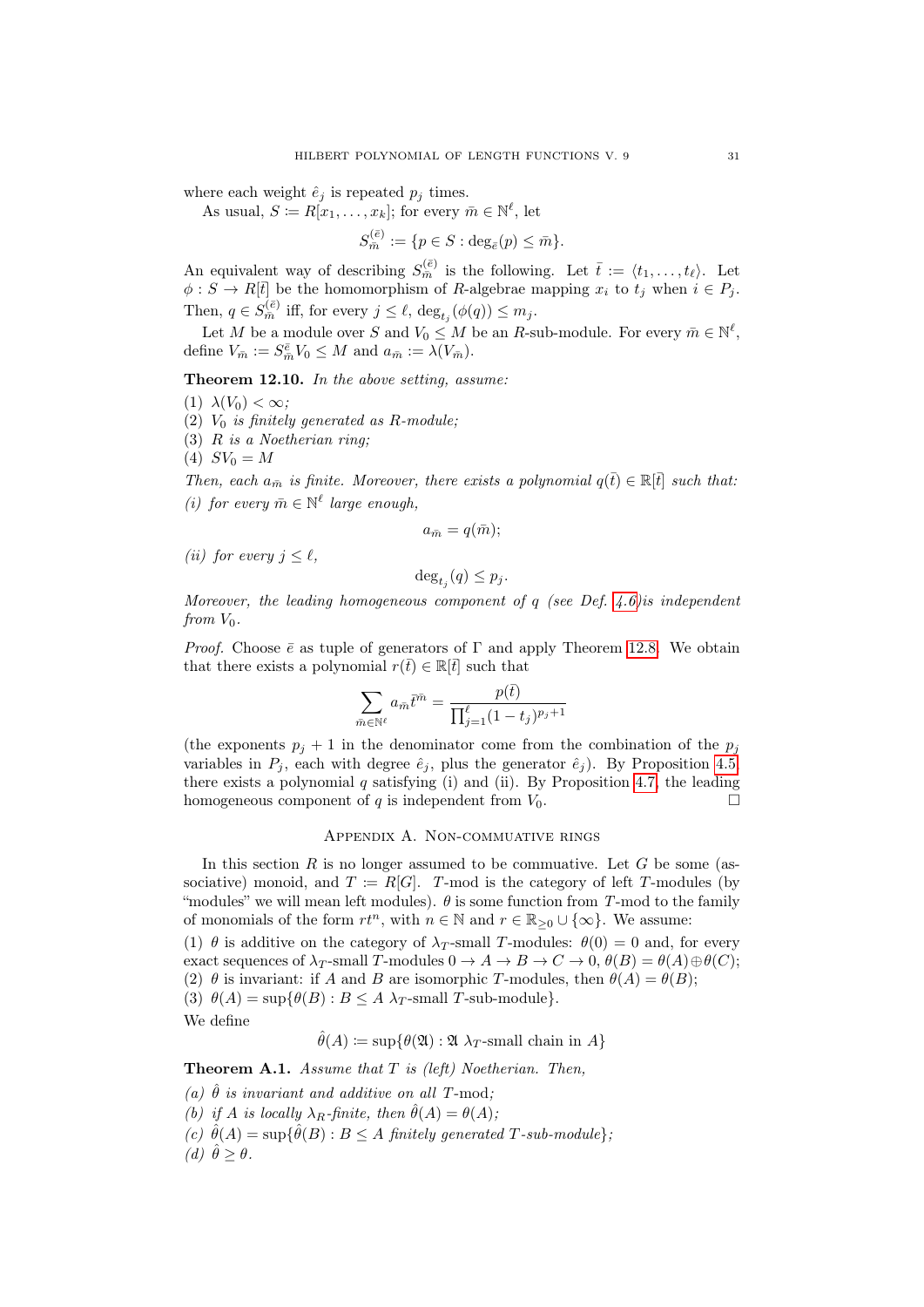where each weight  $\hat{e}_j$  is repeated  $p_j$  times.

As usual,  $S \coloneqq R[x_1, \ldots, x_k]$ ; for every  $\bar{m} \in \mathbb{N}^{\ell}$ , let

$$
S_{\bar{m}}^{(\bar{e})} := \{ p \in S : \deg_{\bar{e}}(p) \leq \bar{m} \}.
$$

An equivalent way of describing  $S_{\bar{m}}^{(\bar{e})}$  is the following. Let  $\bar{t} := \langle t_1, \ldots, t_\ell \rangle$ . Let  $\phi : S \to R[t]$  be the homomorphism of R-algebrae mapping  $x_i$  to  $t_j$  when  $i \in P_j$ . Then,  $q \in S_{\bar{m}}^{(\bar{e})}$  iff, for every  $j \leq \ell$ ,  $\deg_{t_j}(\phi(q)) \leq m_j$ .

Let M be a module over S and  $V_0 \leq M$  be an R-sub-module. For every  $\bar{m} \in \mathbb{N}^{\ell}$ , define  $V_{\bar{m}} := S_{\bar{m}}^{\bar{e}} V_0 \leq M$  and  $a_{\bar{m}} := \lambda(V_{\bar{m}})$ .

Theorem 12.10. In the above setting, assume:

- (1)  $\lambda(V_0) < \infty$ ;
- (2)  $V_0$  is finitely generated as R-module;
- (3) R is a Noetherian ring;
- (4)  $SV_0 = M$

Then, each  $a_{\overline{n}}$  is finite. Moreover, there exists a polynomial  $q(\overline{t}) \in \mathbb{R}[\overline{t}]$  such that: (i) for every  $\bar{m} \in \mathbb{N}^{\ell}$  large enough,

$$
a_{\bar{m}}=q(\bar{m});
$$

(*ii*) for every  $j \leq \ell$ ,

$$
\deg_{t_j}(q) \le p_j.
$$

Moreover, the leading homogeneous component of  $q$  (see Def. [4.6\)](#page-10-1) is independent from  $V_0$ .

*Proof.* Choose  $\bar{e}$  as tuple of generators of  $\Gamma$  and apply Theorem [12.8.](#page-29-0) We obtain that there exists a polynomial  $r(\bar{t}) \in \mathbb{R}[\bar{t}]$  such that

$$
\sum_{\bar{m}\in\mathbb{N}^{\ell}} a_{\bar{m}}\bar{t}^{\bar{m}} = \frac{p(\bar{t})}{\prod_{j=1}^{\ell}(1-t_j)^{p_j+1}}
$$

(the exponents  $p_j + 1$  in the denominator come from the combination of the  $p_j$ variables in  $P_j$ , each with degree  $\hat{e}_j$ , plus the generator  $\hat{e}_j$ ). By Proposition [4.5,](#page-9-0) there exists a polynomial  $q$  satisfying (i) and (ii). By Proposition [4.7,](#page-10-2) the leading homogeneous component of q is independent from  $V_0$ .

# Appendix A. Non-commuative rings

<span id="page-30-0"></span>In this section  $R$  is no longer assumed to be commuative. Let  $G$  be some (associative) monoid, and  $T := R[G]$ . T-mod is the category of left T-modules (by "modules" we will mean left modules).  $\theta$  is some function from T-mod to the family of monomials of the form  $rt^n$ , with  $n \in \mathbb{N}$  and  $r \in \mathbb{R}_{\geq 0} \cup \{\infty\}$ . We assume:

(1)  $\theta$  is additive on the category of  $\lambda_T$ -small T-modules:  $\theta(0) = 0$  and, for every exact sequences of  $\lambda_T$ -small T-modules  $0 \to A \to B \to C \to 0$ ,  $\theta(B) = \theta(A) \oplus \theta(C)$ ; (2)  $\theta$  is invariant: if A and B are isomorphic T-modules, then  $\theta(A) = \theta(B)$ ; (3)  $\theta(A) = \sup \{ \theta(B) : B \leq A \lambda_T \text{-small } T\text{-sub-module} \}.$ 

We define

$$
\hat{\theta}(A) \coloneqq \sup \{ \theta(\mathfrak{A}) : \mathfrak{A} \lambda_T\text{-small chain in } A \}
$$

<span id="page-30-1"></span>**Theorem A.1.** Assume that  $T$  is (left) Noetherian. Then,

(a)  $\hat{\theta}$  is invariant and additive on all T-mod; (b) if A is locally  $\lambda_B$ -finite, then  $\hat{\theta}(A) = \theta(A);$ (c)  $\hat{\theta}(A) = \sup \{ \hat{\theta}(B) : B \leq A \text{ finitely generated } T \text{-sub-module} \},$ (d)  $\hat{\theta} > \theta$ .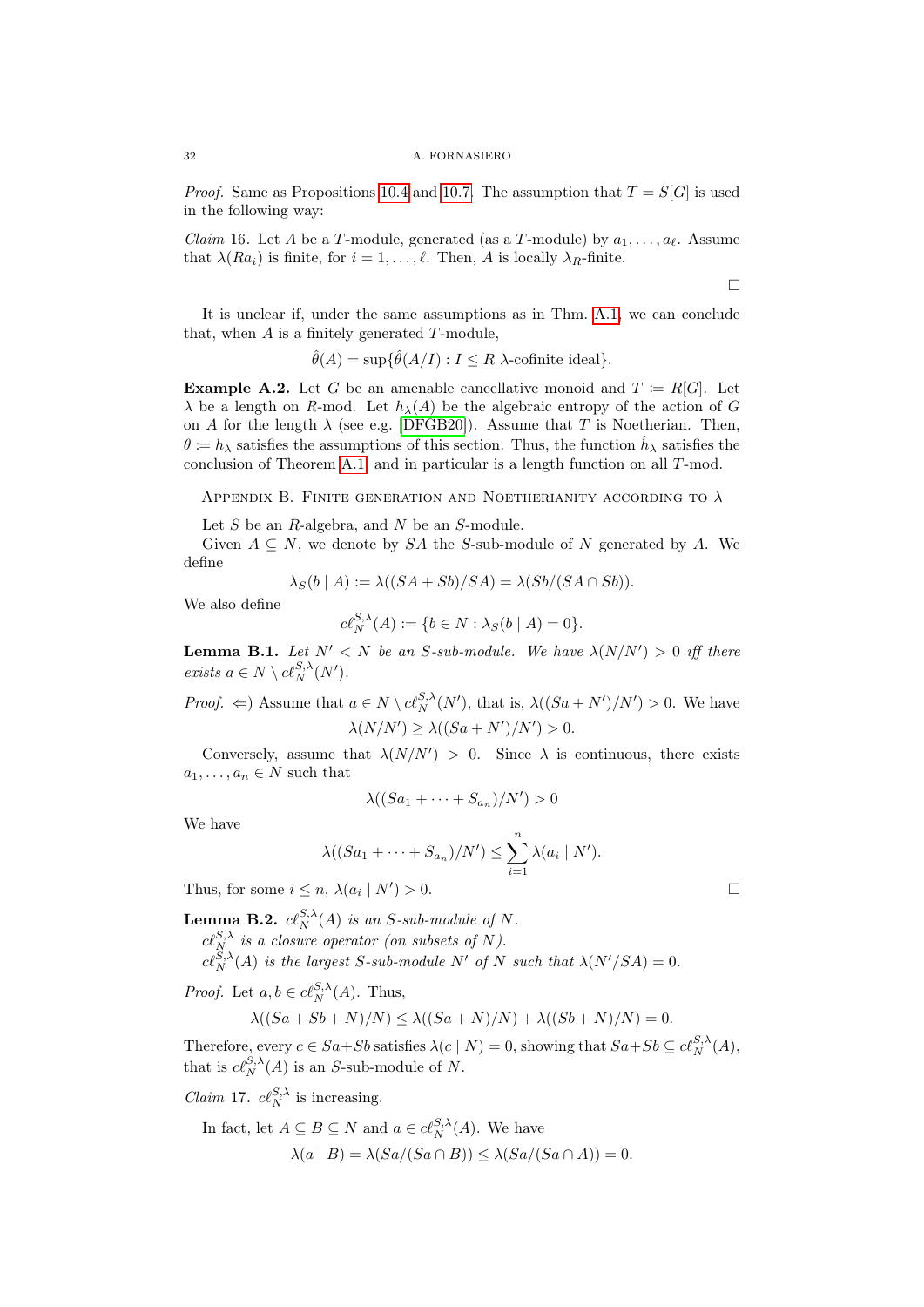### 32 A. FORNASIERO

*Proof.* Same as Propositions [10.4](#page-18-1) and [10.7.](#page-19-0) The assumption that  $T = S[G]$  is used in the following way:

*Claim* 16. Let A be a T-module, generated (as a T-module) by  $a_1, \ldots, a_\ell$ . Assume that  $\lambda(Ra_i)$  is finite, for  $i = 1, \ldots, \ell$ . Then, A is locally  $\lambda_R$ -finite.

 $\Box$ 

It is unclear if, under the same assumptions as in Thm. [A.1,](#page-30-1) we can conclude that, when  $A$  is a finitely generated  $T$ -module,

$$
\hat{\theta}(A) = \sup \{ \hat{\theta}(A/I) : I \le R \text{ } \lambda\text{-cofinite ideal} \}.
$$

**Example A.2.** Let G be an amenable cancellative monoid and  $T := R[G]$ . Let  $\lambda$  be a length on R-mod. Let  $h_{\lambda}(A)$  be the algebraic entropy of the action of G on A for the length  $\lambda$  (see e.g. [\[DFGB20\]](#page-33-3)). Assume that T is Noetherian. Then,  $\theta := h_{\lambda}$  satisfies the assumptions of this section. Thus, the function  $\hat{h}_{\lambda}$  satisfies the conclusion of Theorem [A.1,](#page-30-1) and in particular is a length function on all T-mod.

<span id="page-31-0"></span>APPENDIX B. FINITE GENERATION AND NOETHERIANITY ACCORDING TO  $\lambda$ 

Let  $S$  be an  $R$ -algebra, and  $N$  be an  $S$ -module.

Given  $A \subseteq N$ , we denote by SA the S-sub-module of N generated by A. We define

$$
\lambda_S(b \mid A) := \lambda((SA + Sb)/SA) = \lambda(Sb/(SA \cap Sb)).
$$

We also define

$$
c\ell_N^{S,\lambda}(A) := \{ b \in N : \lambda_S(b \mid A) = 0 \}.
$$

<span id="page-31-1"></span>**Lemma B.1.** Let  $N' < N$  be an S-sub-module. We have  $\lambda(N/N') > 0$  iff there exists  $a \in N \setminus cl_N^{S,\lambda}(N')$ .

*Proof.*  $\Leftarrow$ ) Assume that  $a \in N \setminus ct_N^{S,\lambda}(N')$ , that is,  $\lambda((Sa+N')/N') > 0$ . We have  $\lambda(N/N') \geq \lambda((Sa+N')/N') > 0.$ 

Conversely, assume that  $\lambda(N/N') > 0$ . Since  $\lambda$  is continuous, there exists  $a_1, \ldots, a_n \in N$  such that

$$
\lambda((Sa_1+\cdots + Sa_n)/N')>0
$$

We have

$$
\lambda((Sa_1+\cdots + Sa_n)/N') \leq \sum_{i=1}^n \lambda(a_i \mid N').
$$

Thus, for some  $i \leq n$ ,  $\lambda(a_i \mid N'$  $) > 0.$ 

**Lemma B.2.**  $c\ell_N^{S,\lambda}(A)$  is an S-sub-module of N.  $c\ell_N^{S,\lambda}$  is a closure operator (on subsets of N).  $c\ell_N^{S,\lambda}(A)$  is the largest S-sub-module N' of N such that  $\lambda(N'/SA) = 0$ .

*Proof.* Let  $a, b \in cl_N^{S,\lambda}(A)$ . Thus,

$$
\lambda((Sa+Sb+N)/N) \le \lambda((Sa+N)/N) + \lambda((Sb+N)/N) = 0.
$$

Therefore, every  $c \in Sa + Sb$  satisfies  $\lambda(c | N) = 0$ , showing that  $Sa + Sb \subseteq c\ell_N^{S,\lambda}(A)$ , that is  $c\ell_N^{S,\lambda}(A)$  is an S-sub-module of N.

*Claim* 17.  $c\ell_N^{S,\lambda}$  is increasing.

In fact, let 
$$
A \subseteq B \subseteq N
$$
 and  $a \in cl_N^{S,\lambda}(A)$ . We have  

$$
\lambda(a \mid B) = \lambda(Sa/(Sa \cap B)) \leq \lambda(Sa/(Sa \cap A)) = 0.
$$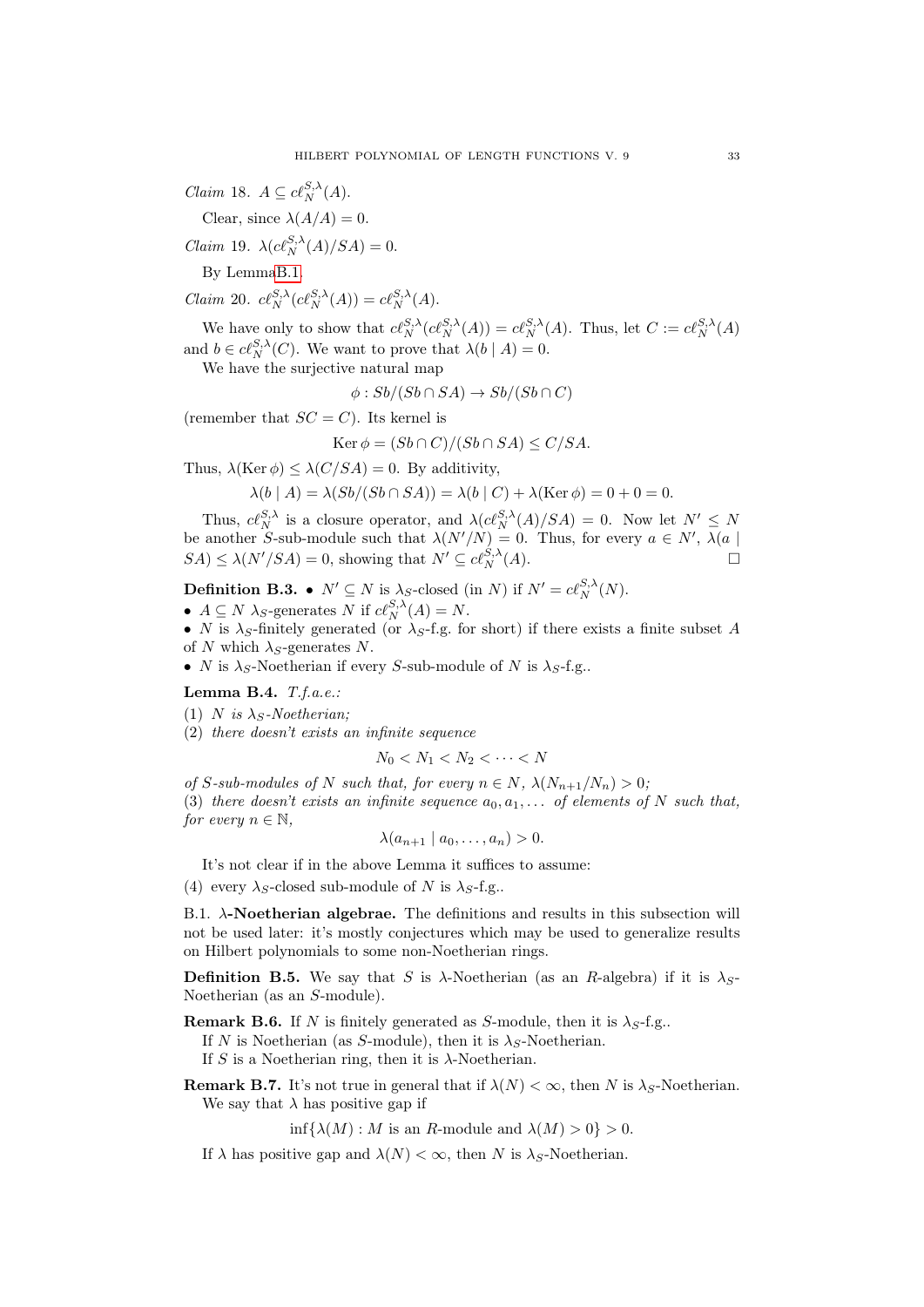*Claim* 18.  $A \subseteq cl_N^{S,\lambda}(A)$ .

Clear, since  $\lambda(A/A) = 0$ .

Claim 19.  $\lambda(c\ell_N^{S,\lambda}(A)/SA) = 0.$ 

By Lemm[aB.1.](#page-31-1)

Claim 20.  $c\ell_N^{S,\lambda}(c\ell_N^{S,\lambda}(A)) = c\ell_N^{S,\lambda}(A)$ .

We have only to show that  $c\ell_N^{S,\lambda}(c\ell_N^{S,\lambda}(A)) = c\ell_N^{S,\lambda}(A)$ . Thus, let  $C := c\ell_N^{S,\lambda}(A)$ and  $b \in cl_N^{S,\lambda}(C)$ . We want to prove that  $\lambda(b \mid A) = 0$ .

We have the surjective natural map

 $\phi: Sb/(Sb \cap SA) \rightarrow Sb/(Sb \cap C)$ 

(remember that  $SC = C$ ). Its kernel is

$$
\operatorname{Ker} \phi = (Sb \cap C)/(Sb \cap SA) \le C/SA.
$$

Thus,  $\lambda(\text{Ker }\phi) \leq \lambda(C/SA) = 0$ . By additivity,

$$
\lambda(b \mid A) = \lambda (Sb/(Sb \cap SA)) = \lambda(b \mid C) + \lambda(\text{Ker } \phi) = 0 + 0 = 0.
$$

Thus,  $c\ell_N^{S,\lambda}$  is a closure operator, and  $\lambda(c\ell_N^{S,\lambda}(A)/SA) = 0$ . Now let  $N' \leq N$ be another S-sub-module such that  $\lambda(N'/N) = 0$ . Thus, for every  $a \in N'$ ,  $\lambda(a)$  $SA \leq \lambda(N'/SA) = 0$ , showing that  $N' \subseteq c\ell_N^{S,\lambda}(A)$ .

**Definition B.3.** •  $N' \subseteq N$  is  $\lambda_S$ -closed (in N) if  $N' = c\ell_N^{S,\lambda}(N)$ .

- $A \subseteq N$   $\lambda_S$ -generates N if  $c\ell_N^{S,\lambda}(A) = N$ .
- N is  $\lambda_S$ -finitely generated (or  $\lambda_S$ -f.g. for short) if there exists a finite subset A of N which  $\lambda_S$ -generates N.
- N is  $\lambda_S$ -Noetherian if every S-sub-module of N is  $\lambda_S$ -f.g..

Lemma B.4.  $T.f.a.e.:$ 

(1) N is  $\lambda_s$ -Noetherian;

(2) there doesn't exists an infinite sequence

$$
N_0 < N_1 < N_2 < \cdots < N
$$

of S-sub-modules of N such that, for every  $n \in N$ ,  $\lambda(N_{n+1}/N_n) > 0$ ;

(3) there doesn't exists an infinite sequence  $a_0, a_1, \ldots$  of elements of N such that, for every  $n \in \mathbb{N}$ ,

$$
\lambda(a_{n+1} \mid a_0, \ldots, a_n) > 0.
$$

It's not clear if in the above Lemma it suffices to assume:

(4) every  $\lambda_S$ -closed sub-module of N is  $\lambda_S$ -f.g..

B.1.  $\lambda$ -Noetherian algebrae. The definitions and results in this subsection will not be used later: it's mostly conjectures which may be used to generalize results on Hilbert polynomials to some non-Noetherian rings.

**Definition B.5.** We say that S is  $\lambda$ -Noetherian (as an R-algebra) if it is  $\lambda_S$ -Noetherian (as an S-module).

**Remark B.6.** If N is finitely generated as S-module, then it is  $\lambda_S$ -f.g..

If N is Noetherian (as S-module), then it is  $\lambda_S$ -Noetherian.

If S is a Noetherian ring, then it is  $\lambda$ -Noetherian.

**Remark B.7.** It's not true in general that if  $\lambda(N) < \infty$ , then N is  $\lambda_S$ -Noetherian. We say that  $\lambda$  has positive gap if

 $\inf{\{\lambda(M): M \text{ is an } R\text{-module and }\lambda(M) > 0\}} > 0.$ 

If  $\lambda$  has positive gap and  $\lambda(N) < \infty$ , then N is  $\lambda_S$ -Noetherian.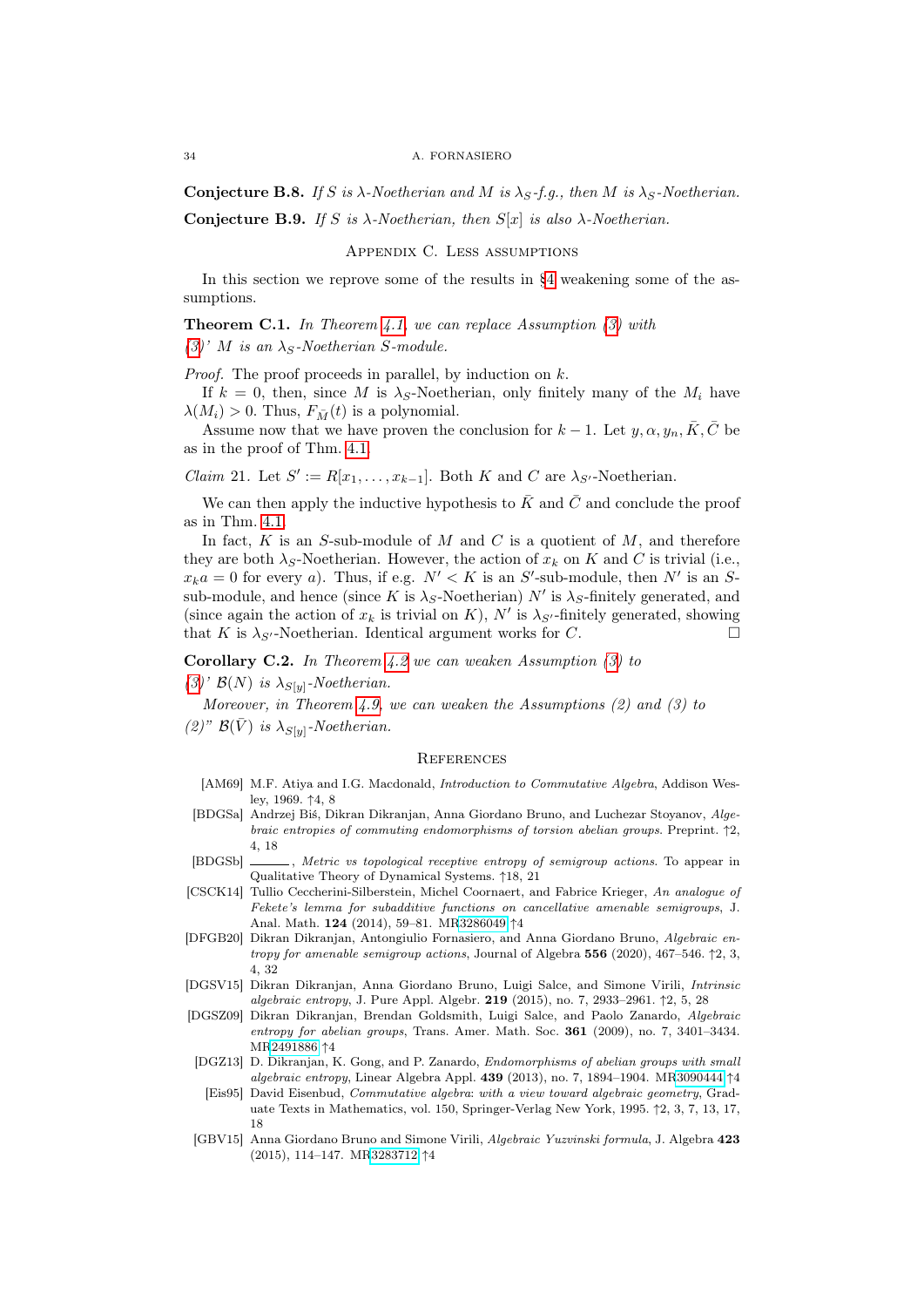#### 34 A. FORNASIERO

Conjecture B.8. If S is  $\lambda$ -Noetherian and M is  $\lambda_S$ -f.g., then M is  $\lambda_S$ -Noetherian.

<span id="page-33-0"></span>Conjecture B.9. If S is  $\lambda$ -Noetherian, then  $S[x]$  is also  $\lambda$ -Noetherian.

Appendix C. Less assumptions

In this section we reprove some of the results in [§4](#page-7-0) weakening some of the assumptions.

**Theorem C.1.** In Theorem [4.1,](#page-7-1) we can replace Assumption  $(3)$  with [\(3\)](#page-8-1)' M is an  $\lambda_S$ -Noetherian S-module.

*Proof.* The proof proceeds in parallel, by induction on  $k$ .

If  $k = 0$ , then, since M is  $\lambda_S$ -Noetherian, only finitely many of the  $M_i$  have  $\lambda(M_i) > 0$ . Thus,  $F_{\bar{M}}(t)$  is a polynomial.

Assume now that we have proven the conclusion for  $k-1$ . Let  $y, \alpha, y_n, \overline{K}, \overline{C}$  be as in the proof of Thm. [4.1.](#page-7-1)

*Claim* 21. Let  $S' := R[x_1, \ldots, x_{k-1}]$ . Both K and C are  $\lambda_{S'}$ -Noetherian.

We can then apply the inductive hypothesis to  $\bar{K}$  and  $\bar{C}$  and conclude the proof as in Thm. [4.1.](#page-7-1)

In fact,  $K$  is an  $S$ -sub-module of  $M$  and  $C$  is a quotient of  $M$ , and therefore they are both  $\lambda_S$ -Noetherian. However, the action of  $x_k$  on K and C is trivial (i.e.,  $x_k a = 0$  for every a). Thus, if e.g.  $N' < K$  is an S'-sub-module, then N' is an Ssub-module, and hence (since K is  $\lambda_S$ -Noetherian) N' is  $\lambda_S$ -finitely generated, and (since again the action of  $x_k$  is trivial on K), N' is  $\lambda_{S'}$ -finitely generated, showing that K is  $\lambda_{S'}$ -Noetherian. Identical argument works for C.

**Corollary C.2.** In Theorem [4.2](#page-8-0) we can weaken Assumption  $(3)$  to

 $(3)'$  $(3)'$  B(N) is  $\lambda_{S[y]}$ -Noetherian.

Moreover, in Theorem [4.9,](#page-11-1) we can weaken the Assumptions  $(2)$  and  $(3)$  to

(2)"  $\mathcal{B}(\bar{V})$  is  $\lambda_{S[y]}$ -Noetherian.

### <span id="page-33-1"></span>**REFERENCES**

- <span id="page-33-7"></span>[AM69] M.F. Atiya and I.G. Macdonald, *Introduction to Commutative Algebra*, Addison Wesley, 1969. ↑4, 8
- <span id="page-33-4"></span>[BDGSa] Andrzej Biś, Dikran Dikranjan, Anna Giordano Bruno, and Luchezar Stoyanov, Algebraic entropies of commuting endomorphisms of torsion abelian groups. Preprint. ↑2, 4, 18
- <span id="page-33-11"></span>[BDGSb]  $\_\_\_\_\$ , Metric vs topological receptive entropy of semigroup actions. To appear in Qualitative Theory of Dynamical Systems. ↑18, 21
- <span id="page-33-6"></span>[CSCK14] Tullio Ceccherini-Silberstein, Michel Coornaert, and Fabrice Krieger, An analogue of Fekete's lemma for subadditive functions on cancellative amenable semigroups, J. Anal. Math. 124 (2014), 59–81. M[R3286049](http://www.ams.org/mathscinet-getitem?mr=3286049) ↑4
- <span id="page-33-3"></span>[DFGB20] Dikran Dikranjan, Antongiulio Fornasiero, and Anna Giordano Bruno, Algebraic entropy for amenable semigroup actions, Journal of Algebra  $556$  (2020), 467–546.  $\uparrow$ 2, 3, 4, 32
- <span id="page-33-5"></span>[DGSV15] Dikran Dikranjan, Anna Giordano Bruno, Luigi Salce, and Simone Virili, Intrinsic algebraic entropy, J. Pure Appl. Algebr. 219 (2015), no. 7, 2933–2961. ↑2, 5, 28
- <span id="page-33-8"></span>[DGSZ09] Dikran Dikranjan, Brendan Goldsmith, Luigi Salce, and Paolo Zanardo, Algebraic entropy for abelian groups, Trans. Amer. Math. Soc. 361 (2009), no. 7, 3401–3434. M[R2491886](http://www.ams.org/mathscinet-getitem?mr=2491886) ↑4
- <span id="page-33-9"></span>[DGZ13] D. Dikranjan, K. Gong, and P. Zanardo, Endomorphisms of abelian groups with small algebraic entropy, Linear Algebra Appl. 439 (2013), no. 7, 1894–1904. M[R3090444](http://www.ams.org/mathscinet-getitem?mr=3090444) ↑4 [Eis95] David Eisenbud, Commutative algebra: with a view toward algebraic geometry, Grad-
- <span id="page-33-2"></span>uate Texts in Mathematics, vol. 150, Springer-Verlag New York, 1995. ↑2, 3, 7, 13, 17, 18
- <span id="page-33-10"></span>[GBV15] Anna Giordano Bruno and Simone Virili, Algebraic Yuzvinski formula, J. Algebra 423 (2015), 114–147. M[R3283712](http://www.ams.org/mathscinet-getitem?mr=3283712) ↑4